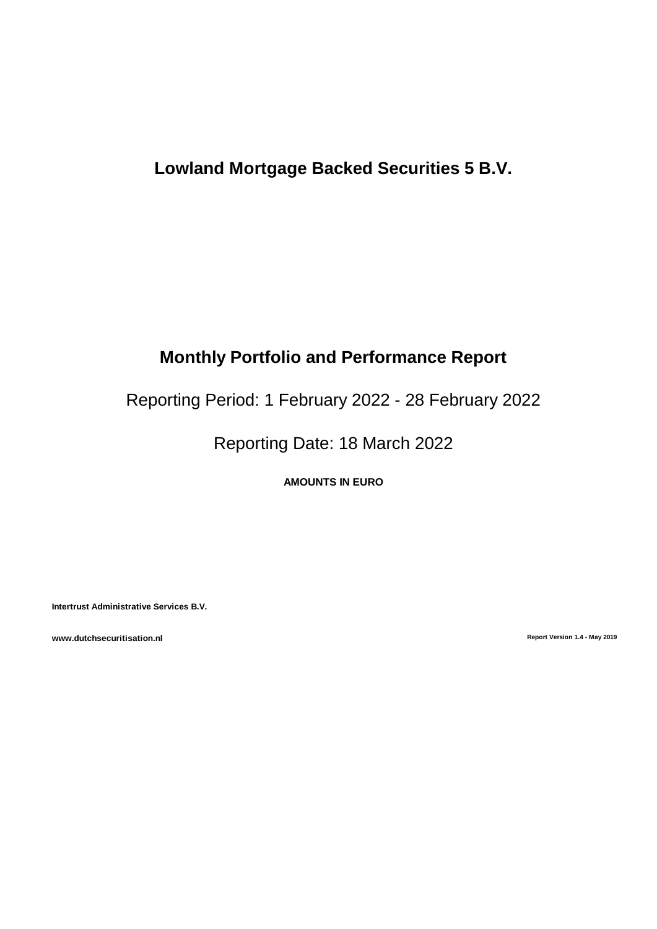# **Lowland Mortgage Backed Securities 5 B.V.**

# **Monthly Portfolio and Performance Report**

Reporting Period: 1 February 2022 - 28 February 2022

Reporting Date: 18 March 2022

**AMOUNTS IN EURO**

**Intertrust Administrative Services B.V.**

**www.dutchsecuritisation.nl Report Version 1.4 - May 2019**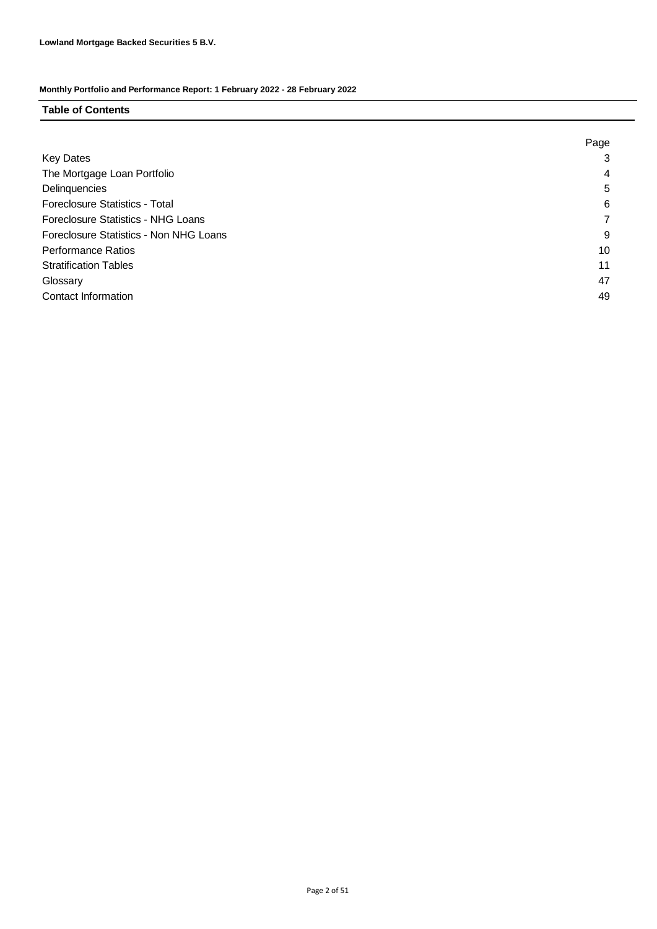### **Table of Contents**

|                                        | Page |
|----------------------------------------|------|
| <b>Key Dates</b>                       | 3    |
| The Mortgage Loan Portfolio            | 4    |
| Delinquencies                          | 5    |
| <b>Foreclosure Statistics - Total</b>  | 6    |
| Foreclosure Statistics - NHG Loans     |      |
| Foreclosure Statistics - Non NHG Loans | 9    |
| <b>Performance Ratios</b>              | 10   |
| <b>Stratification Tables</b>           | 11   |
| Glossary                               | 47   |
| <b>Contact Information</b>             | 49   |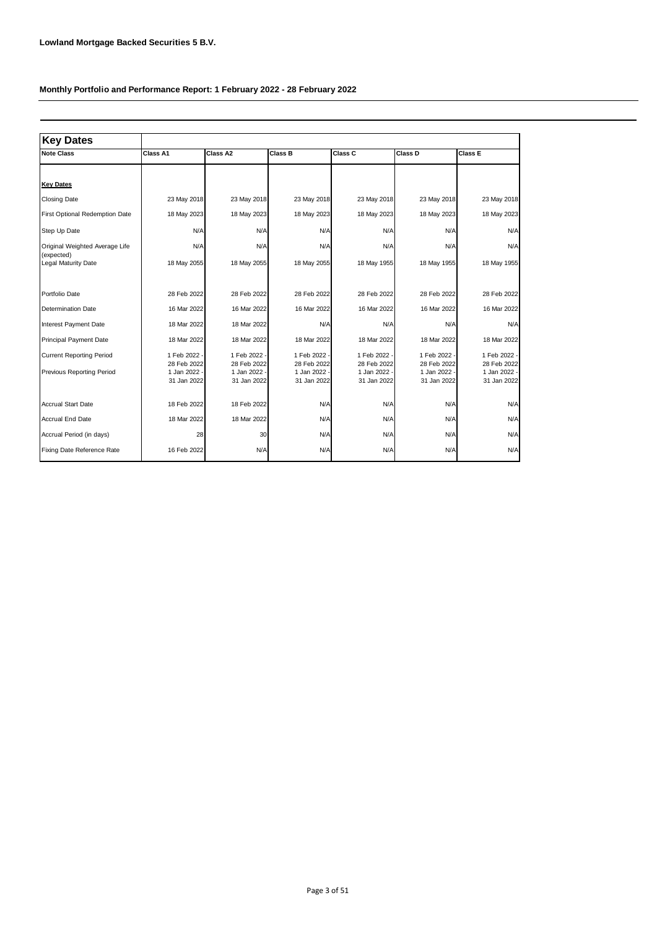| <b>Key Dates</b>                             |                             |                           |                             |                             |                             |                             |
|----------------------------------------------|-----------------------------|---------------------------|-----------------------------|-----------------------------|-----------------------------|-----------------------------|
| <b>Note Class</b>                            | Class A1                    | Class A2                  | Class B                     | Class C                     | Class D                     | Class E                     |
|                                              |                             |                           |                             |                             |                             |                             |
| <b>Key Dates</b>                             |                             |                           |                             |                             |                             |                             |
| <b>Closing Date</b>                          | 23 May 2018                 | 23 May 2018               | 23 May 2018                 | 23 May 2018                 | 23 May 2018                 | 23 May 2018                 |
| First Optional Redemption Date               | 18 May 2023                 | 18 May 2023               | 18 May 2023                 | 18 May 2023                 | 18 May 2023                 | 18 May 2023                 |
| Step Up Date                                 | N/A                         | N/A                       | N/A                         | N/A                         | N/A                         | N/A                         |
| Original Weighted Average Life<br>(expected) | N/A                         | N/A                       | N/A                         | N/A                         | N/A                         | N/A                         |
| Legal Maturity Date                          | 18 May 2055                 | 18 May 2055               | 18 May 2055                 | 18 May 1955                 | 18 May 1955                 | 18 May 1955                 |
| Portfolio Date                               | 28 Feb 2022                 | 28 Feb 2022               | 28 Feb 2022                 | 28 Feb 2022                 | 28 Feb 2022                 | 28 Feb 2022                 |
| <b>Determination Date</b>                    | 16 Mar 2022                 | 16 Mar 2022               | 16 Mar 2022                 | 16 Mar 2022                 | 16 Mar 2022                 | 16 Mar 2022                 |
| Interest Payment Date                        | 18 Mar 2022                 | 18 Mar 2022               | N/A                         | N/A                         | N/A                         | N/A                         |
| <b>Principal Payment Date</b>                | 18 Mar 2022                 | 18 Mar 2022               | 18 Mar 2022                 | 18 Mar 2022                 | 18 Mar 2022                 | 18 Mar 2022                 |
| <b>Current Reporting Period</b>              | 1 Feb 2022<br>28 Feb 2022   | 1 Feb 2022<br>28 Feb 2022 | 1 Feb 2022<br>28 Feb 2022   | 1 Feb 2022<br>28 Feb 2022   | 1 Feb 2022 -<br>28 Feb 2022 | 1 Feb 2022 -<br>28 Feb 2022 |
| <b>Previous Reporting Period</b>             | 1 Jan 2022 -<br>31 Jan 2022 | 1 Jan 2022<br>31 Jan 2022 | 1 Jan 2022 -<br>31 Jan 2022 | 1 Jan 2022 ·<br>31 Jan 2022 | 1 Jan 2022 -<br>31 Jan 2022 | 1 Jan 2022 -<br>31 Jan 2022 |
| <b>Accrual Start Date</b>                    | 18 Feb 2022                 | 18 Feb 2022               | N/A                         | N/A                         | N/A                         | N/A                         |
| <b>Accrual End Date</b>                      | 18 Mar 2022                 | 18 Mar 2022               | N/A                         | N/A                         | N/A                         | N/A                         |
| Accrual Period (in days)                     | 28                          | 30 <sub>0</sub>           | N/A                         | N/A                         | N/A                         | N/A                         |
| Fixing Date Reference Rate                   | 16 Feb 2022                 | N/A                       | N/A                         | N/A                         | N/A                         | N/A                         |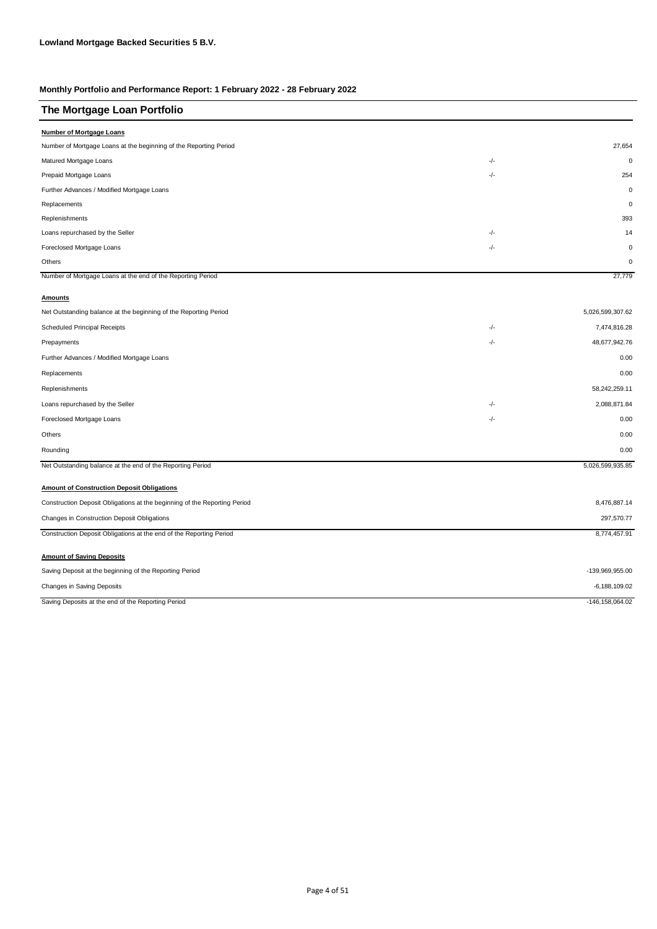| The Mortgage Loan Portfolio                                               |       |                     |
|---------------------------------------------------------------------------|-------|---------------------|
| <b>Number of Mortgage Loans</b>                                           |       |                     |
| Number of Mortgage Loans at the beginning of the Reporting Period         |       | 27,654              |
| Matured Mortgage Loans                                                    | -/-   | $\mathbf{0}$        |
| Prepaid Mortgage Loans                                                    | -/-   | 254                 |
| Further Advances / Modified Mortgage Loans                                |       | $\mathbf 0$         |
| Replacements                                                              |       | $\mathbf 0$         |
| Replenishments                                                            |       | 393                 |
| Loans repurchased by the Seller                                           | $-/-$ | 14                  |
| Foreclosed Mortgage Loans                                                 | $-/-$ | $\mathbf 0$         |
| Others                                                                    |       | $\mathbf 0$         |
| Number of Mortgage Loans at the end of the Reporting Period               |       | 27,779              |
| <b>Amounts</b>                                                            |       |                     |
| Net Outstanding balance at the beginning of the Reporting Period          |       | 5,026,599,307.62    |
| Scheduled Principal Receipts                                              | -/-   | 7,474,816.28        |
| Prepayments                                                               | -/-   | 48,677,942.76       |
| Further Advances / Modified Mortgage Loans                                |       | 0.00                |
| Replacements                                                              |       | 0.00                |
| Replenishments                                                            |       | 58,242,259.11       |
| Loans repurchased by the Seller                                           | -/-   | 2,088,871.84        |
| Foreclosed Mortgage Loans                                                 | -/-   | 0.00                |
| Others                                                                    |       | 0.00                |
| Rounding                                                                  |       | 0.00                |
| Net Outstanding balance at the end of the Reporting Period                |       | 5,026,599,935.85    |
| <b>Amount of Construction Deposit Obligations</b>                         |       |                     |
| Construction Deposit Obligations at the beginning of the Reporting Period |       | 8,476,887.14        |
| Changes in Construction Deposit Obligations                               |       | 297,570.77          |
| Construction Deposit Obligations at the end of the Reporting Period       |       | 8,774,457.91        |
|                                                                           |       |                     |
| <b>Amount of Saving Deposits</b>                                          |       |                     |
| Saving Deposit at the beginning of the Reporting Period                   |       | -139,969,955.00     |
| Changes in Saving Deposits                                                |       | $-6, 188, 109.02$   |
| Saving Deposits at the end of the Reporting Period                        |       | $-146, 158, 064.02$ |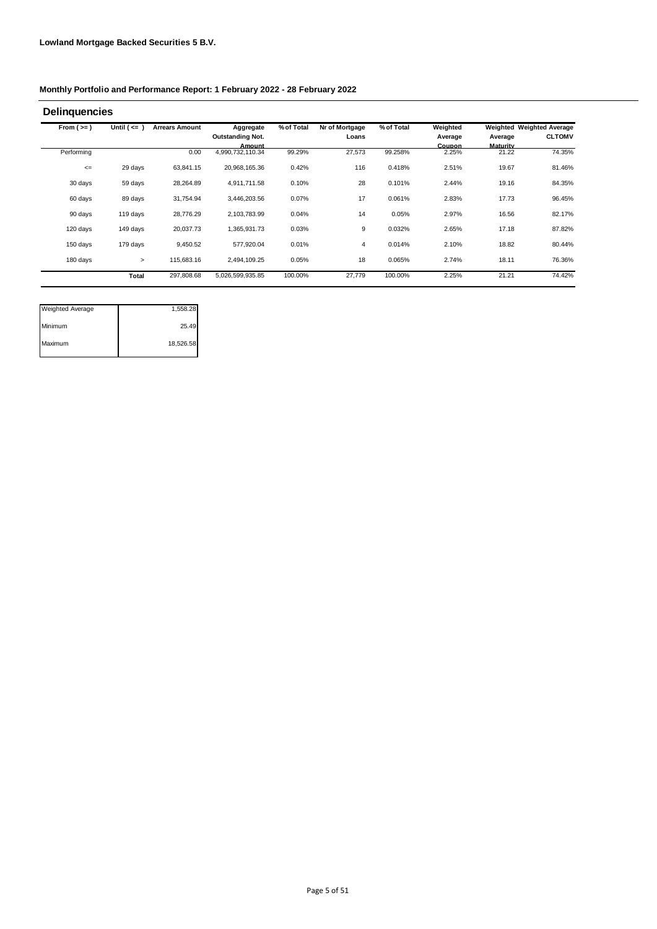| From $(>=)$ | Until $($ <= $)$ | <b>Arrears Amount</b> | Aggregate                  | % of Total | Nr of Mortgage | % of Total | Weighted        |                   | Weighted Weighted Average |
|-------------|------------------|-----------------------|----------------------------|------------|----------------|------------|-----------------|-------------------|---------------------------|
|             |                  |                       | <b>Outstanding Not.</b>    |            | Loans          |            | Average         | Average           | <b>CLTOMV</b>             |
| Performing  |                  | 0.00                  | Amount<br>4,990,732,110.34 | 99.29%     | 27,573         | 99.258%    | Coupon<br>2.25% | Maturity<br>21.22 | 74.35%                    |
| $\leq$      | 29 days          | 63,841.15             | 20,968,165.36              | 0.42%      | 116            | 0.418%     | 2.51%           | 19.67             | 81.46%                    |
| 30 days     | 59 days          | 28,264.89             | 4,911,711.58               | 0.10%      | 28             | 0.101%     | 2.44%           | 19.16             | 84.35%                    |
| 60 days     | 89 days          | 31,754.94             | 3,446,203.56               | 0.07%      | 17             | 0.061%     | 2.83%           | 17.73             | 96.45%                    |
| 90 days     | 119 days         | 28.776.29             | 2,103,783.99               | 0.04%      | 14             | 0.05%      | 2.97%           | 16.56             | 82.17%                    |
| 120 days    | 149 days         | 20,037.73             | 1,365,931.73               | 0.03%      | 9              | 0.032%     | 2.65%           | 17.18             | 87.82%                    |
| 150 days    | 179 days         | 9,450.52              | 577,920.04                 | 0.01%      | 4              | 0.014%     | 2.10%           | 18.82             | 80.44%                    |
| 180 days    | $\geq$           | 115,683.16            | 2,494,109.25               | 0.05%      | 18             | 0.065%     | 2.74%           | 18.11             | 76.36%                    |
|             | Total            | 297,808.68            | 5,026,599,935.85           | 100.00%    | 27,779         | 100.00%    | 2.25%           | 21.21             | 74.42%                    |

| <b>Weighted Average</b> | 1,558.28  |
|-------------------------|-----------|
| Minimum                 | 25.49     |
| Maximum                 | 18,526.58 |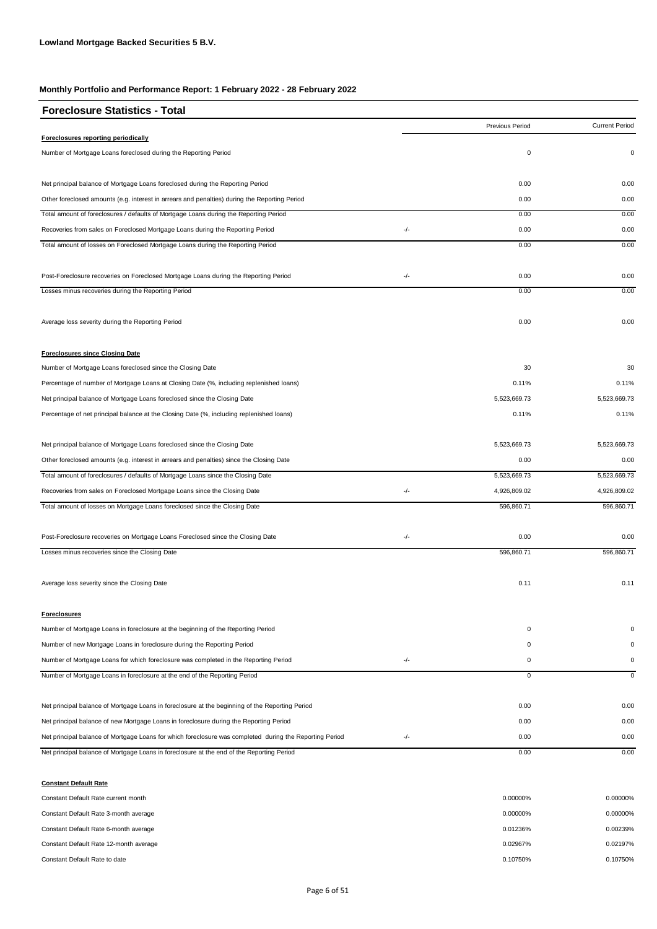| <b>Foreclosure Statistics - Total</b>                                                                   |     |                 |                       |
|---------------------------------------------------------------------------------------------------------|-----|-----------------|-----------------------|
|                                                                                                         |     | Previous Period | <b>Current Period</b> |
| <b>Foreclosures reporting periodically</b>                                                              |     |                 |                       |
| Number of Mortgage Loans foreclosed during the Reporting Period                                         |     | $\mathbf 0$     | 0                     |
| Net principal balance of Mortgage Loans foreclosed during the Reporting Period                          |     | 0.00            | 0.00                  |
| Other foreclosed amounts (e.g. interest in arrears and penalties) during the Reporting Period           |     | 0.00            | 0.00                  |
| Total amount of foreclosures / defaults of Mortgage Loans during the Reporting Period                   |     | 0.00            | 0.00                  |
| Recoveries from sales on Foreclosed Mortgage Loans during the Reporting Period                          | -/- | 0.00            | 0.00                  |
| Total amount of losses on Foreclosed Mortgage Loans during the Reporting Period                         |     | 0.00            | 0.00                  |
| Post-Foreclosure recoveries on Foreclosed Mortgage Loans during the Reporting Period                    | -/- | 0.00            | 0.00                  |
| Losses minus recoveries during the Reporting Period                                                     |     | 0.00            | 0.00                  |
| Average loss severity during the Reporting Period                                                       |     | 0.00            | 0.00                  |
| <b>Foreclosures since Closing Date</b>                                                                  |     |                 |                       |
| Number of Mortgage Loans foreclosed since the Closing Date                                              |     | 30              | 30                    |
| Percentage of number of Mortgage Loans at Closing Date (%, including replenished loans)                 |     | 0.11%           | 0.11%                 |
| Net principal balance of Mortgage Loans foreclosed since the Closing Date                               |     | 5,523,669.73    | 5,523,669.73          |
| Percentage of net principal balance at the Closing Date (%, including replenished loans)                |     | 0.11%           | 0.11%                 |
| Net principal balance of Mortgage Loans foreclosed since the Closing Date                               |     | 5,523,669.73    | 5,523,669.73          |
| Other foreclosed amounts (e.g. interest in arrears and penalties) since the Closing Date                |     | 0.00            | 0.00                  |
| Total amount of foreclosures / defaults of Mortgage Loans since the Closing Date                        |     | 5,523,669.73    | 5,523,669.73          |
| Recoveries from sales on Foreclosed Mortgage Loans since the Closing Date                               | -/- | 4,926,809.02    | 4,926,809.02          |
| Total amount of losses on Mortgage Loans foreclosed since the Closing Date                              |     | 596,860.71      | 596,860.71            |
| Post-Foreclosure recoveries on Mortgage Loans Foreclosed since the Closing Date                         | -/- | 0.00            | 0.00                  |
| Losses minus recoveries since the Closing Date                                                          |     | 596,860.71      | 596,860.71            |
| Average loss severity since the Closing Date                                                            |     | 0.11            | 0.11                  |
| <b>Foreclosures</b>                                                                                     |     |                 |                       |
| Number of Mortgage Loans in foreclosure at the beginning of the Reporting Period                        |     | $\mathbf 0$     | 0                     |
| Number of new Mortgage Loans in foreclosure during the Reporting Period                                 |     | 0               | $\Omega$              |
| Number of Mortgage Loans for which foreclosure was completed in the Reporting Period                    | -/- | 0               | 0                     |
| Number of Mortgage Loans in foreclosure at the end of the Reporting Period                              |     | $\mathbf 0$     | $\mathbf 0$           |
| Net principal balance of Mortgage Loans in foreclosure at the beginning of the Reporting Period         |     | 0.00            | 0.00                  |
| Net principal balance of new Mortgage Loans in foreclosure during the Reporting Period                  |     | 0.00            | 0.00                  |
| Net principal balance of Mortgage Loans for which foreclosure was completed during the Reporting Period | -/- | 0.00            | 0.00                  |
| Net principal balance of Mortgage Loans in foreclosure at the end of the Reporting Period               |     | 0.00            | 0.00                  |

**Constant Default Rate** Constant Default Rate current month 0.00000% 0.00000% 0.00000% 0.00000% 0.00000% 0.00000% 0.00000% 0.00000% 0.00000% 0.00000% 0.00000% 0.00000% 0.00000% 0.00000% 0.00000% 0.00000% 0.00000% 0.00000% 0.00000% 0.00000% 0.0000 Constant Default Rate 3-month average 0.00000% 0.00000% 0.00000% 0.00000% 0.00000% 0.00000% 0.00000% 0.00000% 0.00000% 0.00000% 0.00000% 0.00000% 0.00000% 0.00000% 0.00000% 0.00000% 0.00000% 0.00000% 0.00000% 0.00000% 0.00 Constant Default Rate 6-month average 0.00239% 0.00239% Constant Default Rate 12-month average 0.02197% 0.02197% Constant Default Rate to date 0.10750% 0.10750% 0.10750% 0.10750% 0.10750% 0.10750% 0.10750% 0.10750% 0.10750% 0.10750% 0.10750% 0.10750% 0.10750% 0.10750% 0.10750% 0.10750% 0.10750% 0.10750% 0.10750% 0.10750% 0.10750% 0.1 0.00000% 0.01236% 0.02967% 0.00000%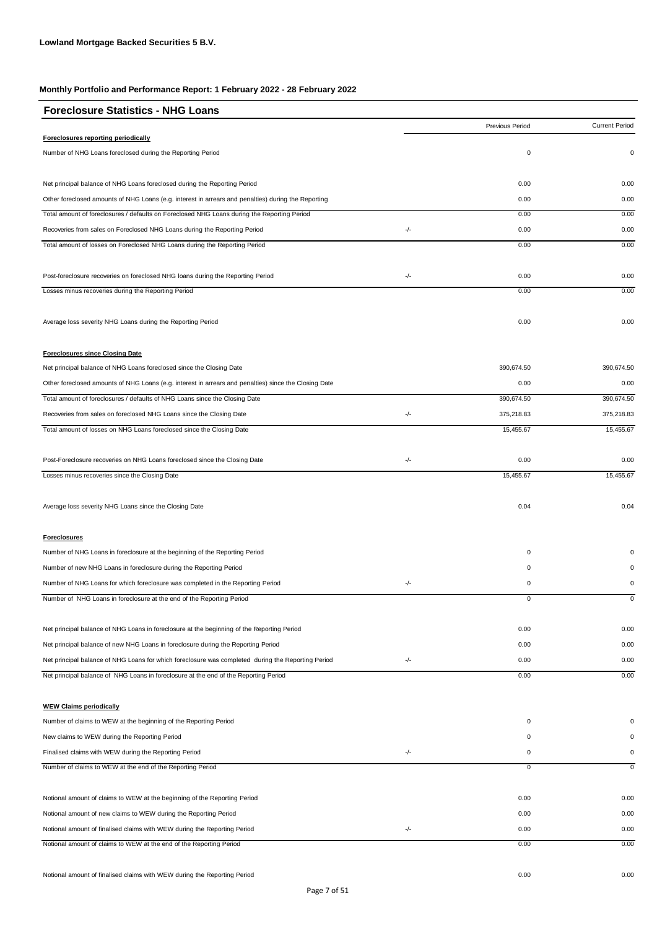| <b>Foreclosure Statistics - NHG Loans</b>                                                             |     |                 |                       |
|-------------------------------------------------------------------------------------------------------|-----|-----------------|-----------------------|
|                                                                                                       |     | Previous Period | <b>Current Period</b> |
| Foreclosures reporting periodically                                                                   |     |                 |                       |
| Number of NHG Loans foreclosed during the Reporting Period                                            |     | 0               | 0                     |
| Net principal balance of NHG Loans foreclosed during the Reporting Period                             |     | 0.00            | 0.00                  |
| Other foreclosed amounts of NHG Loans (e.g. interest in arrears and penalties) during the Reporting   |     | 0.00            | 0.00                  |
| Total amount of foreclosures / defaults on Foreclosed NHG Loans during the Reporting Period           |     | 0.00            | 0.00                  |
| Recoveries from sales on Foreclosed NHG Loans during the Reporting Period                             | -/- | 0.00            | 0.00                  |
| Total amount of losses on Foreclosed NHG Loans during the Reporting Period                            |     | 0.00            | 0.00                  |
| Post-foreclosure recoveries on foreclosed NHG loans during the Reporting Period                       | -/- | 0.00            | 0.00                  |
| Losses minus recoveries during the Reporting Period                                                   |     | 0.00            | 0.00                  |
| Average loss severity NHG Loans during the Reporting Period                                           |     | 0.00            | 0.00                  |
| <b>Foreclosures since Closing Date</b>                                                                |     |                 |                       |
| Net principal balance of NHG Loans foreclosed since the Closing Date                                  |     | 390,674.50      | 390,674.50            |
| Other foreclosed amounts of NHG Loans (e.g. interest in arrears and penalties) since the Closing Date |     | 0.00            | 0.00                  |
| Total amount of foreclosures / defaults of NHG Loans since the Closing Date                           |     | 390,674.50      | 390,674.50            |
| Recoveries from sales on foreclosed NHG Loans since the Closing Date                                  | -/- | 375,218.83      | 375,218.83            |
| Total amount of losses on NHG Loans foreclosed since the Closing Date                                 |     | 15,455.67       | 15,455.67             |
| Post-Foreclosure recoveries on NHG Loans foreclosed since the Closing Date                            | -/- | 0.00            | 0.00                  |
| Losses minus recoveries since the Closing Date                                                        |     | 15,455.67       | 15,455.67             |
| Average loss severity NHG Loans since the Closing Date                                                |     | 0.04            | 0.04                  |
| <b>Foreclosures</b>                                                                                   |     |                 |                       |
| Number of NHG Loans in foreclosure at the beginning of the Reporting Period                           |     | 0               | 0                     |
| Number of new NHG Loans in foreclosure during the Reporting Period                                    |     | 0               | 0                     |
| Number of NHG Loans for which foreclosure was completed in the Reporting Period                       | -/- | 0               | $\pmb{0}$             |
| Number of NHG Loans in foreclosure at the end of the Reporting Period                                 |     | 0               | $\mathsf 0$           |
| Net principal balance of NHG Loans in foreclosure at the beginning of the Reporting Period            |     | 0.00            | 0.00                  |
| Net principal balance of new NHG Loans in foreclosure during the Reporting Period                     |     | 0.00            | 0.00                  |
| Net principal balance of NHG Loans for which foreclosure was completed during the Reporting Period    | -/- | 0.00            | 0.00                  |
| Net principal balance of NHG Loans in foreclosure at the end of the Reporting Period                  |     | 0.00            | 0.00                  |
| <b>WEW Claims periodically</b>                                                                        |     |                 |                       |
| Number of claims to WEW at the beginning of the Reporting Period                                      |     | 0               | $\Omega$              |
| New claims to WEW during the Reporting Period                                                         |     | 0               | 0                     |
| Finalised claims with WEW during the Reporting Period                                                 | -/- | 0               | 0                     |
| Number of claims to WEW at the end of the Reporting Period                                            |     | 0               | 0                     |
| Notional amount of claims to WEW at the beginning of the Reporting Period                             |     | 0.00            | 0.00                  |
| Notional amount of new claims to WEW during the Reporting Period                                      |     | 0.00            | 0.00                  |
| Notional amount of finalised claims with WEW during the Reporting Period                              | -/- | 0.00            | 0.00                  |
| Notional amount of claims to WEW at the end of the Reporting Period                                   |     | 0.00            | 0.00                  |
|                                                                                                       |     |                 |                       |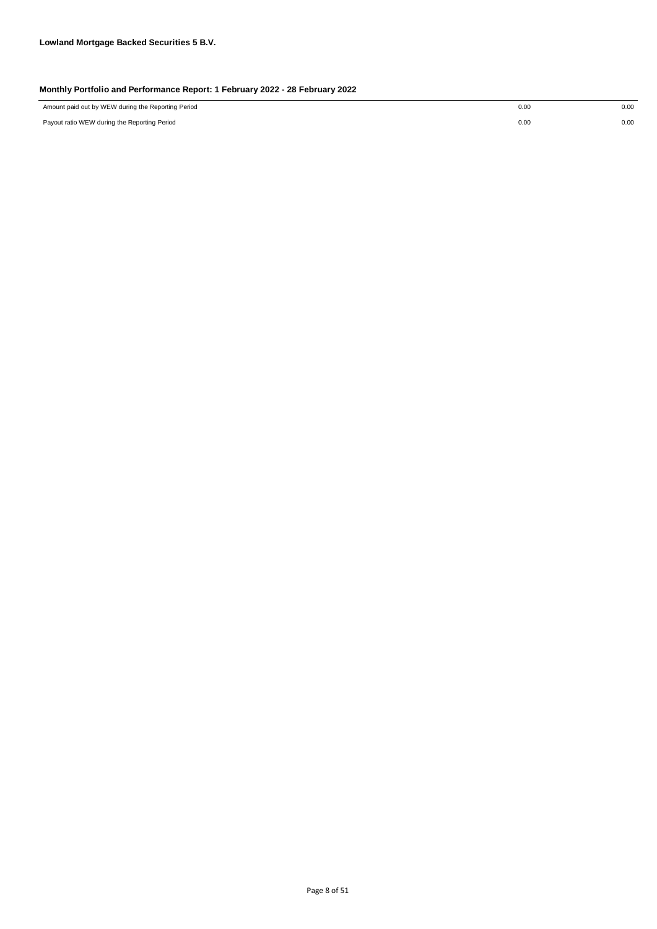| Amount paid out by WEW during the Reporting Period<br>0.00<br>0.00 |
|--------------------------------------------------------------------|
|--------------------------------------------------------------------|

Payout ratio WEW during the Reporting Period 0.00 0.00

0.00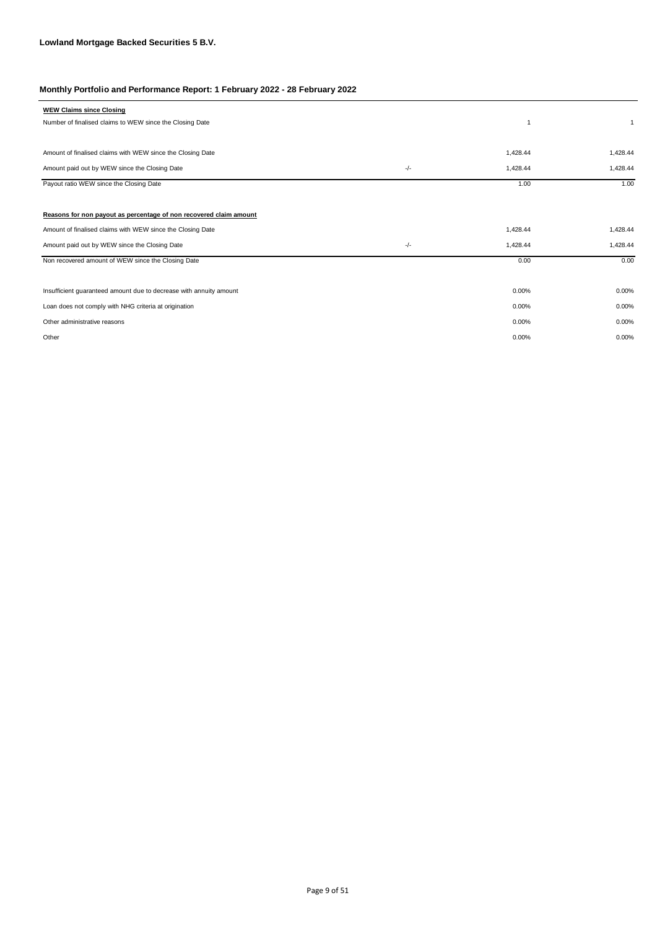| <b>WEW Claims since Closing</b>                                    |     |          |              |
|--------------------------------------------------------------------|-----|----------|--------------|
| Number of finalised claims to WEW since the Closing Date           |     |          | $\mathbf{1}$ |
|                                                                    |     |          |              |
| Amount of finalised claims with WEW since the Closing Date         |     | 1,428.44 | 1,428.44     |
| Amount paid out by WEW since the Closing Date                      | -/- | 1,428.44 | 1,428.44     |
| Payout ratio WEW since the Closing Date                            |     | 1.00     | 1.00         |
|                                                                    |     |          |              |
| Reasons for non payout as percentage of non recovered claim amount |     |          |              |
| Amount of finalised claims with WEW since the Closing Date         |     | 1,428.44 | 1,428.44     |
| Amount paid out by WEW since the Closing Date                      | -/- | 1,428.44 | 1,428.44     |
| Non recovered amount of WEW since the Closing Date                 |     | 0.00     | 0.00         |
|                                                                    |     |          |              |
| Insufficient guaranteed amount due to decrease with annuity amount |     | 0.00%    | 0.00%        |
| Loan does not comply with NHG criteria at origination              |     | 0.00%    | 0.00%        |
| Other administrative reasons                                       |     | 0.00%    | 0.00%        |
| Other                                                              |     | 0.00%    | 0.00%        |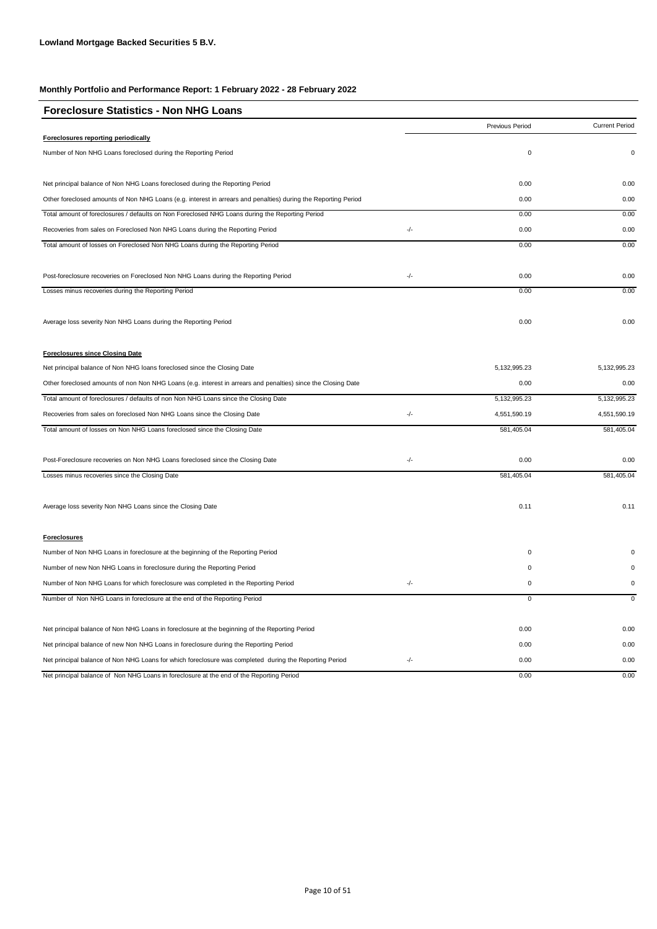| <b>Foreclosure Statistics - Non NHG Loans</b>                                                                  |       |                 |                       |
|----------------------------------------------------------------------------------------------------------------|-------|-----------------|-----------------------|
|                                                                                                                |       | Previous Period | <b>Current Period</b> |
| Foreclosures reporting periodically                                                                            |       |                 |                       |
| Number of Non NHG Loans foreclosed during the Reporting Period                                                 |       | 0               | 0                     |
| Net principal balance of Non NHG Loans foreclosed during the Reporting Period                                  |       | 0.00            | 0.00                  |
| Other foreclosed amounts of Non NHG Loans (e.g. interest in arrears and penalties) during the Reporting Period |       | 0.00            | 0.00                  |
| Total amount of foreclosures / defaults on Non Foreclosed NHG Loans during the Reporting Period                |       | 0.00            | 0.00                  |
| Recoveries from sales on Foreclosed Non NHG Loans during the Reporting Period                                  | $-/-$ | 0.00            | 0.00                  |
| Total amount of losses on Foreclosed Non NHG Loans during the Reporting Period                                 |       | 0.00            | 0.00                  |
| Post-foreclosure recoveries on Foreclosed Non NHG Loans during the Reporting Period                            | -/-   | 0.00            | 0.00                  |
| Losses minus recoveries during the Reporting Period                                                            |       | 0.00            | 0.00                  |
| Average loss severity Non NHG Loans during the Reporting Period                                                |       | 0.00            | 0.00                  |
| <b>Foreclosures since Closing Date</b>                                                                         |       |                 |                       |
| Net principal balance of Non NHG loans foreclosed since the Closing Date                                       |       | 5, 132, 995.23  | 5, 132, 995. 23       |
| Other foreclosed amounts of non Non NHG Loans (e.g. interest in arrears and penalties) since the Closing Date  |       | 0.00            | 0.00                  |
| Total amount of foreclosures / defaults of non Non NHG Loans since the Closing Date                            |       | 5, 132, 995.23  | 5, 132, 995.23        |
| Recoveries from sales on foreclosed Non NHG Loans since the Closing Date                                       | $-/-$ | 4,551,590.19    | 4,551,590.19          |
| Total amount of losses on Non NHG Loans foreclosed since the Closing Date                                      |       | 581,405.04      | 581,405.04            |
| Post-Foreclosure recoveries on Non NHG Loans foreclosed since the Closing Date                                 | -/-   | 0.00            | 0.00                  |
| Losses minus recoveries since the Closing Date                                                                 |       | 581,405.04      | 581,405.04            |
| Average loss severity Non NHG Loans since the Closing Date                                                     |       | 0.11            | 0.11                  |
| <b>Foreclosures</b>                                                                                            |       |                 |                       |
| Number of Non NHG Loans in foreclosure at the beginning of the Reporting Period                                |       | 0               |                       |
| Number of new Non NHG Loans in foreclosure during the Reporting Period                                         |       | 0               | $\Omega$              |
| Number of Non NHG Loans for which foreclosure was completed in the Reporting Period                            | -/-   | 0               | 0                     |
| Number of Non NHG Loans in foreclosure at the end of the Reporting Period                                      |       | 0               | $\mathsf 0$           |
| Net principal balance of Non NHG Loans in foreclosure at the beginning of the Reporting Period                 |       | 0.00            | 0.00                  |
| Net principal balance of new Non NHG Loans in foreclosure during the Reporting Period                          |       | 0.00            | 0.00                  |
| Net principal balance of Non NHG Loans for which foreclosure was completed during the Reporting Period         | -/-   | 0.00            | 0.00                  |
| Net principal balance of Non NHG Loans in foreclosure at the end of the Reporting Period                       |       | 0.00            | 0.00                  |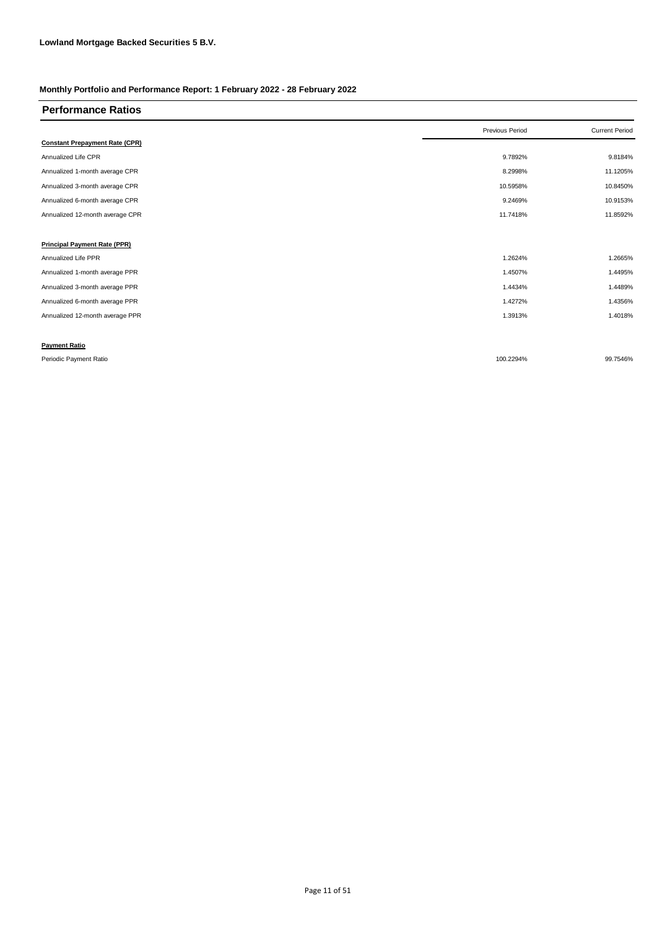| <b>Performance Ratios</b>             |                 |                       |
|---------------------------------------|-----------------|-----------------------|
|                                       | Previous Period | <b>Current Period</b> |
| <b>Constant Prepayment Rate (CPR)</b> |                 |                       |
| Annualized Life CPR                   | 9.7892%         | 9.8184%               |
| Annualized 1-month average CPR        | 8.2998%         | 11.1205%              |
| Annualized 3-month average CPR        | 10.5958%        | 10.8450%              |
| Annualized 6-month average CPR        | 9.2469%         | 10.9153%              |
| Annualized 12-month average CPR       | 11.7418%        | 11.8592%              |
|                                       |                 |                       |
| <b>Principal Payment Rate (PPR)</b>   |                 |                       |
| Annualized Life PPR                   | 1.2624%         | 1.2665%               |
| Annualized 1-month average PPR        | 1.4507%         | 1.4495%               |
| Annualized 3-month average PPR        | 1.4434%         | 1.4489%               |
| Annualized 6-month average PPR        | 1.4272%         | 1.4356%               |
| Annualized 12-month average PPR       | 1.3913%         | 1.4018%               |
|                                       |                 |                       |
| <b>Payment Ratio</b>                  |                 |                       |
| Periodic Payment Ratio                | 100.2294%       | 99.7546%              |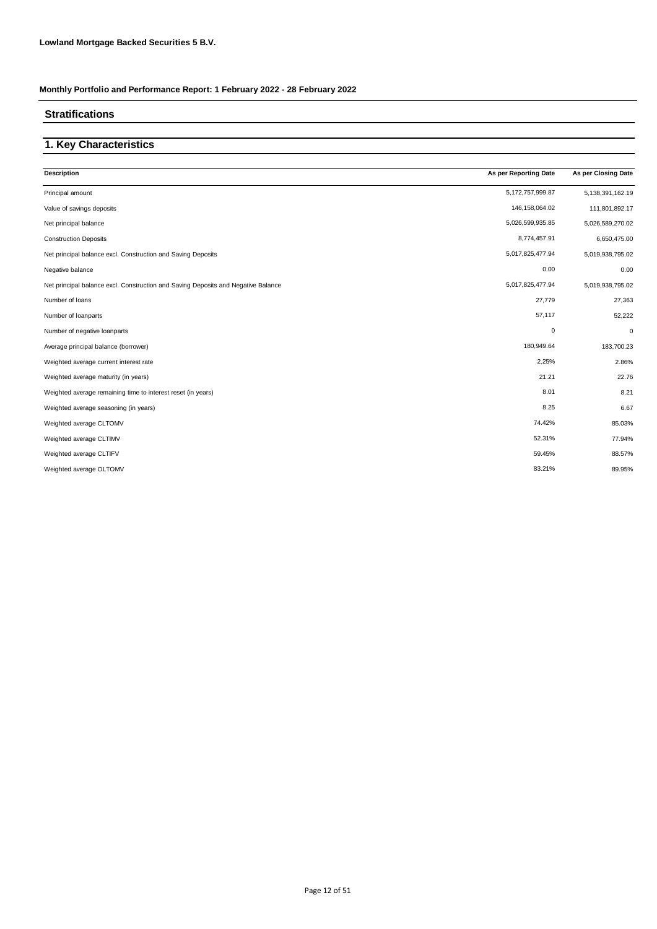#### **Stratifications**

### **1. Key Characteristics**

| As per Reporting Date | As per Closing Date  |
|-----------------------|----------------------|
| 5, 172, 757, 999.87   | 5, 138, 391, 162. 19 |
| 146, 158, 064.02      | 111,801,892.17       |
| 5,026,599,935.85      | 5,026,589,270.02     |
| 8,774,457.91          | 6,650,475.00         |
| 5,017,825,477.94      | 5,019,938,795.02     |
| 0.00                  | 0.00                 |
| 5,017,825,477.94      | 5,019,938,795.02     |
| 27,779                | 27,363               |
| 57,117                | 52,222               |
| $\mathbf 0$           | 0                    |
| 180,949.64            | 183,700.23           |
| 2.25%                 | 2.86%                |
| 21.21                 | 22.76                |
| 8.01                  | 8.21                 |
| 8.25                  | 6.67                 |
| 74.42%                | 85.03%               |
| 52.31%                | 77.94%               |
| 59.45%                | 88.57%               |
| 83.21%                | 89.95%               |
|                       |                      |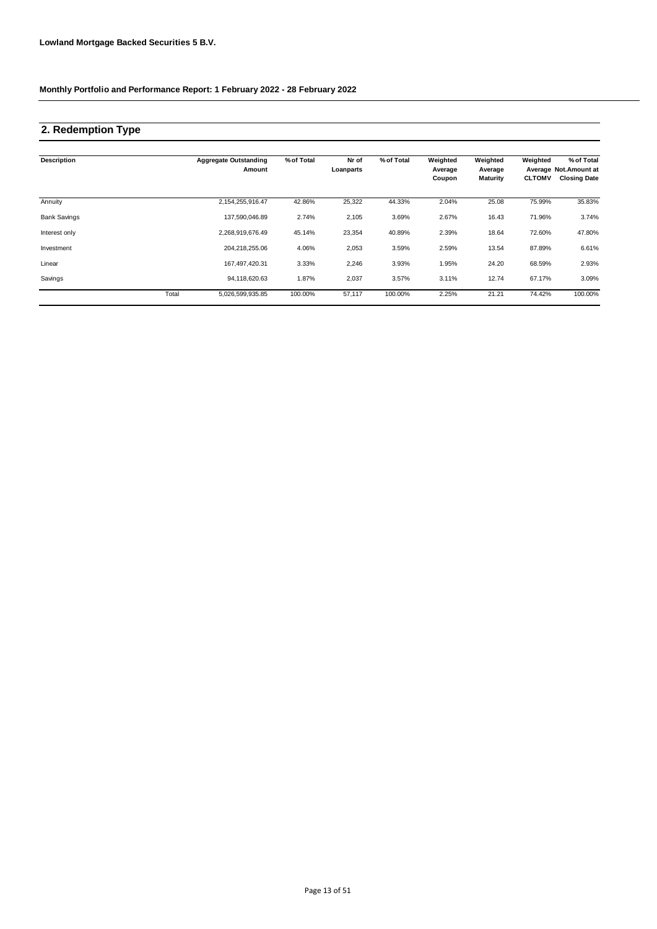# **2. Redemption Type**

| <b>Description</b>  |       | <b>Aggregate Outstanding</b><br>Amount | % of Total | Nr of<br>Loanparts | % of Total | Weighted<br>Average<br>Coupon | Weighted<br>Average<br><b>Maturity</b> | Weighted<br><b>CLTOMV</b> | % of Total<br>Average Not.Amount at<br><b>Closing Date</b> |
|---------------------|-------|----------------------------------------|------------|--------------------|------------|-------------------------------|----------------------------------------|---------------------------|------------------------------------------------------------|
| Annuity             |       | 2,154,255,916.47                       | 42.86%     | 25,322             | 44.33%     | 2.04%                         | 25.08                                  | 75.99%                    | 35.83%                                                     |
| <b>Bank Savings</b> |       | 137,590,046.89                         | 2.74%      | 2,105              | 3.69%      | 2.67%                         | 16.43                                  | 71.96%                    | 3.74%                                                      |
| Interest only       |       | 2,268,919,676.49                       | 45.14%     | 23,354             | 40.89%     | 2.39%                         | 18.64                                  | 72.60%                    | 47.80%                                                     |
| Investment          |       | 204,218,255.06                         | 4.06%      | 2,053              | 3.59%      | 2.59%                         | 13.54                                  | 87.89%                    | 6.61%                                                      |
| Linear              |       | 167,497,420.31                         | 3.33%      | 2,246              | 3.93%      | 1.95%                         | 24.20                                  | 68.59%                    | 2.93%                                                      |
| Savings             |       | 94,118,620.63                          | 1.87%      | 2,037              | 3.57%      | 3.11%                         | 12.74                                  | 67.17%                    | 3.09%                                                      |
|                     | Total | 5,026,599,935.85                       | 100.00%    | 57,117             | 100.00%    | 2.25%                         | 21.21                                  | 74.42%                    | 100.00%                                                    |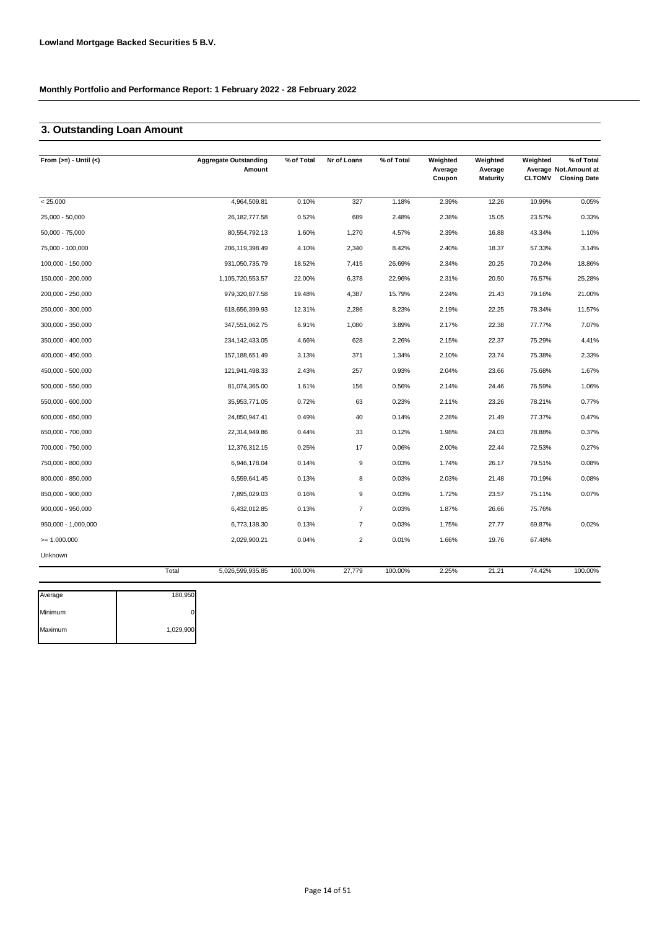### **3. Outstanding Loan Amount**

| From $(>=) -$ Until $(<)$ |       | <b>Aggregate Outstanding</b><br>Amount | % of Total | Nr of Loans    | % of Total | Weighted<br>Average<br>Coupon | Weighted<br>Average<br>Maturity | Weighted<br><b>CLTOMV</b> | % of Total<br>Average Not. Amount at<br><b>Closing Date</b> |
|---------------------------|-------|----------------------------------------|------------|----------------|------------|-------------------------------|---------------------------------|---------------------------|-------------------------------------------------------------|
| < 25.000                  |       | 4,964,509.81                           | 0.10%      | 327            | 1.18%      | 2.39%                         | 12.26                           | 10.99%                    | 0.05%                                                       |
| 25,000 - 50,000           |       | 26, 182, 777.58                        | 0.52%      | 689            | 2.48%      | 2.38%                         | 15.05                           | 23.57%                    | 0.33%                                                       |
| 50,000 - 75,000           |       | 80,554,792.13                          | 1.60%      | 1,270          | 4.57%      | 2.39%                         | 16.88                           | 43.34%                    | 1.10%                                                       |
| 75,000 - 100,000          |       | 206, 119, 398.49                       | 4.10%      | 2,340          | 8.42%      | 2.40%                         | 18.37                           | 57.33%                    | 3.14%                                                       |
| 100,000 - 150,000         |       | 931,050,735.79                         | 18.52%     | 7,415          | 26.69%     | 2.34%                         | 20.25                           | 70.24%                    | 18.86%                                                      |
| 150,000 - 200,000         |       | 1,105,720,553.57                       | 22.00%     | 6,378          | 22.96%     | 2.31%                         | 20.50                           | 76.57%                    | 25.28%                                                      |
| 200,000 - 250,000         |       | 979,320,877.58                         | 19.48%     | 4,387          | 15.79%     | 2.24%                         | 21.43                           | 79.16%                    | 21.00%                                                      |
| 250,000 - 300,000         |       | 618,656,399.93                         | 12.31%     | 2,286          | 8.23%      | 2.19%                         | 22.25                           | 78.34%                    | 11.57%                                                      |
| 300,000 - 350,000         |       | 347,551,062.75                         | 6.91%      | 1,080          | 3.89%      | 2.17%                         | 22.38                           | 77.77%                    | 7.07%                                                       |
| 350,000 - 400,000         |       | 234, 142, 433.05                       | 4.66%      | 628            | 2.26%      | 2.15%                         | 22.37                           | 75.29%                    | 4.41%                                                       |
| 400,000 - 450,000         |       | 157, 188, 651.49                       | 3.13%      | 371            | 1.34%      | 2.10%                         | 23.74                           | 75.38%                    | 2.33%                                                       |
| 450,000 - 500,000         |       | 121,941,498.33                         | 2.43%      | 257            | 0.93%      | 2.04%                         | 23.66                           | 75.68%                    | 1.67%                                                       |
| 500,000 - 550,000         |       | 81,074,365.00                          | 1.61%      | 156            | 0.56%      | 2.14%                         | 24.46                           | 76.59%                    | 1.06%                                                       |
| 550,000 - 600,000         |       | 35,953,771.05                          | 0.72%      | 63             | 0.23%      | 2.11%                         | 23.26                           | 78.21%                    | 0.77%                                                       |
| 600,000 - 650,000         |       | 24,850,947.41                          | 0.49%      | 40             | 0.14%      | 2.28%                         | 21.49                           | 77.37%                    | 0.47%                                                       |
| 650,000 - 700,000         |       | 22,314,949.86                          | 0.44%      | 33             | 0.12%      | 1.98%                         | 24.03                           | 78.88%                    | 0.37%                                                       |
| 700,000 - 750,000         |       | 12,376,312.15                          | 0.25%      | 17             | 0.06%      | 2.00%                         | 22.44                           | 72.53%                    | 0.27%                                                       |
| 750,000 - 800,000         |       | 6,946,178.04                           | 0.14%      | 9              | 0.03%      | 1.74%                         | 26.17                           | 79.51%                    | 0.08%                                                       |
| 800,000 - 850,000         |       | 6,559,641.45                           | 0.13%      | 8              | 0.03%      | 2.03%                         | 21.48                           | 70.19%                    | 0.08%                                                       |
| 850,000 - 900,000         |       | 7,895,029.03                           | 0.16%      | 9              | 0.03%      | 1.72%                         | 23.57                           | 75.11%                    | 0.07%                                                       |
| 900,000 - 950,000         |       | 6,432,012.85                           | 0.13%      | $\overline{7}$ | 0.03%      | 1.87%                         | 26.66                           | 75.76%                    |                                                             |
| 950,000 - 1,000,000       |       | 6,773,138.30                           | 0.13%      | $\overline{7}$ | 0.03%      | 1.75%                         | 27.77                           | 69.87%                    | 0.02%                                                       |
| $= 1.000.000$             |       | 2,029,900.21                           | 0.04%      | 2              | 0.01%      | 1.66%                         | 19.76                           | 67.48%                    |                                                             |
| Unknown                   |       |                                        |            |                |            |                               |                                 |                           |                                                             |
|                           | Total | 5,026,599,935.85                       | 100.00%    | 27,779         | 100.00%    | 2.25%                         | 21.21                           | 74.42%                    | 100.00%                                                     |

| 180,950   |
|-----------|
|           |
| 1,029,900 |
|           |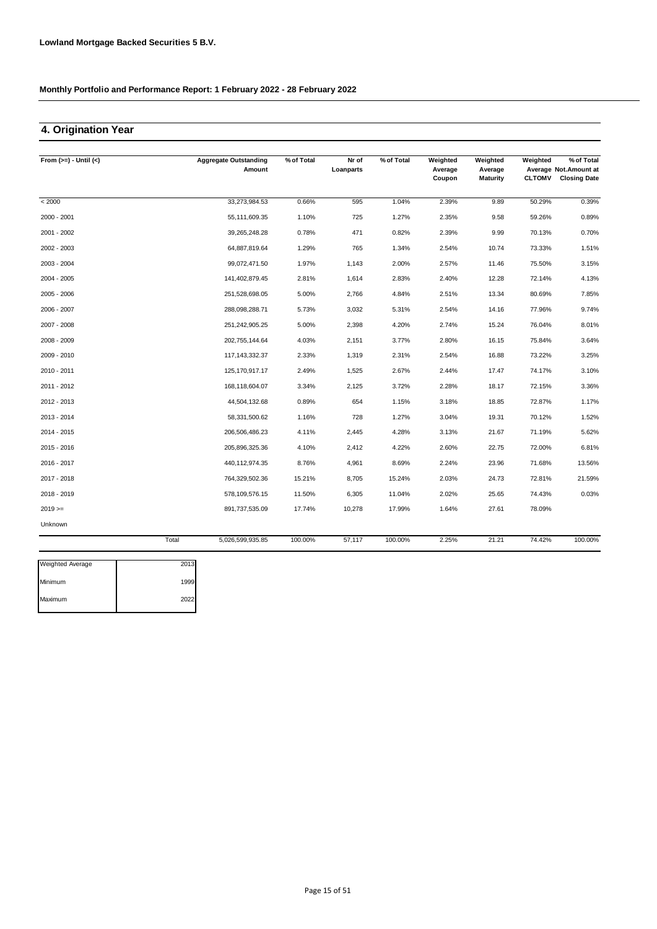### **4. Origination Year**

| From $(>=) -$ Until $(<)$ |       | <b>Aggregate Outstanding</b> | % of Total | Nr of     | % of Total | Weighted          | Weighted                   | Weighted      | % of Total                                   |
|---------------------------|-------|------------------------------|------------|-----------|------------|-------------------|----------------------------|---------------|----------------------------------------------|
|                           |       | Amount                       |            | Loanparts |            | Average<br>Coupon | Average<br><b>Maturity</b> | <b>CLTOMV</b> | Average Not.Amount at<br><b>Closing Date</b> |
| < 2000                    |       | 33,273,984.53                | 0.66%      | 595       | 1.04%      | 2.39%             | 9.89                       | 50.29%        | 0.39%                                        |
| 2000 - 2001               |       | 55,111,609.35                | 1.10%      | 725       | 1.27%      | 2.35%             | 9.58                       | 59.26%        | 0.89%                                        |
| 2001 - 2002               |       | 39,265,248.28                | 0.78%      | 471       | 0.82%      | 2.39%             | 9.99                       | 70.13%        | 0.70%                                        |
| 2002 - 2003               |       | 64,887,819.64                | 1.29%      | 765       | 1.34%      | 2.54%             | 10.74                      | 73.33%        | 1.51%                                        |
| 2003 - 2004               |       | 99,072,471.50                | 1.97%      | 1,143     | 2.00%      | 2.57%             | 11.46                      | 75.50%        | 3.15%                                        |
| 2004 - 2005               |       | 141,402,879.45               | 2.81%      | 1,614     | 2.83%      | 2.40%             | 12.28                      | 72.14%        | 4.13%                                        |
| 2005 - 2006               |       | 251,528,698.05               | 5.00%      | 2,766     | 4.84%      | 2.51%             | 13.34                      | 80.69%        | 7.85%                                        |
| 2006 - 2007               |       | 288,098,288.71               | 5.73%      | 3,032     | 5.31%      | 2.54%             | 14.16                      | 77.96%        | 9.74%                                        |
| 2007 - 2008               |       | 251,242,905.25               | 5.00%      | 2,398     | 4.20%      | 2.74%             | 15.24                      | 76.04%        | 8.01%                                        |
| 2008 - 2009               |       | 202,755,144.64               | 4.03%      | 2,151     | 3.77%      | 2.80%             | 16.15                      | 75.84%        | 3.64%                                        |
| 2009 - 2010               |       | 117, 143, 332. 37            | 2.33%      | 1,319     | 2.31%      | 2.54%             | 16.88                      | 73.22%        | 3.25%                                        |
| 2010 - 2011               |       | 125, 170, 917. 17            | 2.49%      | 1,525     | 2.67%      | 2.44%             | 17.47                      | 74.17%        | 3.10%                                        |
| 2011 - 2012               |       | 168,118,604.07               | 3.34%      | 2,125     | 3.72%      | 2.28%             | 18.17                      | 72.15%        | 3.36%                                        |
| 2012 - 2013               |       | 44,504,132.68                | 0.89%      | 654       | 1.15%      | 3.18%             | 18.85                      | 72.87%        | 1.17%                                        |
| 2013 - 2014               |       | 58,331,500.62                | 1.16%      | 728       | 1.27%      | 3.04%             | 19.31                      | 70.12%        | 1.52%                                        |
| 2014 - 2015               |       | 206,506,486.23               | 4.11%      | 2,445     | 4.28%      | 3.13%             | 21.67                      | 71.19%        | 5.62%                                        |
| 2015 - 2016               |       | 205,896,325.36               | 4.10%      | 2,412     | 4.22%      | 2.60%             | 22.75                      | 72.00%        | 6.81%                                        |
| 2016 - 2017               |       | 440,112,974.35               | 8.76%      | 4,961     | 8.69%      | 2.24%             | 23.96                      | 71.68%        | 13.56%                                       |
| 2017 - 2018               |       | 764,329,502.36               | 15.21%     | 8,705     | 15.24%     | 2.03%             | 24.73                      | 72.81%        | 21.59%                                       |
| 2018 - 2019               |       | 578,109,576.15               | 11.50%     | 6,305     | 11.04%     | 2.02%             | 25.65                      | 74.43%        | 0.03%                                        |
| $2019 ==$                 |       | 891,737,535.09               | 17.74%     | 10,278    | 17.99%     | 1.64%             | 27.61                      | 78.09%        |                                              |
| Unknown                   |       |                              |            |           |            |                   |                            |               |                                              |
|                           | Total | 5,026,599,935.85             | 100.00%    | 57,117    | 100.00%    | 2.25%             | 21.21                      | 74.42%        | 100.00%                                      |

| <b>Weighted Average</b> | 2013 |
|-------------------------|------|
| Minimum                 | 1999 |
| Maximum                 | 2022 |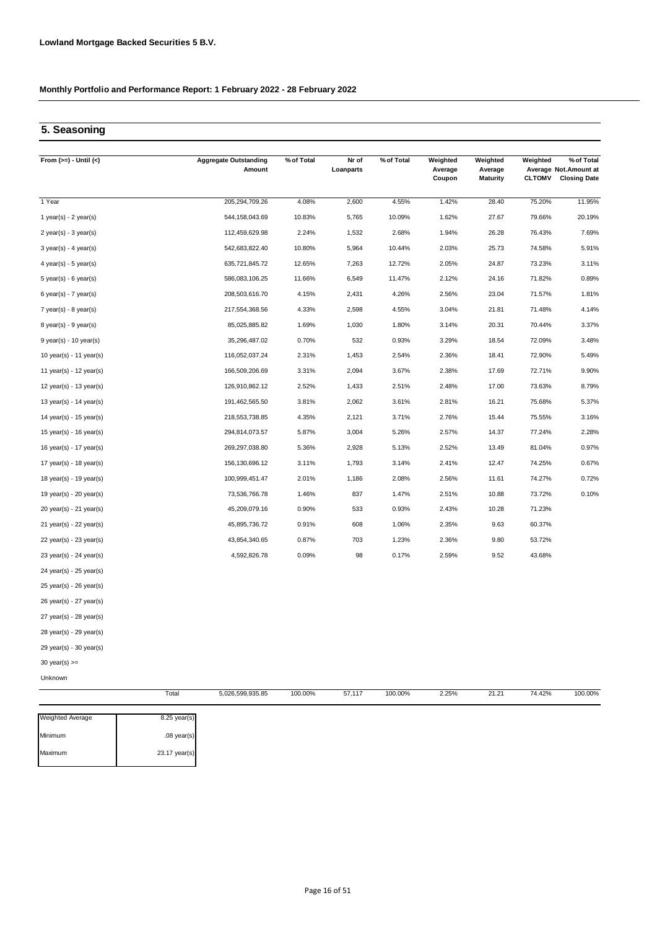# **5. Seasoning**

| From $(>=) -$ Until $(<)$ | <b>Aggregate Outstanding</b><br>Amount | % of Total | Nr of<br>Loanparts | % of Total | Weighted<br>Average<br>Coupon | Weighted<br>Average<br><b>Maturity</b> | Weighted<br><b>CLTOMV</b> | % of Total<br>Average Not. Amount at<br><b>Closing Date</b> |
|---------------------------|----------------------------------------|------------|--------------------|------------|-------------------------------|----------------------------------------|---------------------------|-------------------------------------------------------------|
| 1 Year                    | 205,294,709.26                         | 4.08%      | 2,600              | 4.55%      | 1.42%                         | 28.40                                  | 75.20%                    | 11.95%                                                      |
| 1 year(s) - $2$ year(s)   | 544, 158, 043.69                       | 10.83%     | 5,765              | 10.09%     | 1.62%                         | 27.67                                  | 79.66%                    | 20.19%                                                      |
| 2 year(s) - 3 year(s)     | 112,459,629.98                         | 2.24%      | 1,532              | 2.68%      | 1.94%                         | 26.28                                  | 76.43%                    | 7.69%                                                       |
| $3$ year(s) - 4 year(s)   | 542,683,822.40                         | 10.80%     | 5,964              | 10.44%     | 2.03%                         | 25.73                                  | 74.58%                    | 5.91%                                                       |
| $4$ year(s) - 5 year(s)   | 635,721,845.72                         | 12.65%     | 7,263              | 12.72%     | 2.05%                         | 24.87                                  | 73.23%                    | 3.11%                                                       |
| $5$ year(s) - 6 year(s)   | 586,083,106.25                         | 11.66%     | 6,549              | 11.47%     | 2.12%                         | 24.16                                  | 71.82%                    | 0.89%                                                       |
| 6 year(s) - 7 year(s)     | 208,503,616.70                         | 4.15%      | 2,431              | 4.26%      | 2.56%                         | 23.04                                  | 71.57%                    | 1.81%                                                       |
| $7$ year(s) - 8 year(s)   | 217,554,368.56                         | 4.33%      | 2,598              | 4.55%      | 3.04%                         | 21.81                                  | 71.48%                    | 4.14%                                                       |
| $8$ year(s) - $9$ year(s) | 85,025,885.82                          | 1.69%      | 1,030              | 1.80%      | 3.14%                         | 20.31                                  | 70.44%                    | 3.37%                                                       |
| 9 year(s) - 10 year(s)    | 35,296,487.02                          | 0.70%      | 532                | 0.93%      | 3.29%                         | 18.54                                  | 72.09%                    | 3.48%                                                       |
| 10 year(s) - 11 year(s)   | 116,052,037.24                         | 2.31%      | 1,453              | 2.54%      | 2.36%                         | 18.41                                  | 72.90%                    | 5.49%                                                       |
| 11 year(s) - 12 year(s)   | 166,509,206.69                         | 3.31%      | 2,094              | 3.67%      | 2.38%                         | 17.69                                  | 72.71%                    | 9.90%                                                       |
| 12 year(s) - 13 year(s)   | 126,910,862.12                         | 2.52%      | 1,433              | 2.51%      | 2.48%                         | 17.00                                  | 73.63%                    | 8.79%                                                       |
| 13 year(s) - 14 year(s)   | 191,462,565.50                         | 3.81%      | 2,062              | 3.61%      | 2.81%                         | 16.21                                  | 75.68%                    | 5.37%                                                       |
| 14 year(s) - 15 year(s)   | 218,553,738.85                         | 4.35%      | 2,121              | 3.71%      | 2.76%                         | 15.44                                  | 75.55%                    | 3.16%                                                       |
| 15 year(s) - 16 year(s)   | 294,814,073.57                         | 5.87%      | 3,004              | 5.26%      | 2.57%                         | 14.37                                  | 77.24%                    | 2.28%                                                       |
| 16 year(s) - 17 year(s)   | 269,297,038.80                         | 5.36%      | 2,928              | 5.13%      | 2.52%                         | 13.49                                  | 81.04%                    | 0.97%                                                       |
| 17 year(s) - 18 year(s)   | 156, 130, 696. 12                      | 3.11%      | 1,793              | 3.14%      | 2.41%                         | 12.47                                  | 74.25%                    | 0.67%                                                       |
| 18 year(s) - 19 year(s)   | 100,999,451.47                         | 2.01%      | 1,186              | 2.08%      | 2.56%                         | 11.61                                  | 74.27%                    | 0.72%                                                       |
| 19 year(s) - 20 year(s)   | 73,536,766.78                          | 1.46%      | 837                | 1.47%      | 2.51%                         | 10.88                                  | 73.72%                    | 0.10%                                                       |
| $20$ year(s) - 21 year(s) | 45,209,079.16                          | 0.90%      | 533                | 0.93%      | 2.43%                         | 10.28                                  | 71.23%                    |                                                             |
| 21 year(s) - 22 year(s)   | 45,895,736.72                          | 0.91%      | 608                | 1.06%      | 2.35%                         | 9.63                                   | 60.37%                    |                                                             |
| 22 year(s) - 23 year(s)   | 43,854,340.65                          | 0.87%      | 703                | 1.23%      | 2.36%                         | 9.80                                   | 53.72%                    |                                                             |
| 23 year(s) - 24 year(s)   | 4,592,826.78                           | 0.09%      | 98                 | 0.17%      | 2.59%                         | 9.52                                   | 43.68%                    |                                                             |
| 24 year(s) - 25 year(s)   |                                        |            |                    |            |                               |                                        |                           |                                                             |
| 25 year(s) - 26 year(s)   |                                        |            |                    |            |                               |                                        |                           |                                                             |
| 26 year(s) - 27 year(s)   |                                        |            |                    |            |                               |                                        |                           |                                                             |
| 27 year(s) - 28 year(s)   |                                        |            |                    |            |                               |                                        |                           |                                                             |
| 28 year(s) - 29 year(s)   |                                        |            |                    |            |                               |                                        |                           |                                                             |
| 29 year(s) - 30 year(s)   |                                        |            |                    |            |                               |                                        |                           |                                                             |
| 30 year(s) $>=$           |                                        |            |                    |            |                               |                                        |                           |                                                             |
| Unknown                   |                                        |            |                    |            |                               |                                        |                           |                                                             |
|                           | 5,026,599,935.85<br>Total              | 100.00%    | 57,117             | 100.00%    | 2.25%                         | 21.21                                  | 74.42%                    | 100.00%                                                     |

| <b>Weighted Average</b> | $8.25$ year(s) |
|-------------------------|----------------|
| Minimum                 | $.08$ year(s)  |
| Maximum                 | 23.17 year(s)  |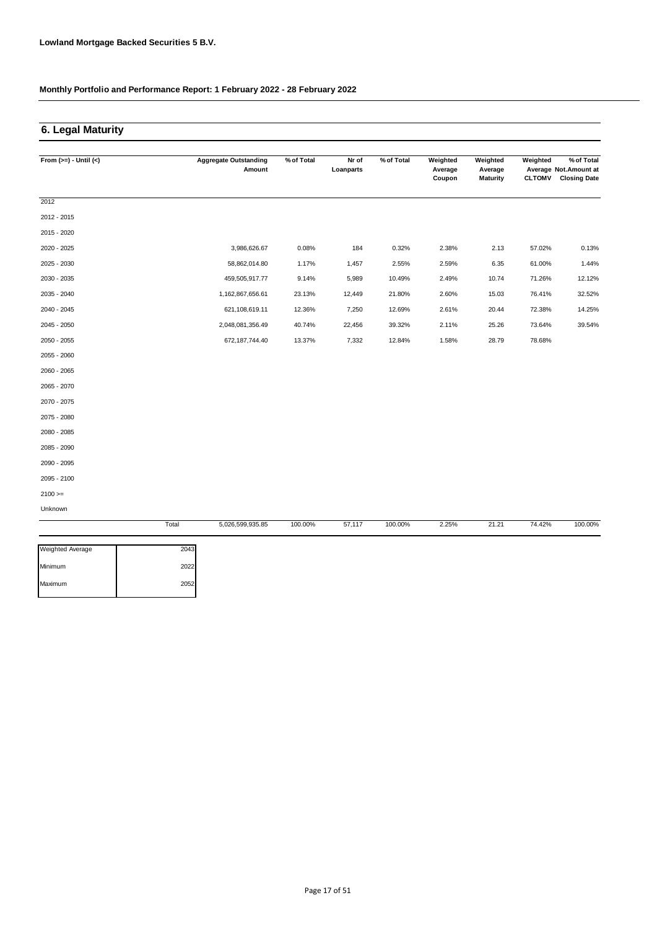### **6. Legal Maturity**

| From $(>=) -$ Until $(<)$ |       | <b>Aggregate Outstanding</b><br>Amount | % of Total | Nr of<br>Loanparts | % of Total | Weighted<br>Average | Weighted<br>Average | Weighted      | % of Total<br>Average Not. Amount at |
|---------------------------|-------|----------------------------------------|------------|--------------------|------------|---------------------|---------------------|---------------|--------------------------------------|
|                           |       |                                        |            |                    |            | Coupon              | <b>Maturity</b>     | <b>CLTOMV</b> | <b>Closing Date</b>                  |
| 2012                      |       |                                        |            |                    |            |                     |                     |               |                                      |
| 2012 - 2015               |       |                                        |            |                    |            |                     |                     |               |                                      |
| 2015 - 2020               |       |                                        |            |                    |            |                     |                     |               |                                      |
| 2020 - 2025               |       | 3,986,626.67                           | 0.08%      | 184                | 0.32%      | 2.38%               | 2.13                | 57.02%        | 0.13%                                |
| 2025 - 2030               |       | 58,862,014.80                          | 1.17%      | 1,457              | 2.55%      | 2.59%               | 6.35                | 61.00%        | 1.44%                                |
| 2030 - 2035               |       | 459,505,917.77                         | 9.14%      | 5,989              | 10.49%     | 2.49%               | 10.74               | 71.26%        | 12.12%                               |
| 2035 - 2040               |       | 1,162,867,656.61                       | 23.13%     | 12,449             | 21.80%     | 2.60%               | 15.03               | 76.41%        | 32.52%                               |
| 2040 - 2045               |       | 621,108,619.11                         | 12.36%     | 7,250              | 12.69%     | 2.61%               | 20.44               | 72.38%        | 14.25%                               |
| 2045 - 2050               |       | 2,048,081,356.49                       | 40.74%     | 22,456             | 39.32%     | 2.11%               | 25.26               | 73.64%        | 39.54%                               |
| 2050 - 2055               |       | 672, 187, 744. 40                      | 13.37%     | 7,332              | 12.84%     | 1.58%               | 28.79               | 78.68%        |                                      |
| 2055 - 2060               |       |                                        |            |                    |            |                     |                     |               |                                      |
| 2060 - 2065               |       |                                        |            |                    |            |                     |                     |               |                                      |
| 2065 - 2070               |       |                                        |            |                    |            |                     |                     |               |                                      |
| 2070 - 2075               |       |                                        |            |                    |            |                     |                     |               |                                      |
| 2075 - 2080               |       |                                        |            |                    |            |                     |                     |               |                                      |
| 2080 - 2085               |       |                                        |            |                    |            |                     |                     |               |                                      |
| 2085 - 2090               |       |                                        |            |                    |            |                     |                     |               |                                      |
| 2090 - 2095               |       |                                        |            |                    |            |                     |                     |               |                                      |
| 2095 - 2100               |       |                                        |            |                    |            |                     |                     |               |                                      |
| $2100 >=$                 |       |                                        |            |                    |            |                     |                     |               |                                      |
| Unknown                   |       |                                        |            |                    |            |                     |                     |               |                                      |
|                           | Total | 5,026,599,935.85                       | 100.00%    | 57,117             | 100.00%    | 2.25%               | 21.21               | 74.42%        | 100.00%                              |

| 2043 |
|------|
| 2022 |
| 2052 |
|      |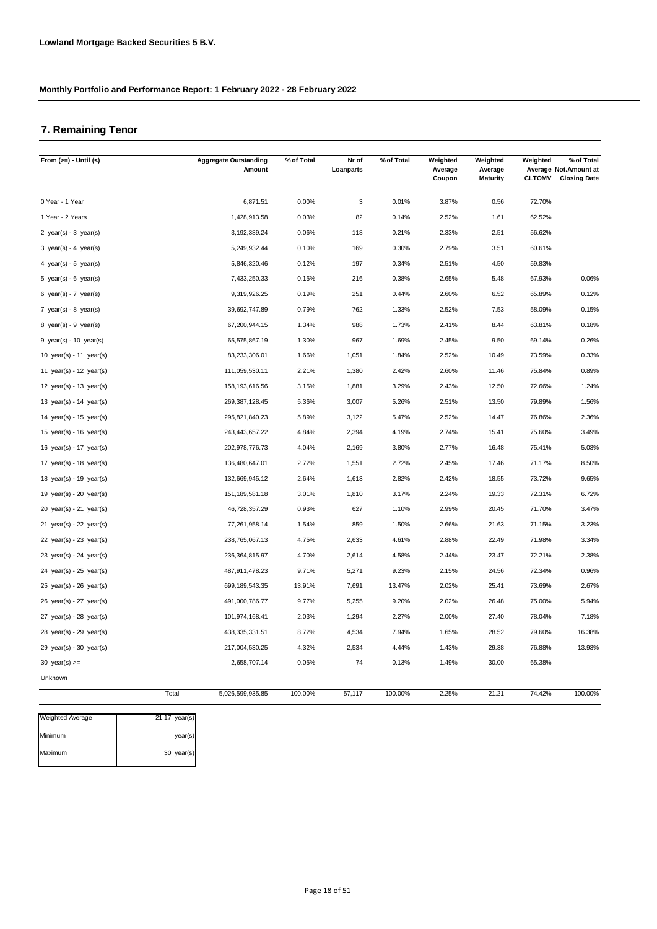# **7. Remaining Tenor**

| From $(>=) -$ Until $(<)$                 | <b>Aggregate Outstanding</b><br>Amount | % of Total | Nr of<br>Loanparts | % of Total | Weighted<br>Average<br>Coupon | Weighted<br>Average<br><b>Maturity</b> | Weighted<br><b>CLTOMV</b> | % of Total<br>Average Not.Amount at<br><b>Closing Date</b> |
|-------------------------------------------|----------------------------------------|------------|--------------------|------------|-------------------------------|----------------------------------------|---------------------------|------------------------------------------------------------|
| 0 Year - 1 Year                           | 6,871.51                               | 0.00%      | 3                  | 0.01%      | 3.87%                         | 0.56                                   | 72.70%                    |                                                            |
| 1 Year - 2 Years                          | 1,428,913.58                           | 0.03%      | 82                 | 0.14%      | 2.52%                         | 1.61                                   | 62.52%                    |                                                            |
| 2 year(s) - $3$ year(s)                   | 3,192,389.24                           | 0.06%      | 118                | 0.21%      | 2.33%                         | 2.51                                   | 56.62%                    |                                                            |
| $3 \text{ year(s)} - 4 \text{ year(s)}$   | 5,249,932.44                           | 0.10%      | 169                | 0.30%      | 2.79%                         | 3.51                                   | 60.61%                    |                                                            |
| 4 year(s) - 5 year(s)                     | 5,846,320.46                           | 0.12%      | 197                | 0.34%      | 2.51%                         | 4.50                                   | 59.83%                    |                                                            |
| 5 year(s) - 6 year(s)                     | 7,433,250.33                           | 0.15%      | 216                | 0.38%      | 2.65%                         | 5.48                                   | 67.93%                    | 0.06%                                                      |
| 6 year(s) - $7$ year(s)                   | 9,319,926.25                           | 0.19%      | 251                | 0.44%      | 2.60%                         | 6.52                                   | 65.89%                    | 0.12%                                                      |
| 7 year(s) - 8 year(s)                     | 39,692,747.89                          | 0.79%      | 762                | 1.33%      | 2.52%                         | 7.53                                   | 58.09%                    | 0.15%                                                      |
| $8 \text{ year(s)} - 9 \text{ year(s)}$   | 67,200,944.15                          | 1.34%      | 988                | 1.73%      | 2.41%                         | 8.44                                   | 63.81%                    | 0.18%                                                      |
| 9 year(s) - 10 year(s)                    | 65,575,867.19                          | 1.30%      | 967                | 1.69%      | 2.45%                         | 9.50                                   | 69.14%                    | 0.26%                                                      |
| 10 year(s) - 11 year(s)                   | 83,233,306.01                          | 1.66%      | 1,051              | 1.84%      | 2.52%                         | 10.49                                  | 73.59%                    | 0.33%                                                      |
| 11 year(s) - 12 year(s)                   | 111,059,530.11                         | 2.21%      | 1,380              | 2.42%      | 2.60%                         | 11.46                                  | 75.84%                    | 0.89%                                                      |
| 12 year(s) - 13 year(s)                   | 158, 193, 616.56                       | 3.15%      | 1,881              | 3.29%      | 2.43%                         | 12.50                                  | 72.66%                    | 1.24%                                                      |
| 13 year(s) - 14 year(s)                   | 269,387,128.45                         | 5.36%      | 3,007              | 5.26%      | 2.51%                         | 13.50                                  | 79.89%                    | 1.56%                                                      |
| 14 year(s) - 15 year(s)                   | 295,821,840.23                         | 5.89%      | 3,122              | 5.47%      | 2.52%                         | 14.47                                  | 76.86%                    | 2.36%                                                      |
| 15 year(s) - 16 year(s)                   | 243,443,657.22                         | 4.84%      | 2,394              | 4.19%      | 2.74%                         | 15.41                                  | 75.60%                    | 3.49%                                                      |
| 16 year(s) - 17 year(s)                   | 202,978,776.73                         | 4.04%      | 2,169              | 3.80%      | 2.77%                         | 16.48                                  | 75.41%                    | 5.03%                                                      |
| 17 year(s) - 18 year(s)                   | 136,480,647.01                         | 2.72%      | 1,551              | 2.72%      | 2.45%                         | 17.46                                  | 71.17%                    | 8.50%                                                      |
| 18 year(s) - 19 year(s)                   | 132,669,945.12                         | 2.64%      | 1,613              | 2.82%      | 2.42%                         | 18.55                                  | 73.72%                    | 9.65%                                                      |
| 19 year(s) - 20 year(s)                   | 151, 189, 581. 18                      | 3.01%      | 1,810              | 3.17%      | 2.24%                         | 19.33                                  | 72.31%                    | 6.72%                                                      |
| $20 \text{ year(s)} - 21 \text{ year(s)}$ | 46,728,357.29                          | 0.93%      | 627                | 1.10%      | 2.99%                         | 20.45                                  | 71.70%                    | 3.47%                                                      |
| 21 year(s) - 22 year(s)                   | 77,261,958.14                          | 1.54%      | 859                | 1.50%      | 2.66%                         | 21.63                                  | 71.15%                    | 3.23%                                                      |
| 22 $year(s) - 23$ $year(s)$               | 238,765,067.13                         | 4.75%      | 2,633              | 4.61%      | 2.88%                         | 22.49                                  | 71.98%                    | 3.34%                                                      |
| 23 year(s) - 24 year(s)                   | 236, 364, 815.97                       | 4.70%      | 2,614              | 4.58%      | 2.44%                         | 23.47                                  | 72.21%                    | 2.38%                                                      |
| 24 year(s) - $25$ year(s)                 | 487,911,478.23                         | 9.71%      | 5,271              | 9.23%      | 2.15%                         | 24.56                                  | 72.34%                    | 0.96%                                                      |
| $25$ year(s) - $26$ year(s)               | 699,189,543.35                         | 13.91%     | 7,691              | 13.47%     | 2.02%                         | 25.41                                  | 73.69%                    | 2.67%                                                      |
| $26$ year(s) - 27 year(s)                 | 491,000,786.77                         | 9.77%      | 5,255              | 9.20%      | 2.02%                         | 26.48                                  | 75.00%                    | 5.94%                                                      |
| 27 year(s) - 28 year(s)                   | 101,974,168.41                         | 2.03%      | 1,294              | 2.27%      | 2.00%                         | 27.40                                  | 78.04%                    | 7.18%                                                      |
| $28$ year(s) - 29 year(s)                 | 438, 335, 331.51                       | 8.72%      | 4,534              | 7.94%      | 1.65%                         | 28.52                                  | 79.60%                    | 16.38%                                                     |
| $29$ year(s) - 30 year(s)                 | 217,004,530.25                         | 4.32%      | 2,534              | 4.44%      | 1.43%                         | 29.38                                  | 76.88%                    | 13.93%                                                     |
| 30 $year(s) >=$                           | 2,658,707.14                           | 0.05%      | 74                 | 0.13%      | 1.49%                         | 30.00                                  | 65.38%                    |                                                            |
| Unknown                                   |                                        |            |                    |            |                               |                                        |                           |                                                            |
|                                           | Total<br>5,026,599,935.85              | 100.00%    | 57,117             | 100.00%    | 2.25%                         | 21.21                                  | 74.42%                    | 100.00%                                                    |

| <b>Weighted Average</b> | $21.17$ year(s) |
|-------------------------|-----------------|
| Minimum                 | year(s)         |
| Maximum                 | 30 year(s)      |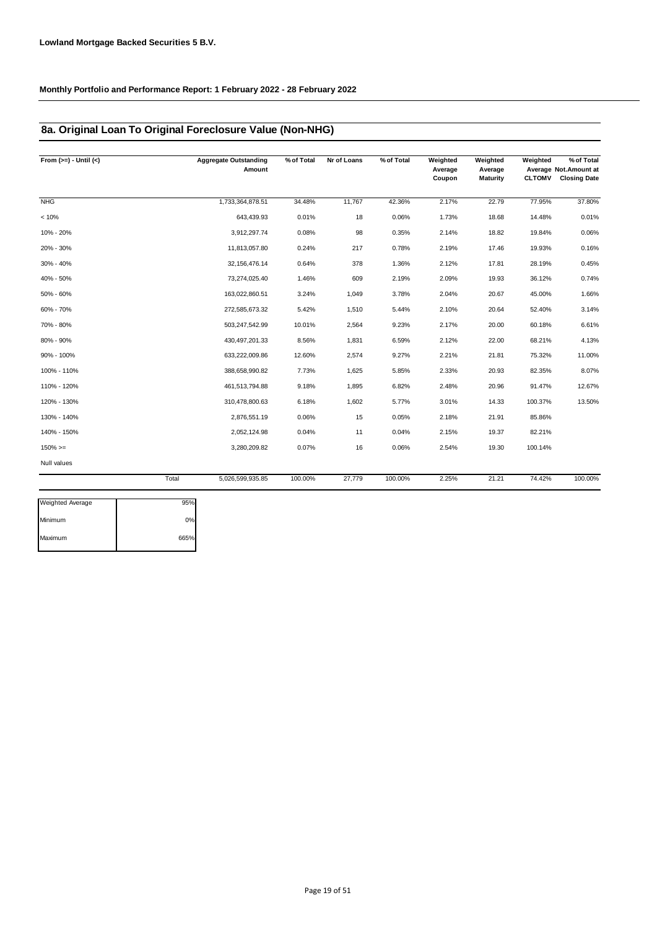### **8a. Original Loan To Original Foreclosure Value (Non-NHG)**

| From $(>=) -$ Until $(<)$ | <b>Aggregate Outstanding</b><br>Amount | % of Total | Nr of Loans | % of Total | Weighted<br>Average<br>Coupon | Weighted<br>Average<br>Maturity | Weighted<br><b>CLTOMV</b> | % of Total<br>Average Not.Amount at<br><b>Closing Date</b> |
|---------------------------|----------------------------------------|------------|-------------|------------|-------------------------------|---------------------------------|---------------------------|------------------------------------------------------------|
| <b>NHG</b>                | 1,733,364,878.51                       | 34.48%     | 11,767      | 42.36%     | 2.17%                         | 22.79                           | 77.95%                    | 37.80%                                                     |
| < 10%                     | 643,439.93                             | 0.01%      | 18          | 0.06%      | 1.73%                         | 18.68                           | 14.48%                    | 0.01%                                                      |
| 10% - 20%                 | 3,912,297.74                           | 0.08%      | 98          | 0.35%      | 2.14%                         | 18.82                           | 19.84%                    | 0.06%                                                      |
| 20% - 30%                 | 11,813,057.80                          | 0.24%      | 217         | 0.78%      | 2.19%                         | 17.46                           | 19.93%                    | 0.16%                                                      |
| 30% - 40%                 | 32, 156, 476. 14                       | 0.64%      | 378         | 1.36%      | 2.12%                         | 17.81                           | 28.19%                    | 0.45%                                                      |
| 40% - 50%                 | 73,274,025.40                          | 1.46%      | 609         | 2.19%      | 2.09%                         | 19.93                           | 36.12%                    | 0.74%                                                      |
| 50% - 60%                 | 163,022,860.51                         | 3.24%      | 1,049       | 3.78%      | 2.04%                         | 20.67                           | 45.00%                    | 1.66%                                                      |
| 60% - 70%                 | 272,585,673.32                         | 5.42%      | 1,510       | 5.44%      | 2.10%                         | 20.64                           | 52.40%                    | 3.14%                                                      |
| 70% - 80%                 | 503,247,542.99                         | 10.01%     | 2,564       | 9.23%      | 2.17%                         | 20.00                           | 60.18%                    | 6.61%                                                      |
| 80% - 90%                 | 430, 497, 201. 33                      | 8.56%      | 1,831       | 6.59%      | 2.12%                         | 22.00                           | 68.21%                    | 4.13%                                                      |
| 90% - 100%                | 633,222,009.86                         | 12.60%     | 2,574       | 9.27%      | 2.21%                         | 21.81                           | 75.32%                    | 11.00%                                                     |
| 100% - 110%               | 388,658,990.82                         | 7.73%      | 1,625       | 5.85%      | 2.33%                         | 20.93                           | 82.35%                    | 8.07%                                                      |
| 110% - 120%               | 461,513,794.88                         | 9.18%      | 1,895       | 6.82%      | 2.48%                         | 20.96                           | 91.47%                    | 12.67%                                                     |
| 120% - 130%               | 310,478,800.63                         | 6.18%      | 1,602       | 5.77%      | 3.01%                         | 14.33                           | 100.37%                   | 13.50%                                                     |
| 130% - 140%               | 2,876,551.19                           | 0.06%      | 15          | 0.05%      | 2.18%                         | 21.91                           | 85.86%                    |                                                            |
| 140% - 150%               | 2,052,124.98                           | 0.04%      | 11          | 0.04%      | 2.15%                         | 19.37                           | 82.21%                    |                                                            |
| $150\%>=$                 | 3,280,209.82                           | 0.07%      | 16          | 0.06%      | 2.54%                         | 19.30                           | 100.14%                   |                                                            |
| Null values               |                                        |            |             |            |                               |                                 |                           |                                                            |
|                           | Total<br>5,026,599,935.85              | 100.00%    | 27,779      | 100.00%    | 2.25%                         | 21.21                           | 74.42%                    | 100.00%                                                    |

| <b>Weighted Average</b> | 95%  |
|-------------------------|------|
| Minimum                 | 0%   |
| Maximum                 | 665% |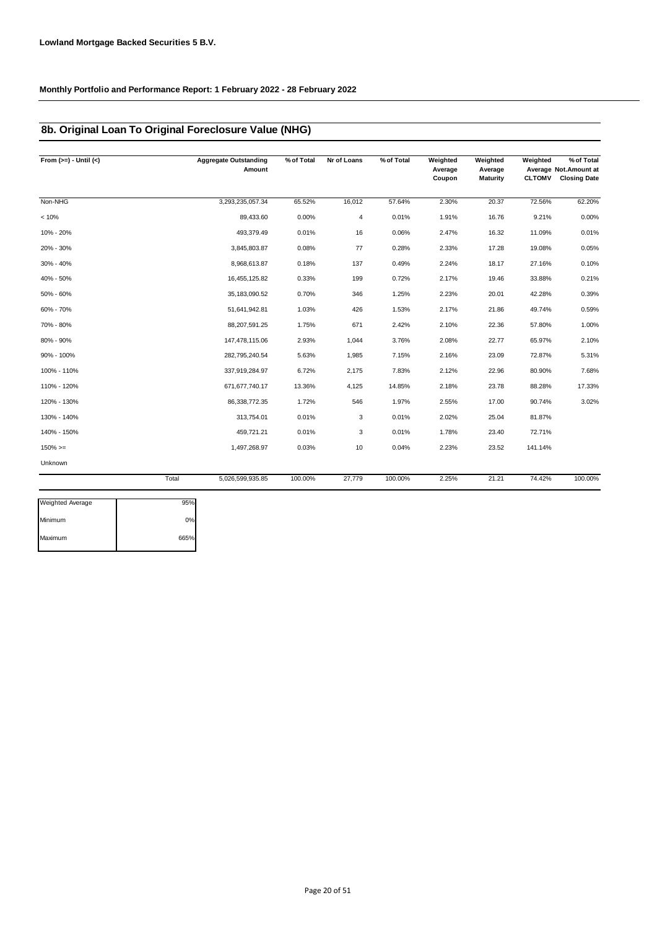### **8b. Original Loan To Original Foreclosure Value (NHG)**

| From $(>=) -$ Until $(<)$ |       | <b>Aggregate Outstanding</b><br>Amount | % of Total | Nr of Loans | % of Total | Weighted<br>Average<br>Coupon | Weighted<br>Average<br>Maturity | Weighted<br><b>CLTOMV</b> | % of Total<br>Average Not.Amount at<br><b>Closing Date</b> |
|---------------------------|-------|----------------------------------------|------------|-------------|------------|-------------------------------|---------------------------------|---------------------------|------------------------------------------------------------|
| Non-NHG                   |       | 3,293,235,057.34                       | 65.52%     | 16,012      | 57.64%     | 2.30%                         | 20.37                           | 72.56%                    | 62.20%                                                     |
| < 10%                     |       | 89,433.60                              | 0.00%      | 4           | 0.01%      | 1.91%                         | 16.76                           | 9.21%                     | 0.00%                                                      |
| 10% - 20%                 |       | 493,379.49                             | 0.01%      | 16          | 0.06%      | 2.47%                         | 16.32                           | 11.09%                    | 0.01%                                                      |
| 20% - 30%                 |       | 3,845,803.87                           | 0.08%      | 77          | 0.28%      | 2.33%                         | 17.28                           | 19.08%                    | 0.05%                                                      |
| 30% - 40%                 |       | 8,968,613.87                           | 0.18%      | 137         | 0.49%      | 2.24%                         | 18.17                           | 27.16%                    | 0.10%                                                      |
| 40% - 50%                 |       | 16,455,125.82                          | 0.33%      | 199         | 0.72%      | 2.17%                         | 19.46                           | 33.88%                    | 0.21%                                                      |
| 50% - 60%                 |       | 35,183,090.52                          | 0.70%      | 346         | 1.25%      | 2.23%                         | 20.01                           | 42.28%                    | 0.39%                                                      |
| 60% - 70%                 |       | 51,641,942.81                          | 1.03%      | 426         | 1.53%      | 2.17%                         | 21.86                           | 49.74%                    | 0.59%                                                      |
| 70% - 80%                 |       | 88,207,591.25                          | 1.75%      | 671         | 2.42%      | 2.10%                         | 22.36                           | 57.80%                    | 1.00%                                                      |
| 80% - 90%                 |       | 147,478,115.06                         | 2.93%      | 1,044       | 3.76%      | 2.08%                         | 22.77                           | 65.97%                    | 2.10%                                                      |
| 90% - 100%                |       | 282,795,240.54                         | 5.63%      | 1,985       | 7.15%      | 2.16%                         | 23.09                           | 72.87%                    | 5.31%                                                      |
| 100% - 110%               |       | 337,919,284.97                         | 6.72%      | 2,175       | 7.83%      | 2.12%                         | 22.96                           | 80.90%                    | 7.68%                                                      |
| 110% - 120%               |       | 671,677,740.17                         | 13.36%     | 4,125       | 14.85%     | 2.18%                         | 23.78                           | 88.28%                    | 17.33%                                                     |
| 120% - 130%               |       | 86,338,772.35                          | 1.72%      | 546         | 1.97%      | 2.55%                         | 17.00                           | 90.74%                    | 3.02%                                                      |
| 130% - 140%               |       | 313,754.01                             | 0.01%      | 3           | 0.01%      | 2.02%                         | 25.04                           | 81.87%                    |                                                            |
| 140% - 150%               |       | 459,721.21                             | 0.01%      | 3           | 0.01%      | 1.78%                         | 23.40                           | 72.71%                    |                                                            |
| $150\%>=$                 |       | 1,497,268.97                           | 0.03%      | 10          | 0.04%      | 2.23%                         | 23.52                           | 141.14%                   |                                                            |
| Unknown                   |       |                                        |            |             |            |                               |                                 |                           |                                                            |
|                           | Total | 5,026,599,935.85                       | 100.00%    | 27,779      | 100.00%    | 2.25%                         | 21.21                           | 74.42%                    | 100.00%                                                    |
| Moightod Average          | QEDZ  |                                        |            |             |            |                               |                                 |                           |                                                            |

| <b>Weighted Average</b> | 95%  |
|-------------------------|------|
| Minimum                 | 0%   |
| Maximum                 | 665% |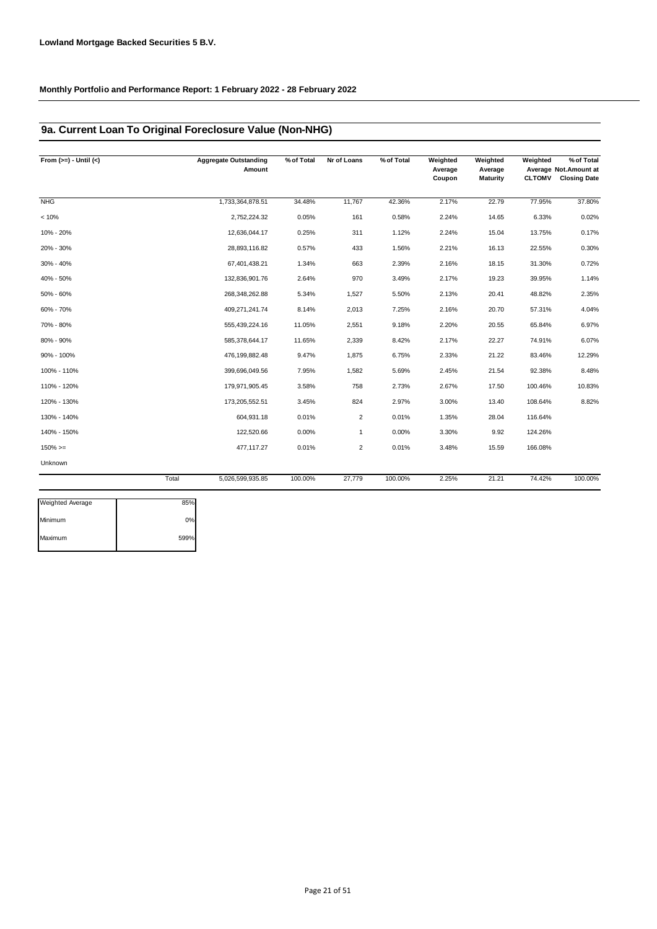### **9a. Current Loan To Original Foreclosure Value (Non-NHG)**

| From $(>=) -$ Until $(<)$ | <b>Aggregate Outstanding</b><br>Amount | % of Total | Nr of Loans    | % of Total | Weighted<br>Average<br>Coupon | Weighted<br>Average<br>Maturity | Weighted<br><b>CLTOMV</b> | % of Total<br>Average Not.Amount at<br><b>Closing Date</b> |
|---------------------------|----------------------------------------|------------|----------------|------------|-------------------------------|---------------------------------|---------------------------|------------------------------------------------------------|
| <b>NHG</b>                | 1,733,364,878.51                       | 34.48%     | 11,767         | 42.36%     | 2.17%                         | 22.79                           | 77.95%                    | 37.80%                                                     |
| < 10%                     | 2,752,224.32                           | 0.05%      | 161            | 0.58%      | 2.24%                         | 14.65                           | 6.33%                     | 0.02%                                                      |
| 10% - 20%                 | 12,636,044.17                          | 0.25%      | 311            | 1.12%      | 2.24%                         | 15.04                           | 13.75%                    | 0.17%                                                      |
| 20% - 30%                 | 28,893,116.82                          | 0.57%      | 433            | 1.56%      | 2.21%                         | 16.13                           | 22.55%                    | 0.30%                                                      |
| 30% - 40%                 | 67,401,438.21                          | 1.34%      | 663            | 2.39%      | 2.16%                         | 18.15                           | 31.30%                    | 0.72%                                                      |
| 40% - 50%                 | 132,836,901.76                         | 2.64%      | 970            | 3.49%      | 2.17%                         | 19.23                           | 39.95%                    | 1.14%                                                      |
| 50% - 60%                 | 268,348,262.88                         | 5.34%      | 1,527          | 5.50%      | 2.13%                         | 20.41                           | 48.82%                    | 2.35%                                                      |
| 60% - 70%                 | 409,271,241.74                         | 8.14%      | 2,013          | 7.25%      | 2.16%                         | 20.70                           | 57.31%                    | 4.04%                                                      |
| 70% - 80%                 | 555,439,224.16                         | 11.05%     | 2,551          | 9.18%      | 2.20%                         | 20.55                           | 65.84%                    | 6.97%                                                      |
| 80% - 90%                 | 585,378,644.17                         | 11.65%     | 2,339          | 8.42%      | 2.17%                         | 22.27                           | 74.91%                    | 6.07%                                                      |
| 90% - 100%                | 476,199,882.48                         | 9.47%      | 1,875          | 6.75%      | 2.33%                         | 21.22                           | 83.46%                    | 12.29%                                                     |
| 100% - 110%               | 399,696,049.56                         | 7.95%      | 1,582          | 5.69%      | 2.45%                         | 21.54                           | 92.38%                    | 8.48%                                                      |
| 110% - 120%               | 179,971,905.45                         | 3.58%      | 758            | 2.73%      | 2.67%                         | 17.50                           | 100.46%                   | 10.83%                                                     |
| 120% - 130%               | 173,205,552.51                         | 3.45%      | 824            | 2.97%      | 3.00%                         | 13.40                           | 108.64%                   | 8.82%                                                      |
| 130% - 140%               | 604,931.18                             | 0.01%      | $\overline{2}$ | 0.01%      | 1.35%                         | 28.04                           | 116.64%                   |                                                            |
| 140% - 150%               | 122,520.66                             | 0.00%      | $\mathbf{1}$   | 0.00%      | 3.30%                         | 9.92                            | 124.26%                   |                                                            |
| $150\%>=$                 | 477,117.27                             | 0.01%      | $\overline{2}$ | 0.01%      | 3.48%                         | 15.59                           | 166.08%                   |                                                            |
| Unknown                   |                                        |            |                |            |                               |                                 |                           |                                                            |
|                           | Total<br>5,026,599,935.85              | 100.00%    | 27,779         | 100.00%    | 2.25%                         | 21.21                           | 74.42%                    | 100.00%                                                    |

| <b>Weighted Average</b> | 85%  |
|-------------------------|------|
| Minimum                 | 0%   |
| Maximum                 | 599% |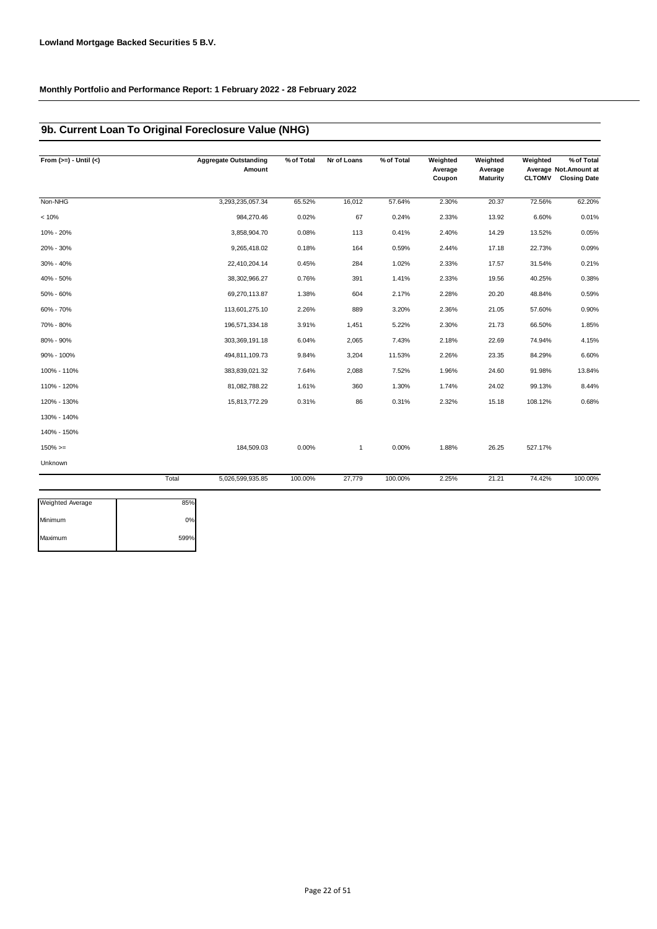### **9b. Current Loan To Original Foreclosure Value (NHG)**

| From $(>=) -$ Until $(<)$ | <b>Aggregate Outstanding</b><br>Amount | % of Total | Nr of Loans  | % of Total | Weighted<br>Average<br>Coupon | Weighted<br>Average<br>Maturity | Weighted<br><b>CLTOMV</b> | % of Total<br>Average Not. Amount at<br><b>Closing Date</b> |
|---------------------------|----------------------------------------|------------|--------------|------------|-------------------------------|---------------------------------|---------------------------|-------------------------------------------------------------|
| Non-NHG                   | 3,293,235,057.34                       | 65.52%     | 16,012       | 57.64%     | 2.30%                         | 20.37                           | 72.56%                    | 62.20%                                                      |
| < 10%                     | 984,270.46                             | 0.02%      | 67           | 0.24%      | 2.33%                         | 13.92                           | 6.60%                     | 0.01%                                                       |
| 10% - 20%                 | 3,858,904.70                           | 0.08%      | 113          | 0.41%      | 2.40%                         | 14.29                           | 13.52%                    | 0.05%                                                       |
| 20% - 30%                 | 9,265,418.02                           | 0.18%      | 164          | 0.59%      | 2.44%                         | 17.18                           | 22.73%                    | 0.09%                                                       |
| 30% - 40%                 | 22,410,204.14                          | 0.45%      | 284          | 1.02%      | 2.33%                         | 17.57                           | 31.54%                    | 0.21%                                                       |
| 40% - 50%                 | 38,302,966.27                          | 0.76%      | 391          | 1.41%      | 2.33%                         | 19.56                           | 40.25%                    | 0.38%                                                       |
| 50% - 60%                 | 69,270,113.87                          | 1.38%      | 604          | 2.17%      | 2.28%                         | 20.20                           | 48.84%                    | 0.59%                                                       |
| 60% - 70%                 | 113,601,275.10                         | 2.26%      | 889          | 3.20%      | 2.36%                         | 21.05                           | 57.60%                    | 0.90%                                                       |
| 70% - 80%                 | 196,571,334.18                         | 3.91%      | 1,451        | 5.22%      | 2.30%                         | 21.73                           | 66.50%                    | 1.85%                                                       |
| 80% - 90%                 | 303,369,191.18                         | 6.04%      | 2,065        | 7.43%      | 2.18%                         | 22.69                           | 74.94%                    | 4.15%                                                       |
| 90% - 100%                | 494,811,109.73                         | 9.84%      | 3,204        | 11.53%     | 2.26%                         | 23.35                           | 84.29%                    | 6.60%                                                       |
| 100% - 110%               | 383,839,021.32                         | 7.64%      | 2,088        | 7.52%      | 1.96%                         | 24.60                           | 91.98%                    | 13.84%                                                      |
| 110% - 120%               | 81,082,788.22                          | 1.61%      | 360          | 1.30%      | 1.74%                         | 24.02                           | 99.13%                    | 8.44%                                                       |
| 120% - 130%               | 15,813,772.29                          | 0.31%      | 86           | 0.31%      | 2.32%                         | 15.18                           | 108.12%                   | 0.68%                                                       |
| 130% - 140%               |                                        |            |              |            |                               |                                 |                           |                                                             |
| 140% - 150%               |                                        |            |              |            |                               |                                 |                           |                                                             |
| $150\%>=$                 | 184,509.03                             | 0.00%      | $\mathbf{1}$ | 0.00%      | 1.88%                         | 26.25                           | 527.17%                   |                                                             |
| Unknown                   |                                        |            |              |            |                               |                                 |                           |                                                             |
|                           | 5,026,599,935.85<br>Total              | 100.00%    | 27,779       | 100.00%    | 2.25%                         | 21.21                           | 74.42%                    | 100.00%                                                     |

| <b>Weighted Average</b> | 85%  |
|-------------------------|------|
| Minimum                 | 0%   |
| Maximum                 | 599% |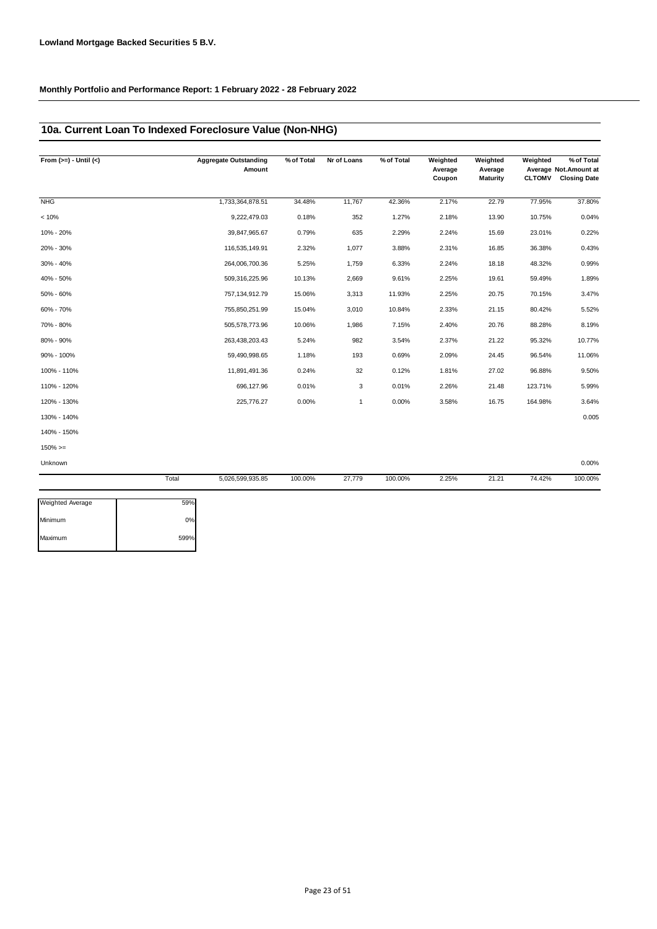### **10a. Current Loan To Indexed Foreclosure Value (Non-NHG)**

| From $(>=) -$ Until $(<)$ |       | <b>Aggregate Outstanding</b><br>Amount | % of Total | Nr of Loans  | % of Total | Weighted<br>Average<br>Coupon | Weighted<br>Average<br>Maturity | Weighted<br><b>CLTOMV</b> | % of Total<br>Average Not. Amount at<br><b>Closing Date</b> |
|---------------------------|-------|----------------------------------------|------------|--------------|------------|-------------------------------|---------------------------------|---------------------------|-------------------------------------------------------------|
| <b>NHG</b>                |       | 1,733,364,878.51                       | 34.48%     | 11,767       | 42.36%     | 2.17%                         | 22.79                           | 77.95%                    | 37.80%                                                      |
| < 10%                     |       | 9,222,479.03                           | 0.18%      | 352          | 1.27%      | 2.18%                         | 13.90                           | 10.75%                    | 0.04%                                                       |
| 10% - 20%                 |       | 39,847,965.67                          | 0.79%      | 635          | 2.29%      | 2.24%                         | 15.69                           | 23.01%                    | 0.22%                                                       |
| 20% - 30%                 |       | 116,535,149.91                         | 2.32%      | 1,077        | 3.88%      | 2.31%                         | 16.85                           | 36.38%                    | 0.43%                                                       |
| 30% - 40%                 |       | 264,006,700.36                         | 5.25%      | 1,759        | 6.33%      | 2.24%                         | 18.18                           | 48.32%                    | 0.99%                                                       |
| 40% - 50%                 |       | 509,316,225.96                         | 10.13%     | 2,669        | 9.61%      | 2.25%                         | 19.61                           | 59.49%                    | 1.89%                                                       |
| 50% - 60%                 |       | 757, 134, 912. 79                      | 15.06%     | 3,313        | 11.93%     | 2.25%                         | 20.75                           | 70.15%                    | 3.47%                                                       |
| 60% - 70%                 |       | 755,850,251.99                         | 15.04%     | 3,010        | 10.84%     | 2.33%                         | 21.15                           | 80.42%                    | 5.52%                                                       |
| 70% - 80%                 |       | 505,578,773.96                         | 10.06%     | 1,986        | 7.15%      | 2.40%                         | 20.76                           | 88.28%                    | 8.19%                                                       |
| 80% - 90%                 |       | 263,438,203.43                         | 5.24%      | 982          | 3.54%      | 2.37%                         | 21.22                           | 95.32%                    | 10.77%                                                      |
| 90% - 100%                |       | 59,490,998.65                          | 1.18%      | 193          | 0.69%      | 2.09%                         | 24.45                           | 96.54%                    | 11.06%                                                      |
| 100% - 110%               |       | 11,891,491.36                          | 0.24%      | 32           | 0.12%      | 1.81%                         | 27.02                           | 96.88%                    | 9.50%                                                       |
| 110% - 120%               |       | 696,127.96                             | 0.01%      | 3            | 0.01%      | 2.26%                         | 21.48                           | 123.71%                   | 5.99%                                                       |
| 120% - 130%               |       | 225,776.27                             | 0.00%      | $\mathbf{1}$ | 0.00%      | 3.58%                         | 16.75                           | 164.98%                   | 3.64%                                                       |
| 130% - 140%               |       |                                        |            |              |            |                               |                                 |                           | 0.005                                                       |
| 140% - 150%               |       |                                        |            |              |            |                               |                                 |                           |                                                             |
| $150\%>=$                 |       |                                        |            |              |            |                               |                                 |                           |                                                             |
| Unknown                   |       |                                        |            |              |            |                               |                                 |                           | 0.00%                                                       |
|                           | Total | 5,026,599,935.85                       | 100.00%    | 27,779       | 100.00%    | 2.25%                         | 21.21                           | 74.42%                    | 100.00%                                                     |

| 59%  |
|------|
| 0%   |
| 599% |
|      |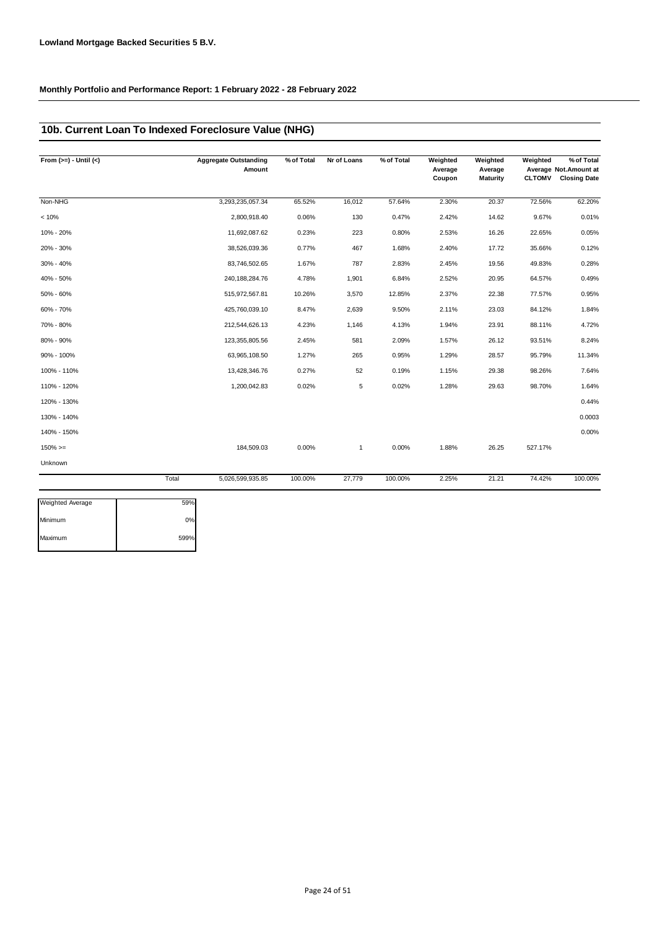### **10b. Current Loan To Indexed Foreclosure Value (NHG)**

| From $(>=) -$ Until $(<)$ |       | <b>Aggregate Outstanding</b><br>Amount | % of Total | Nr of Loans  | % of Total | Weighted<br>Average<br>Coupon | Weighted<br>Average<br><b>Maturity</b> | Weighted<br><b>CLTOMV</b> | % of Total<br>Average Not.Amount at<br><b>Closing Date</b> |
|---------------------------|-------|----------------------------------------|------------|--------------|------------|-------------------------------|----------------------------------------|---------------------------|------------------------------------------------------------|
| Non-NHG                   |       | 3,293,235,057.34                       | 65.52%     | 16,012       | 57.64%     | 2.30%                         | 20.37                                  | 72.56%                    | 62.20%                                                     |
| < 10%                     |       | 2,800,918.40                           | 0.06%      | 130          | 0.47%      | 2.42%                         | 14.62                                  | 9.67%                     | 0.01%                                                      |
| 10% - 20%                 |       | 11,692,087.62                          | 0.23%      | 223          | 0.80%      | 2.53%                         | 16.26                                  | 22.65%                    | 0.05%                                                      |
| 20% - 30%                 |       | 38,526,039.36                          | 0.77%      | 467          | 1.68%      | 2.40%                         | 17.72                                  | 35.66%                    | 0.12%                                                      |
| 30% - 40%                 |       | 83,746,502.65                          | 1.67%      | 787          | 2.83%      | 2.45%                         | 19.56                                  | 49.83%                    | 0.28%                                                      |
| 40% - 50%                 |       | 240, 188, 284. 76                      | 4.78%      | 1,901        | 6.84%      | 2.52%                         | 20.95                                  | 64.57%                    | 0.49%                                                      |
| 50% - 60%                 |       | 515,972,567.81                         | 10.26%     | 3,570        | 12.85%     | 2.37%                         | 22.38                                  | 77.57%                    | 0.95%                                                      |
| 60% - 70%                 |       | 425,760,039.10                         | 8.47%      | 2,639        | 9.50%      | 2.11%                         | 23.03                                  | 84.12%                    | 1.84%                                                      |
| 70% - 80%                 |       | 212,544,626.13                         | 4.23%      | 1,146        | 4.13%      | 1.94%                         | 23.91                                  | 88.11%                    | 4.72%                                                      |
| 80% - 90%                 |       | 123,355,805.56                         | 2.45%      | 581          | 2.09%      | 1.57%                         | 26.12                                  | 93.51%                    | 8.24%                                                      |
| 90% - 100%                |       | 63,965,108.50                          | 1.27%      | 265          | 0.95%      | 1.29%                         | 28.57                                  | 95.79%                    | 11.34%                                                     |
| 100% - 110%               |       | 13,428,346.76                          | 0.27%      | 52           | 0.19%      | 1.15%                         | 29.38                                  | 98.26%                    | 7.64%                                                      |
| 110% - 120%               |       | 1,200,042.83                           | 0.02%      | 5            | 0.02%      | 1.28%                         | 29.63                                  | 98.70%                    | 1.64%                                                      |
| 120% - 130%               |       |                                        |            |              |            |                               |                                        |                           | 0.44%                                                      |
| 130% - 140%               |       |                                        |            |              |            |                               |                                        |                           | 0.0003                                                     |
| 140% - 150%               |       |                                        |            |              |            |                               |                                        |                           | 0.00%                                                      |
| $150\%>=$                 |       | 184,509.03                             | 0.00%      | $\mathbf{1}$ | 0.00%      | 1.88%                         | 26.25                                  | 527.17%                   |                                                            |
| Unknown                   |       |                                        |            |              |            |                               |                                        |                           |                                                            |
|                           | Total | 5,026,599,935.85                       | 100.00%    | 27,779       | 100.00%    | 2.25%                         | 21.21                                  | 74.42%                    | 100.00%                                                    |

| <b>Weighted Average</b> | 59%  |
|-------------------------|------|
| Minimum                 | 0%   |
| Maximum                 | 599% |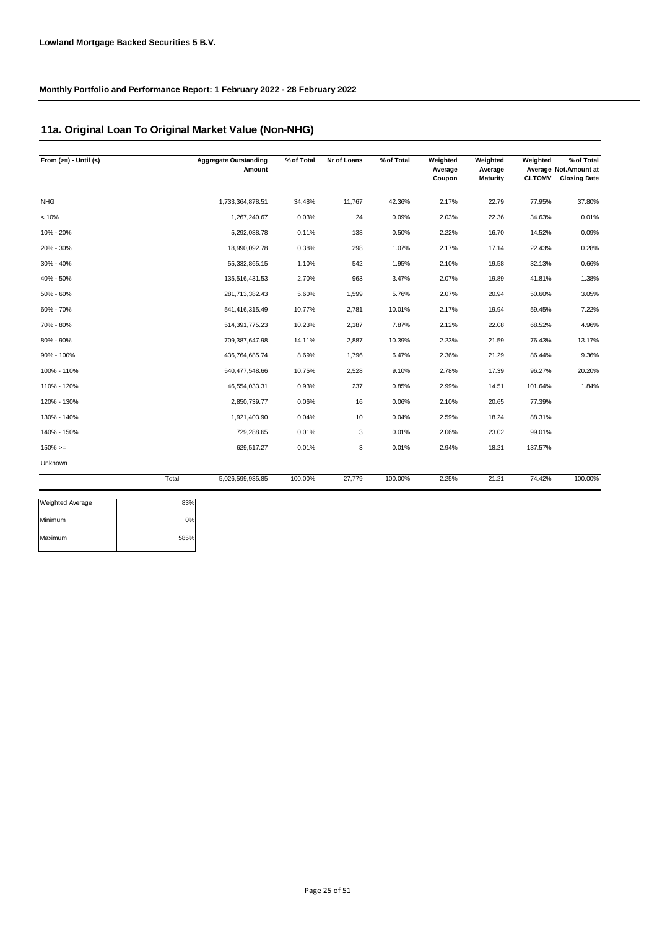### **11a. Original Loan To Original Market Value (Non-NHG)**

| From $(>=) -$ Until $(<)$ |       | <b>Aggregate Outstanding</b><br>Amount | % of Total | Nr of Loans | % of Total | Weighted<br>Average<br>Coupon | Weighted<br>Average<br><b>Maturity</b> | Weighted<br><b>CLTOMV</b> | % of Total<br>Average Not. Amount at<br><b>Closing Date</b> |
|---------------------------|-------|----------------------------------------|------------|-------------|------------|-------------------------------|----------------------------------------|---------------------------|-------------------------------------------------------------|
| <b>NHG</b>                |       | 1,733,364,878.51                       | 34.48%     | 11,767      | 42.36%     | 2.17%                         | 22.79                                  | 77.95%                    | 37.80%                                                      |
| < 10%                     |       | 1,267,240.67                           | 0.03%      | 24          | 0.09%      | 2.03%                         | 22.36                                  | 34.63%                    | 0.01%                                                       |
| 10% - 20%                 |       | 5,292,088.78                           | 0.11%      | 138         | 0.50%      | 2.22%                         | 16.70                                  | 14.52%                    | 0.09%                                                       |
| 20% - 30%                 |       | 18,990,092.78                          | 0.38%      | 298         | 1.07%      | 2.17%                         | 17.14                                  | 22.43%                    | 0.28%                                                       |
| 30% - 40%                 |       | 55,332,865.15                          | 1.10%      | 542         | 1.95%      | 2.10%                         | 19.58                                  | 32.13%                    | 0.66%                                                       |
| 40% - 50%                 |       | 135,516,431.53                         | 2.70%      | 963         | 3.47%      | 2.07%                         | 19.89                                  | 41.81%                    | 1.38%                                                       |
| 50% - 60%                 |       | 281,713,382.43                         | 5.60%      | 1,599       | 5.76%      | 2.07%                         | 20.94                                  | 50.60%                    | 3.05%                                                       |
| 60% - 70%                 |       | 541,416,315.49                         | 10.77%     | 2,781       | 10.01%     | 2.17%                         | 19.94                                  | 59.45%                    | 7.22%                                                       |
| 70% - 80%                 |       | 514,391,775.23                         | 10.23%     | 2,187       | 7.87%      | 2.12%                         | 22.08                                  | 68.52%                    | 4.96%                                                       |
| 80% - 90%                 |       | 709,387,647.98                         | 14.11%     | 2,887       | 10.39%     | 2.23%                         | 21.59                                  | 76.43%                    | 13.17%                                                      |
| 90% - 100%                |       | 436,764,685.74                         | 8.69%      | 1,796       | 6.47%      | 2.36%                         | 21.29                                  | 86.44%                    | 9.36%                                                       |
| 100% - 110%               |       | 540,477,548.66                         | 10.75%     | 2,528       | 9.10%      | 2.78%                         | 17.39                                  | 96.27%                    | 20.20%                                                      |
| 110% - 120%               |       | 46,554,033.31                          | 0.93%      | 237         | 0.85%      | 2.99%                         | 14.51                                  | 101.64%                   | 1.84%                                                       |
| 120% - 130%               |       | 2,850,739.77                           | 0.06%      | 16          | 0.06%      | 2.10%                         | 20.65                                  | 77.39%                    |                                                             |
| 130% - 140%               |       | 1,921,403.90                           | 0.04%      | 10          | 0.04%      | 2.59%                         | 18.24                                  | 88.31%                    |                                                             |
| 140% - 150%               |       | 729,288.65                             | 0.01%      | 3           | 0.01%      | 2.06%                         | 23.02                                  | 99.01%                    |                                                             |
| $150\%>=$                 |       | 629,517.27                             | 0.01%      | 3           | 0.01%      | 2.94%                         | 18.21                                  | 137.57%                   |                                                             |
| Unknown                   |       |                                        |            |             |            |                               |                                        |                           |                                                             |
|                           | Total | 5,026,599,935.85                       | 100.00%    | 27,779      | 100.00%    | 2.25%                         | 21.21                                  | 74.42%                    | 100.00%                                                     |
| <b>Weighted Average</b>   | 83%   |                                        |            |             |            |                               |                                        |                           |                                                             |

| <b>Weighted Average</b> | 83%  |
|-------------------------|------|
| Minimum                 | 0%   |
| Maximum                 | 585% |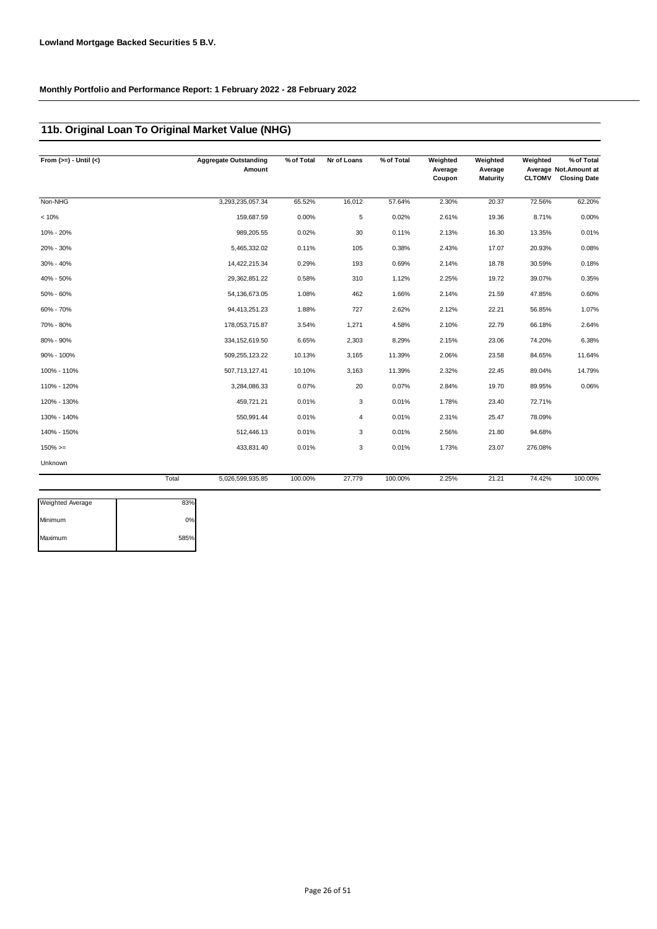### **11b. Original Loan To Original Market Value (NHG)**

| From $(>=) -$ Until $(<)$ | <b>Aggregate Outstanding</b><br>Amount | % of Total | Nr of Loans | % of Total | Weighted<br>Average<br>Coupon | Weighted<br>Average<br>Maturity | Weighted<br><b>CLTOMV</b> | $\sqrt%$ of Total<br>Average Not.Amount at<br><b>Closing Date</b> |
|---------------------------|----------------------------------------|------------|-------------|------------|-------------------------------|---------------------------------|---------------------------|-------------------------------------------------------------------|
| Non-NHG                   | 3,293,235,057.34                       | 65.52%     | 16,012      | 57.64%     | 2.30%                         | 20.37                           | 72.56%                    | 62.20%                                                            |
| < 10%                     | 159,687.59                             | 0.00%      | 5           | 0.02%      | 2.61%                         | 19.36                           | 8.71%                     | 0.00%                                                             |
| 10% - 20%                 | 989,205.55                             | 0.02%      | 30          | 0.11%      | 2.13%                         | 16.30                           | 13.35%                    | 0.01%                                                             |
| 20% - 30%                 | 5,465,332.02                           | 0.11%      | 105         | 0.38%      | 2.43%                         | 17.07                           | 20.93%                    | 0.08%                                                             |
| 30% - 40%                 | 14,422,215.34                          | 0.29%      | 193         | 0.69%      | 2.14%                         | 18.78                           | 30.59%                    | 0.18%                                                             |
| 40% - 50%                 | 29,362,851.22                          | 0.58%      | 310         | 1.12%      | 2.25%                         | 19.72                           | 39.07%                    | 0.35%                                                             |
| 50% - 60%                 | 54, 136, 673.05                        | 1.08%      | 462         | 1.66%      | 2.14%                         | 21.59                           | 47.85%                    | 0.60%                                                             |
| 60% - 70%                 | 94,413,251.23                          | 1.88%      | 727         | 2.62%      | 2.12%                         | 22.21                           | 56.85%                    | 1.07%                                                             |
| 70% - 80%                 | 178,053,715.87                         | 3.54%      | 1,271       | 4.58%      | 2.10%                         | 22.79                           | 66.18%                    | 2.64%                                                             |
| 80% - 90%                 | 334, 152, 619.50                       | 6.65%      | 2,303       | 8.29%      | 2.15%                         | 23.06                           | 74.20%                    | 6.38%                                                             |
| 90% - 100%                | 509,255,123.22                         | 10.13%     | 3,165       | 11.39%     | 2.06%                         | 23.58                           | 84.65%                    | 11.64%                                                            |
| 100% - 110%               | 507,713,127.41                         | 10.10%     | 3,163       | 11.39%     | 2.32%                         | 22.45                           | 89.04%                    | 14.79%                                                            |
| 110% - 120%               | 3,284,086.33                           | 0.07%      | 20          | 0.07%      | 2.84%                         | 19.70                           | 89.95%                    | 0.06%                                                             |
| 120% - 130%               | 459,721.21                             | 0.01%      | 3           | 0.01%      | 1.78%                         | 23.40                           | 72.71%                    |                                                                   |
| 130% - 140%               | 550,991.44                             | 0.01%      | 4           | 0.01%      | 2.31%                         | 25.47                           | 78.09%                    |                                                                   |
| 140% - 150%               | 512,446.13                             | 0.01%      | 3           | 0.01%      | 2.56%                         | 21.80                           | 94.68%                    |                                                                   |
| $150\%>=$                 | 433,831.40                             | 0.01%      | 3           | 0.01%      | 1.73%                         | 23.07                           | 276.08%                   |                                                                   |
| Unknown                   |                                        |            |             |            |                               |                                 |                           |                                                                   |
|                           | Total<br>5,026,599,935.85              | 100.00%    | 27,779      | 100.00%    | 2.25%                         | 21.21                           | 74.42%                    | 100.00%                                                           |

| <b>Weighted Average</b> | 83%   |
|-------------------------|-------|
| Minimum                 | $0\%$ |
| Maximum                 | 585%  |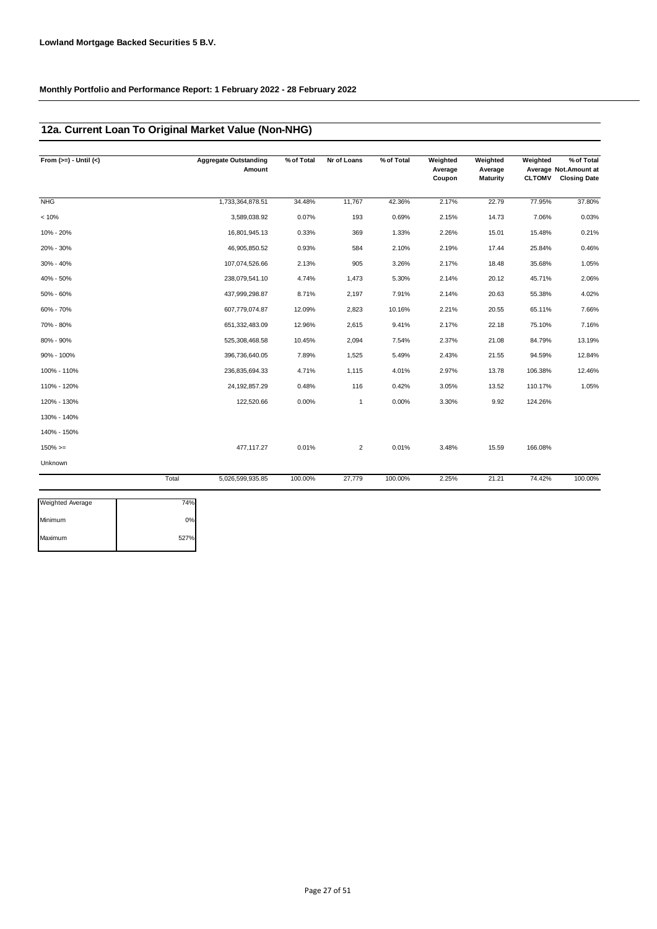### **12a. Current Loan To Original Market Value (Non-NHG)**

| From $(>=) -$ Until $(<)$ |       | <b>Aggregate Outstanding</b><br>Amount | % of Total | Nr of Loans    | % of Total | Weighted<br>Average<br>Coupon | Weighted<br>Average<br>Maturity | Weighted<br><b>CLTOMV</b> | % of Total<br>Average Not. Amount at<br><b>Closing Date</b> |
|---------------------------|-------|----------------------------------------|------------|----------------|------------|-------------------------------|---------------------------------|---------------------------|-------------------------------------------------------------|
| <b>NHG</b>                |       | 1,733,364,878.51                       | 34.48%     | 11,767         | 42.36%     | 2.17%                         | 22.79                           | 77.95%                    | 37.80%                                                      |
| < 10%                     |       | 3,589,038.92                           | 0.07%      | 193            | 0.69%      | 2.15%                         | 14.73                           | 7.06%                     | 0.03%                                                       |
| 10% - 20%                 |       | 16,801,945.13                          | 0.33%      | 369            | 1.33%      | 2.26%                         | 15.01                           | 15.48%                    | 0.21%                                                       |
| 20% - 30%                 |       | 46,905,850.52                          | 0.93%      | 584            | 2.10%      | 2.19%                         | 17.44                           | 25.84%                    | 0.46%                                                       |
| 30% - 40%                 |       | 107,074,526.66                         | 2.13%      | 905            | 3.26%      | 2.17%                         | 18.48                           | 35.68%                    | 1.05%                                                       |
| 40% - 50%                 |       | 238,079,541.10                         | 4.74%      | 1,473          | 5.30%      | 2.14%                         | 20.12                           | 45.71%                    | 2.06%                                                       |
| 50% - 60%                 |       | 437,999,298.87                         | 8.71%      | 2,197          | 7.91%      | 2.14%                         | 20.63                           | 55.38%                    | 4.02%                                                       |
| 60% - 70%                 |       | 607,779,074.87                         | 12.09%     | 2,823          | 10.16%     | 2.21%                         | 20.55                           | 65.11%                    | 7.66%                                                       |
| 70% - 80%                 |       | 651,332,483.09                         | 12.96%     | 2,615          | 9.41%      | 2.17%                         | 22.18                           | 75.10%                    | 7.16%                                                       |
| 80% - 90%                 |       | 525,308,468.58                         | 10.45%     | 2,094          | 7.54%      | 2.37%                         | 21.08                           | 84.79%                    | 13.19%                                                      |
| 90% - 100%                |       | 396,736,640.05                         | 7.89%      | 1,525          | 5.49%      | 2.43%                         | 21.55                           | 94.59%                    | 12.84%                                                      |
| 100% - 110%               |       | 236,835,694.33                         | 4.71%      | 1,115          | 4.01%      | 2.97%                         | 13.78                           | 106.38%                   | 12.46%                                                      |
| 110% - 120%               |       | 24, 192, 857. 29                       | 0.48%      | 116            | 0.42%      | 3.05%                         | 13.52                           | 110.17%                   | 1.05%                                                       |
| 120% - 130%               |       | 122,520.66                             | 0.00%      | $\mathbf{1}$   | 0.00%      | 3.30%                         | 9.92                            | 124.26%                   |                                                             |
| 130% - 140%               |       |                                        |            |                |            |                               |                                 |                           |                                                             |
| 140% - 150%               |       |                                        |            |                |            |                               |                                 |                           |                                                             |
| $150\%>=$                 |       | 477,117.27                             | 0.01%      | $\overline{c}$ | 0.01%      | 3.48%                         | 15.59                           | 166.08%                   |                                                             |
| Unknown                   |       |                                        |            |                |            |                               |                                 |                           |                                                             |
|                           | Total | 5,026,599,935.85                       | 100.00%    | 27,779         | 100.00%    | 2.25%                         | 21.21                           | 74.42%                    | 100.00%                                                     |

| <b>Weighted Average</b> | 74%  |
|-------------------------|------|
| Minimum                 | 0%   |
| Maximum                 | 527% |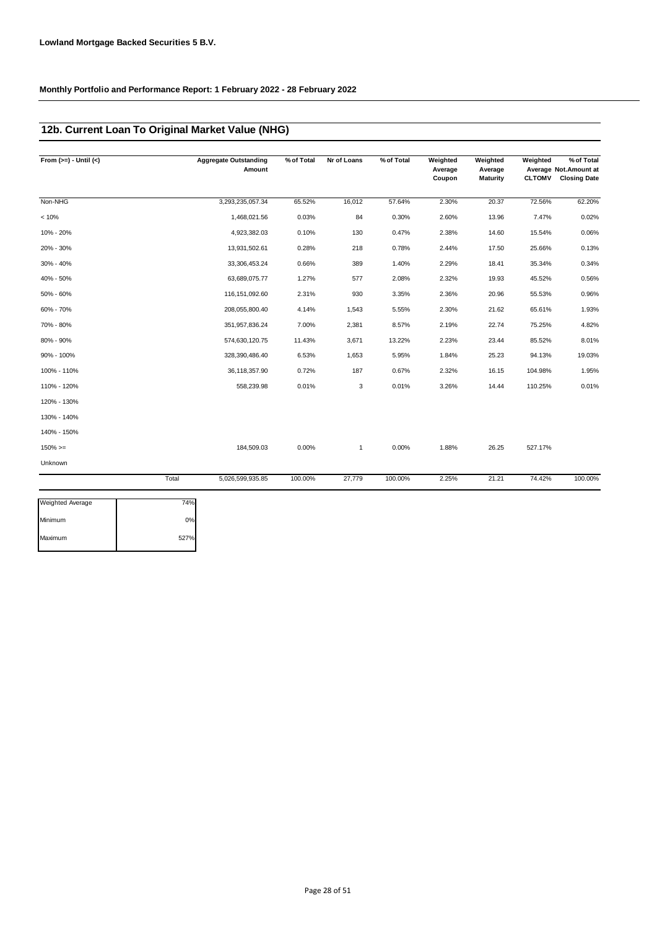### **12b. Current Loan To Original Market Value (NHG)**

| From $(>=) -$ Until $(<)$ |       | <b>Aggregate Outstanding</b><br>Amount | % of Total | Nr of Loans  | % of Total | Weighted<br>Average<br>Coupon | Weighted<br>Average<br><b>Maturity</b> | Weighted<br><b>CLTOMV</b> | % of Total<br>Average Not. Amount at<br><b>Closing Date</b> |
|---------------------------|-------|----------------------------------------|------------|--------------|------------|-------------------------------|----------------------------------------|---------------------------|-------------------------------------------------------------|
| Non-NHG                   |       | 3,293,235,057.34                       | 65.52%     | 16,012       | 57.64%     | 2.30%                         | 20.37                                  | 72.56%                    | 62.20%                                                      |
| < 10%                     |       | 1,468,021.56                           | 0.03%      | 84           | 0.30%      | 2.60%                         | 13.96                                  | 7.47%                     | 0.02%                                                       |
| 10% - 20%                 |       | 4,923,382.03                           | 0.10%      | 130          | 0.47%      | 2.38%                         | 14.60                                  | 15.54%                    | 0.06%                                                       |
| 20% - 30%                 |       | 13,931,502.61                          | 0.28%      | 218          | 0.78%      | 2.44%                         | 17.50                                  | 25.66%                    | 0.13%                                                       |
| 30% - 40%                 |       | 33,306,453.24                          | 0.66%      | 389          | 1.40%      | 2.29%                         | 18.41                                  | 35.34%                    | 0.34%                                                       |
| 40% - 50%                 |       | 63,689,075.77                          | 1.27%      | 577          | 2.08%      | 2.32%                         | 19.93                                  | 45.52%                    | 0.56%                                                       |
| 50% - 60%                 |       | 116, 151, 092.60                       | 2.31%      | 930          | 3.35%      | 2.36%                         | 20.96                                  | 55.53%                    | 0.96%                                                       |
| 60% - 70%                 |       | 208,055,800.40                         | 4.14%      | 1,543        | 5.55%      | 2.30%                         | 21.62                                  | 65.61%                    | 1.93%                                                       |
| 70% - 80%                 |       | 351,957,836.24                         | 7.00%      | 2,381        | 8.57%      | 2.19%                         | 22.74                                  | 75.25%                    | 4.82%                                                       |
| 80% - 90%                 |       | 574,630,120.75                         | 11.43%     | 3,671        | 13.22%     | 2.23%                         | 23.44                                  | 85.52%                    | 8.01%                                                       |
| 90% - 100%                |       | 328,390,486.40                         | 6.53%      | 1,653        | 5.95%      | 1.84%                         | 25.23                                  | 94.13%                    | 19.03%                                                      |
| 100% - 110%               |       | 36,118,357.90                          | 0.72%      | 187          | 0.67%      | 2.32%                         | 16.15                                  | 104.98%                   | 1.95%                                                       |
| 110% - 120%               |       | 558,239.98                             | 0.01%      | 3            | 0.01%      | 3.26%                         | 14.44                                  | 110.25%                   | 0.01%                                                       |
| 120% - 130%               |       |                                        |            |              |            |                               |                                        |                           |                                                             |
| 130% - 140%               |       |                                        |            |              |            |                               |                                        |                           |                                                             |
| 140% - 150%               |       |                                        |            |              |            |                               |                                        |                           |                                                             |
| $150\%>=$                 |       | 184,509.03                             | 0.00%      | $\mathbf{1}$ | 0.00%      | 1.88%                         | 26.25                                  | 527.17%                   |                                                             |
| Unknown                   |       |                                        |            |              |            |                               |                                        |                           |                                                             |
|                           | Total | 5,026,599,935.85                       | 100.00%    | 27,779       | 100.00%    | 2.25%                         | 21.21                                  | 74.42%                    | 100.00%                                                     |
| <b>Weighted Average</b>   | 74%   |                                        |            |              |            |                               |                                        |                           |                                                             |

| <b>Weighted Average</b> | 74%  |
|-------------------------|------|
| Minimum                 | 0%   |
| Maximum                 | 527% |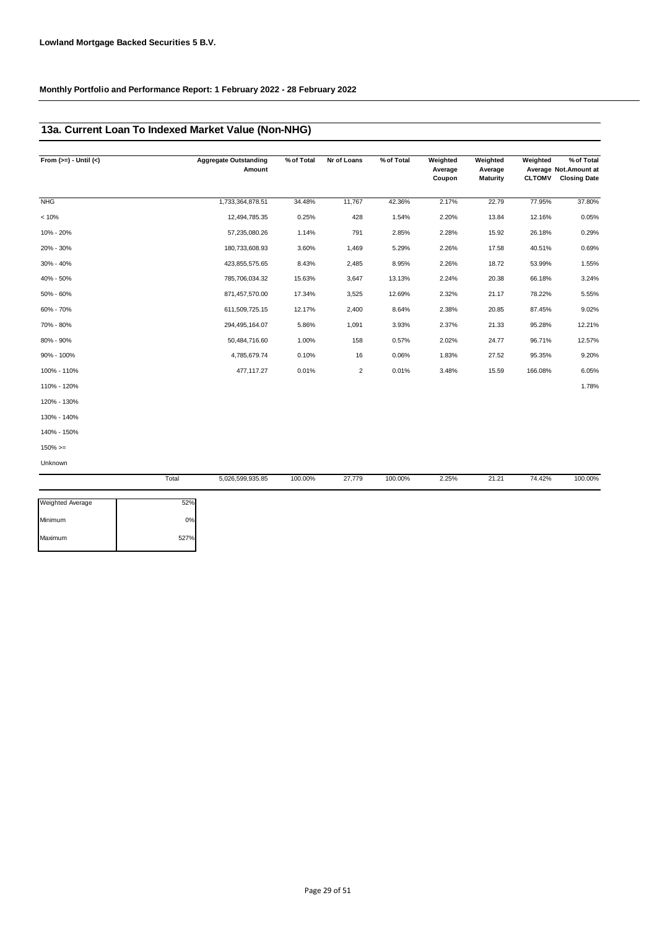### **13a. Current Loan To Indexed Market Value (Non-NHG)**

| From $(>=) -$ Until $(<)$ | <b>Aggregate Outstanding</b><br>Amount | % of Total | Nr of Loans    | % of Total | Weighted<br>Average | Weighted<br>Average | Weighted      | % of Total<br>Average Not.Amount at |
|---------------------------|----------------------------------------|------------|----------------|------------|---------------------|---------------------|---------------|-------------------------------------|
|                           |                                        |            |                |            | Coupon              | <b>Maturity</b>     | <b>CLTOMV</b> | <b>Closing Date</b>                 |
| <b>NHG</b>                | 1,733,364,878.51                       | 34.48%     | 11,767         | 42.36%     | 2.17%               | 22.79               | 77.95%        | 37.80%                              |
| < 10%                     | 12,494,785.35                          | 0.25%      | 428            | 1.54%      | 2.20%               | 13.84               | 12.16%        | 0.05%                               |
| 10% - 20%                 | 57,235,080.26                          | 1.14%      | 791            | 2.85%      | 2.28%               | 15.92               | 26.18%        | 0.29%                               |
| 20% - 30%                 | 180,733,608.93                         | 3.60%      | 1,469          | 5.29%      | 2.26%               | 17.58               | 40.51%        | 0.69%                               |
| 30% - 40%                 | 423,855,575.65                         | 8.43%      | 2,485          | 8.95%      | 2.26%               | 18.72               | 53.99%        | 1.55%                               |
| 40% - 50%                 | 785,706,034.32                         | 15.63%     | 3,647          | 13.13%     | 2.24%               | 20.38               | 66.18%        | 3.24%                               |
| 50% - 60%                 | 871,457,570.00                         | 17.34%     | 3,525          | 12.69%     | 2.32%               | 21.17               | 78.22%        | 5.55%                               |
| 60% - 70%                 | 611,509,725.15                         | 12.17%     | 2,400          | 8.64%      | 2.38%               | 20.85               | 87.45%        | 9.02%                               |
| 70% - 80%                 | 294,495,164.07                         | 5.86%      | 1,091          | 3.93%      | 2.37%               | 21.33               | 95.28%        | 12.21%                              |
| 80% - 90%                 | 50,484,716.60                          | 1.00%      | 158            | 0.57%      | 2.02%               | 24.77               | 96.71%        | 12.57%                              |
| 90% - 100%                | 4,785,679.74                           | 0.10%      | 16             | 0.06%      | 1.83%               | 27.52               | 95.35%        | 9.20%                               |
| 100% - 110%               | 477,117.27                             | 0.01%      | $\overline{2}$ | 0.01%      | 3.48%               | 15.59               | 166.08%       | 6.05%                               |
| 110% - 120%               |                                        |            |                |            |                     |                     |               | 1.78%                               |
| 120% - 130%               |                                        |            |                |            |                     |                     |               |                                     |
| 130% - 140%               |                                        |            |                |            |                     |                     |               |                                     |
| 140% - 150%               |                                        |            |                |            |                     |                     |               |                                     |
| $150\%>=$                 |                                        |            |                |            |                     |                     |               |                                     |

Unknown

|                         | Total | 5,026,599,935.85 | 100.00% | 27,779 | 100.00% | 2.25% | 21.21 | 74.42% | 100.00% |
|-------------------------|-------|------------------|---------|--------|---------|-------|-------|--------|---------|
| <b>Weighted Average</b> | 52%   |                  |         |        |         |       |       |        |         |
| Minimum                 | 0%    |                  |         |        |         |       |       |        |         |
| Maximum                 | 527%  |                  |         |        |         |       |       |        |         |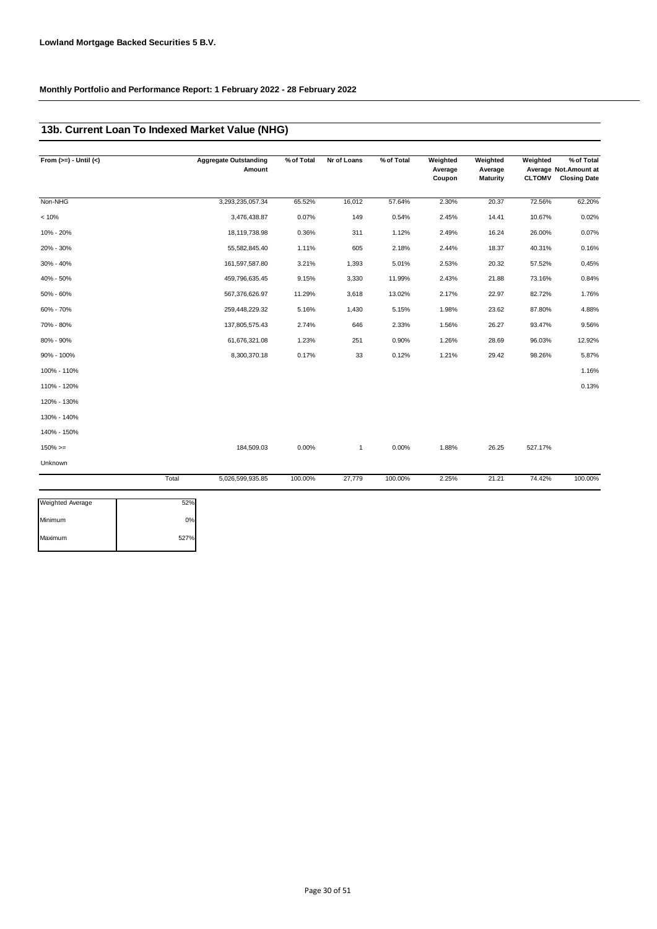### **13b. Current Loan To Indexed Market Value (NHG)**

| From $(>=) -$ Until $(<)$ |       | <b>Aggregate Outstanding</b><br>Amount | % of Total | Nr of Loans  | % of Total | Weighted<br>Average<br>Coupon | Weighted<br>Average<br><b>Maturity</b> | Weighted<br><b>CLTOMV</b> | % of Total<br>Average Not. Amount at<br><b>Closing Date</b> |
|---------------------------|-------|----------------------------------------|------------|--------------|------------|-------------------------------|----------------------------------------|---------------------------|-------------------------------------------------------------|
| Non-NHG                   |       | 3,293,235,057.34                       | 65.52%     | 16,012       | 57.64%     | 2.30%                         | 20.37                                  | 72.56%                    | 62.20%                                                      |
| < 10%                     |       | 3,476,438.87                           | 0.07%      | 149          | 0.54%      | 2.45%                         | 14.41                                  | 10.67%                    | 0.02%                                                       |
| 10% - 20%                 |       | 18,119,738.98                          | 0.36%      | 311          | 1.12%      | 2.49%                         | 16.24                                  | 26.00%                    | 0.07%                                                       |
| 20% - 30%                 |       | 55,582,845.40                          | 1.11%      | 605          | 2.18%      | 2.44%                         | 18.37                                  | 40.31%                    | 0.16%                                                       |
| 30% - 40%                 |       | 161,597,587.80                         | 3.21%      | 1,393        | 5.01%      | 2.53%                         | 20.32                                  | 57.52%                    | 0.45%                                                       |
| 40% - 50%                 |       | 459,796,635.45                         | 9.15%      | 3,330        | 11.99%     | 2.43%                         | 21.88                                  | 73.16%                    | 0.84%                                                       |
| 50% - 60%                 |       | 567,376,626.97                         | 11.29%     | 3,618        | 13.02%     | 2.17%                         | 22.97                                  | 82.72%                    | 1.76%                                                       |
| 60% - 70%                 |       | 259,448,229.32                         | 5.16%      | 1,430        | 5.15%      | 1.98%                         | 23.62                                  | 87.80%                    | 4.88%                                                       |
| 70% - 80%                 |       | 137,805,575.43                         | 2.74%      | 646          | 2.33%      | 1.56%                         | 26.27                                  | 93.47%                    | 9.56%                                                       |
| 80% - 90%                 |       | 61,676,321.08                          | 1.23%      | 251          | 0.90%      | 1.26%                         | 28.69                                  | 96.03%                    | 12.92%                                                      |
| 90% - 100%                |       | 8,300,370.18                           | 0.17%      | 33           | 0.12%      | 1.21%                         | 29.42                                  | 98.26%                    | 5.87%                                                       |
| 100% - 110%               |       |                                        |            |              |            |                               |                                        |                           | 1.16%                                                       |
| 110% - 120%               |       |                                        |            |              |            |                               |                                        |                           | 0.13%                                                       |
| 120% - 130%               |       |                                        |            |              |            |                               |                                        |                           |                                                             |
| 130% - 140%               |       |                                        |            |              |            |                               |                                        |                           |                                                             |
| 140% - 150%               |       |                                        |            |              |            |                               |                                        |                           |                                                             |
| $150\%>=$                 |       | 184,509.03                             | 0.00%      | $\mathbf{1}$ | 0.00%      | 1.88%                         | 26.25                                  | 527.17%                   |                                                             |
| Unknown                   |       |                                        |            |              |            |                               |                                        |                           |                                                             |
|                           | Total | 5,026,599,935.85                       | 100.00%    | 27,779       | 100.00%    | 2.25%                         | 21.21                                  | 74.42%                    | 100.00%                                                     |

| <b>Weighted Average</b> | 52%  |
|-------------------------|------|
| Minimum                 | 0%   |
| Maximum                 | 527% |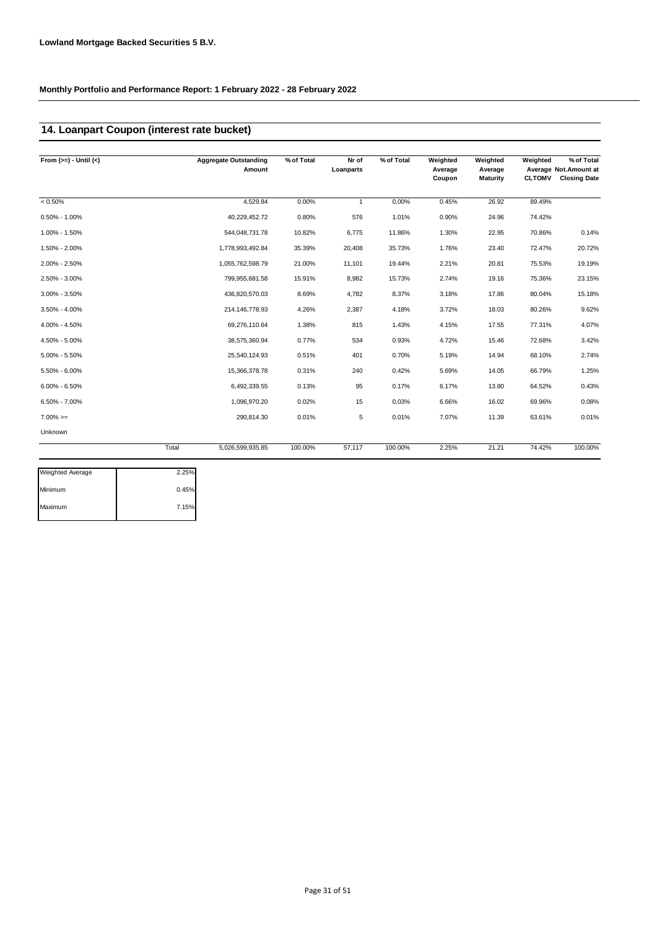### **14. Loanpart Coupon (interest rate bucket)**

| From $(>=) -$ Until $(<)$ | <b>Aggregate Outstanding</b><br>Amount | % of Total | Nr of<br>Loanparts | % of Total | Weighted<br>Average<br>Coupon | Weighted<br>Average<br>Maturity | Weighted<br><b>CLTOMV</b> | % of Total<br>Average Not. Amount at<br><b>Closing Date</b> |
|---------------------------|----------------------------------------|------------|--------------------|------------|-------------------------------|---------------------------------|---------------------------|-------------------------------------------------------------|
| $< 0.50\%$                | 4,529.84                               | 0.00%      | $\mathbf{1}$       | 0.00%      | 0.45%                         | 26.92                           | 89.49%                    |                                                             |
| $0.50\% - 1.00\%$         | 40,229,452.72                          | 0.80%      | 576                | 1.01%      | 0.90%                         | 24.96                           | 74.42%                    |                                                             |
| 1.00% - 1.50%             | 544,048,731.78                         | 10.82%     | 6,775              | 11.86%     | 1.30%                         | 22.95                           | 70.86%                    | 0.14%                                                       |
| 1.50% - 2.00%             | 1,778,993,492.84                       | 35.39%     | 20,408             | 35.73%     | 1.76%                         | 23.40                           | 72.47%                    | 20.72%                                                      |
| 2.00% - 2.50%             | 1,055,762,598.79                       | 21.00%     | 11,101             | 19.44%     | 2.21%                         | 20.81                           | 75.53%                    | 19.19%                                                      |
| 2.50% - 3.00%             | 799,955,681.58                         | 15.91%     | 8,982              | 15.73%     | 2.74%                         | 19.16                           | 75.36%                    | 23.15%                                                      |
| $3.00\% - 3.50\%$         | 436,820,570.03                         | 8.69%      | 4,782              | 8.37%      | 3.18%                         | 17.86                           | 80.04%                    | 15.18%                                                      |
| $3.50\% - 4.00\%$         | 214, 146, 778.93                       | 4.26%      | 2,387              | 4.18%      | 3.72%                         | 18.03                           | 80.26%                    | 9.62%                                                       |
| 4.00% - 4.50%             | 69,276,110.64                          | 1.38%      | 815                | 1.43%      | 4.15%                         | 17.55                           | 77.31%                    | 4.07%                                                       |
| 4.50% - 5.00%             | 38,575,360.94                          | 0.77%      | 534                | 0.93%      | 4.72%                         | 15.46                           | 72.68%                    | 3.42%                                                       |
| $5.00\% - 5.50\%$         | 25,540,124.93                          | 0.51%      | 401                | 0.70%      | 5.19%                         | 14.94                           | 68.10%                    | 2.74%                                                       |
| 5.50% - 6.00%             | 15,366,378.78                          | 0.31%      | 240                | 0.42%      | 5.69%                         | 14.05                           | 66.79%                    | 1.25%                                                       |
| $6.00\% - 6.50\%$         | 6,492,339.55                           | 0.13%      | 95                 | 0.17%      | 6.17%                         | 13.80                           | 64.52%                    | 0.43%                                                       |
| $6.50\% - 7.00\%$         | 1,096,970.20                           | 0.02%      | 15                 | 0.03%      | 6.66%                         | 16.02                           | 69.96%                    | 0.08%                                                       |
| $7.00\%>=$                | 290,814.30                             | 0.01%      | 5                  | 0.01%      | 7.07%                         | 11.39                           | 63.61%                    | 0.01%                                                       |
| Unknown                   |                                        |            |                    |            |                               |                                 |                           |                                                             |
|                           | Total<br>5,026,599,935.85              | 100.00%    | 57,117             | 100.00%    | 2.25%                         | 21.21                           | 74.42%                    | 100.00%                                                     |

| 2.25% |
|-------|
| 0.45% |
| 7.15% |
|       |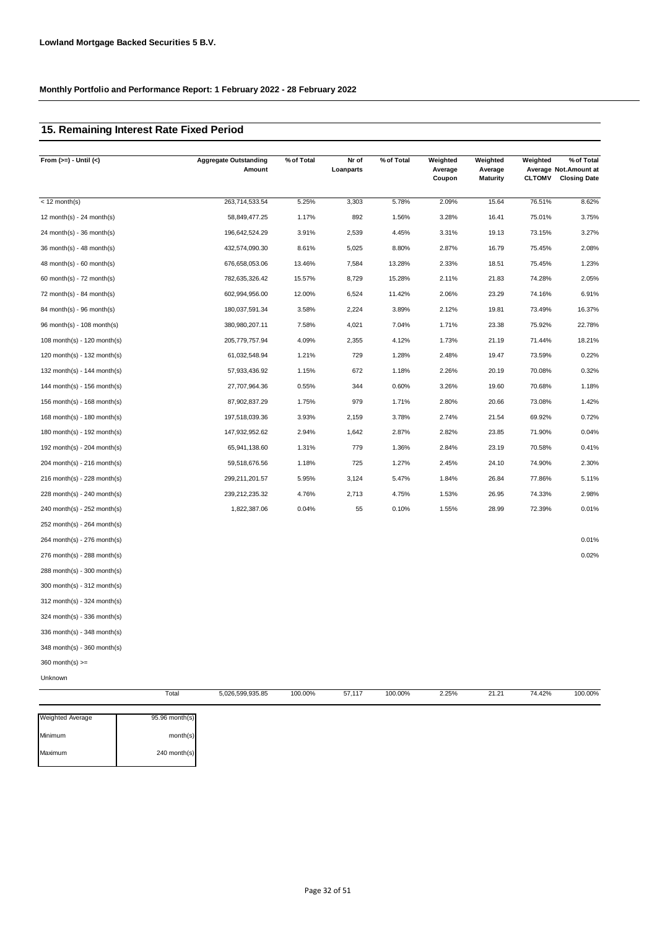### **15. Remaining Interest Rate Fixed Period**

| From $(>=) -$ Until $($       | <b>Aggregate Outstanding</b><br>Amount | % of Total | Nr of<br>Loanparts | % of Total | Weighted<br>Average<br>Coupon | Weighted<br>Average<br><b>Maturity</b> | Weighted<br><b>CLTOMV</b> | % of Total<br>Average Not.Amount at<br><b>Closing Date</b> |
|-------------------------------|----------------------------------------|------------|--------------------|------------|-------------------------------|----------------------------------------|---------------------------|------------------------------------------------------------|
| $<$ 12 month(s)               | 263,714,533.54                         | 5.25%      | 3,303              | 5.78%      | 2.09%                         | 15.64                                  | 76.51%                    | 8.62%                                                      |
| 12 month(s) - 24 month(s)     | 58,849,477.25                          | 1.17%      | 892                | 1.56%      | 3.28%                         | 16.41                                  | 75.01%                    | 3.75%                                                      |
| $24$ month(s) - 36 month(s)   | 196,642,524.29                         | 3.91%      | 2,539              | 4.45%      | 3.31%                         | 19.13                                  | 73.15%                    | 3.27%                                                      |
| 36 month(s) - 48 month(s)     | 432,574,090.30                         | 8.61%      | 5,025              | 8.80%      | 2.87%                         | 16.79                                  | 75.45%                    | 2.08%                                                      |
| $48$ month(s) - 60 month(s)   | 676,658,053.06                         | 13.46%     | 7,584              | 13.28%     | 2.33%                         | 18.51                                  | 75.45%                    | 1.23%                                                      |
| 60 month(s) - $72$ month(s)   | 782,635,326.42                         | 15.57%     | 8,729              | 15.28%     | 2.11%                         | 21.83                                  | 74.28%                    | 2.05%                                                      |
| 72 month(s) - 84 month(s)     | 602,994,956.00                         | 12.00%     | 6,524              | 11.42%     | 2.06%                         | 23.29                                  | 74.16%                    | 6.91%                                                      |
| 84 month(s) - 96 month(s)     | 180,037,591.34                         | 3.58%      | 2,224              | 3.89%      | 2.12%                         | 19.81                                  | 73.49%                    | 16.37%                                                     |
| 96 month(s) - 108 month(s)    | 380,980,207.11                         | 7.58%      | 4,021              | 7.04%      | 1.71%                         | 23.38                                  | 75.92%                    | 22.78%                                                     |
| 108 month(s) - 120 month(s)   | 205,779,757.94                         | 4.09%      | 2,355              | 4.12%      | 1.73%                         | 21.19                                  | 71.44%                    | 18.21%                                                     |
| 120 month(s) - 132 month(s)   | 61,032,548.94                          | 1.21%      | 729                | 1.28%      | 2.48%                         | 19.47                                  | 73.59%                    | 0.22%                                                      |
| 132 month(s) - 144 month(s)   | 57,933,436.92                          | 1.15%      | 672                | 1.18%      | 2.26%                         | 20.19                                  | 70.08%                    | 0.32%                                                      |
| 144 month(s) - 156 month(s)   | 27,707,964.36                          | 0.55%      | 344                | 0.60%      | 3.26%                         | 19.60                                  | 70.68%                    | 1.18%                                                      |
| 156 month(s) - 168 month(s)   | 87,902,837.29                          | 1.75%      | 979                | 1.71%      | 2.80%                         | 20.66                                  | 73.08%                    | 1.42%                                                      |
| 168 month(s) - 180 month(s)   | 197,518,039.36                         | 3.93%      | 2,159              | 3.78%      | 2.74%                         | 21.54                                  | 69.92%                    | 0.72%                                                      |
| 180 month(s) - 192 month(s)   | 147,932,952.62                         | 2.94%      | 1,642              | 2.87%      | 2.82%                         | 23.85                                  | 71.90%                    | 0.04%                                                      |
| 192 month(s) - $204$ month(s) | 65,941,138.60                          | 1.31%      | 779                | 1.36%      | 2.84%                         | 23.19                                  | 70.58%                    | 0.41%                                                      |
| 204 month(s) - 216 month(s)   | 59,518,676.56                          | 1.18%      | 725                | 1.27%      | 2.45%                         | 24.10                                  | 74.90%                    | 2.30%                                                      |
| 216 month(s) - 228 month(s)   | 299,211,201.57                         | 5.95%      | 3,124              | 5.47%      | 1.84%                         | 26.84                                  | 77.86%                    | 5.11%                                                      |
| 228 month(s) - 240 month(s)   | 239,212,235.32                         | 4.76%      | 2,713              | 4.75%      | 1.53%                         | 26.95                                  | 74.33%                    | 2.98%                                                      |
| 240 month(s) - 252 month(s)   | 1,822,387.06                           | 0.04%      | 55                 | 0.10%      | 1.55%                         | 28.99                                  | 72.39%                    | 0.01%                                                      |
| 252 month(s) - 264 month(s)   |                                        |            |                    |            |                               |                                        |                           |                                                            |
| 264 month(s) - 276 month(s)   |                                        |            |                    |            |                               |                                        |                           | 0.01%                                                      |
| 276 month(s) - 288 month(s)   |                                        |            |                    |            |                               |                                        |                           | 0.02%                                                      |
| 288 month(s) - 300 month(s)   |                                        |            |                    |            |                               |                                        |                           |                                                            |
| 300 month(s) - 312 month(s)   |                                        |            |                    |            |                               |                                        |                           |                                                            |
| 312 month(s) - 324 month(s)   |                                        |            |                    |            |                               |                                        |                           |                                                            |
| 324 month(s) - 336 month(s)   |                                        |            |                    |            |                               |                                        |                           |                                                            |
| 336 month(s) - 348 month(s)   |                                        |            |                    |            |                               |                                        |                           |                                                            |
| 348 month(s) - 360 month(s)   |                                        |            |                    |            |                               |                                        |                           |                                                            |
| $360$ month(s) $>=$           |                                        |            |                    |            |                               |                                        |                           |                                                            |
| Unknown                       |                                        |            |                    |            |                               |                                        |                           |                                                            |
|                               | Total<br>5,026,599,935.85              | 100.00%    | 57,117             | 100.00%    | 2.25%                         | 21.21                                  | 74.42%                    | 100.00%                                                    |

| <b>Weighted Average</b> | 95.96 month(s) |
|-------------------------|----------------|
| Minimum                 | month(s)       |
| Maximum                 | 240 month(s)   |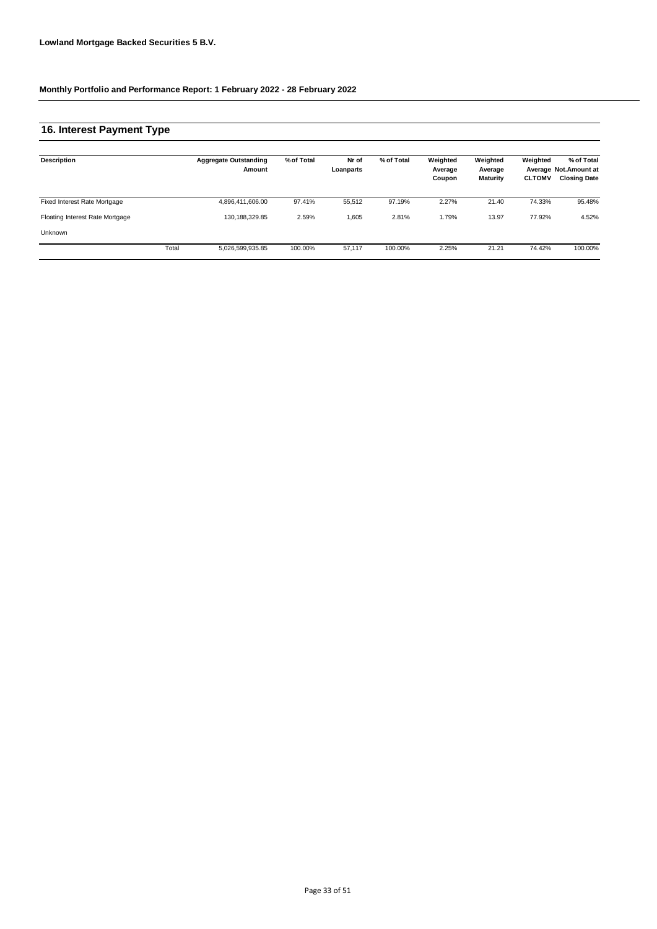### **16. Interest Payment Type**

| <b>Description</b>              |       | <b>Aggregate Outstanding</b><br>Amount | % of Total | Nr of<br>Loanparts | % of Total | Weighted<br>Average<br>Coupon | Weighted<br>Average<br>Maturity | Weighted<br><b>CLTOMV</b> | % of Total<br>Average Not. Amount at<br><b>Closing Date</b> |
|---------------------------------|-------|----------------------------------------|------------|--------------------|------------|-------------------------------|---------------------------------|---------------------------|-------------------------------------------------------------|
| Fixed Interest Rate Mortgage    |       | 4,896,411,606.00                       | 97.41%     | 55.512             | 97.19%     | 2.27%                         | 21.40                           | 74.33%                    | 95.48%                                                      |
| Floating Interest Rate Mortgage |       | 130.188.329.85                         | 2.59%      | 1,605              | 2.81%      | 1.79%                         | 13.97                           | 77.92%                    | 4.52%                                                       |
| Unknown                         |       |                                        |            |                    |            |                               |                                 |                           |                                                             |
|                                 | Total | 5,026,599,935.85                       | 100.00%    | 57.117             | 100.00%    | 2.25%                         | 21.21                           | 74.42%                    | 100.00%                                                     |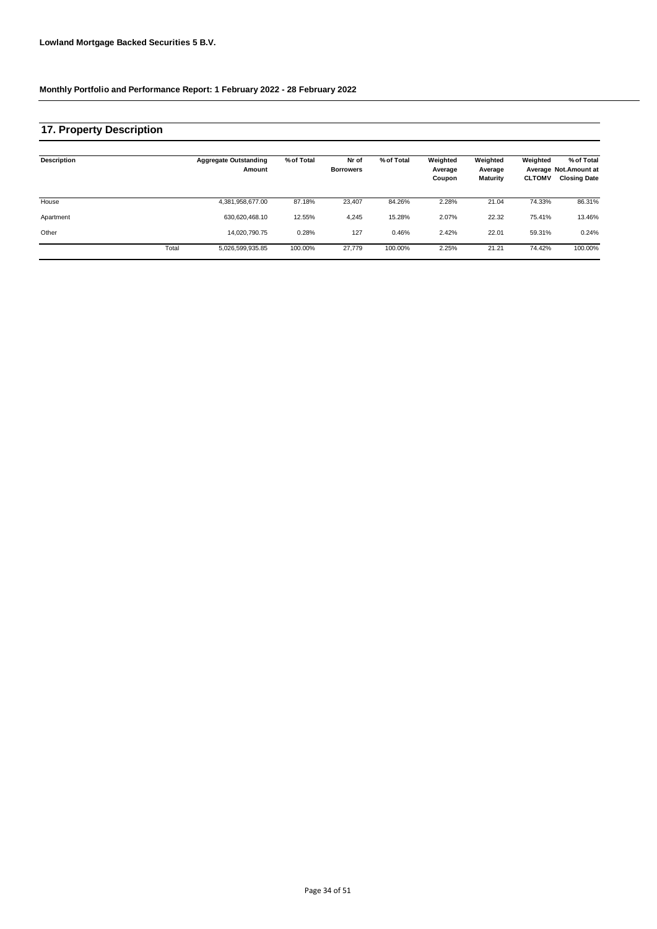# **17. Property Description**

| <b>Description</b> |       | <b>Aggregate Outstanding</b><br>Amount | % of Total | Nr of<br><b>Borrowers</b> | % of Total | Weighted<br>Average<br>Coupon | Weighted<br>Average<br><b>Maturity</b> | Weighted<br><b>CLTOMV</b> | % of Total<br>Average Not. Amount at<br><b>Closing Date</b> |
|--------------------|-------|----------------------------------------|------------|---------------------------|------------|-------------------------------|----------------------------------------|---------------------------|-------------------------------------------------------------|
| House              |       | 4,381,958,677.00                       | 87.18%     | 23.407                    | 84.26%     | 2.28%                         | 21.04                                  | 74.33%                    | 86.31%                                                      |
| Apartment          |       | 630.620.468.10                         | 12.55%     | 4,245                     | 15.28%     | 2.07%                         | 22.32                                  | 75.41%                    | 13.46%                                                      |
| Other              |       | 14,020,790.75                          | 0.28%      | 127                       | 0.46%      | 2.42%                         | 22.01                                  | 59.31%                    | 0.24%                                                       |
|                    | Total | 5,026,599,935.85                       | 100.00%    | 27,779                    | 100.00%    | 2.25%                         | 21.21                                  | 74.42%                    | 100.00%                                                     |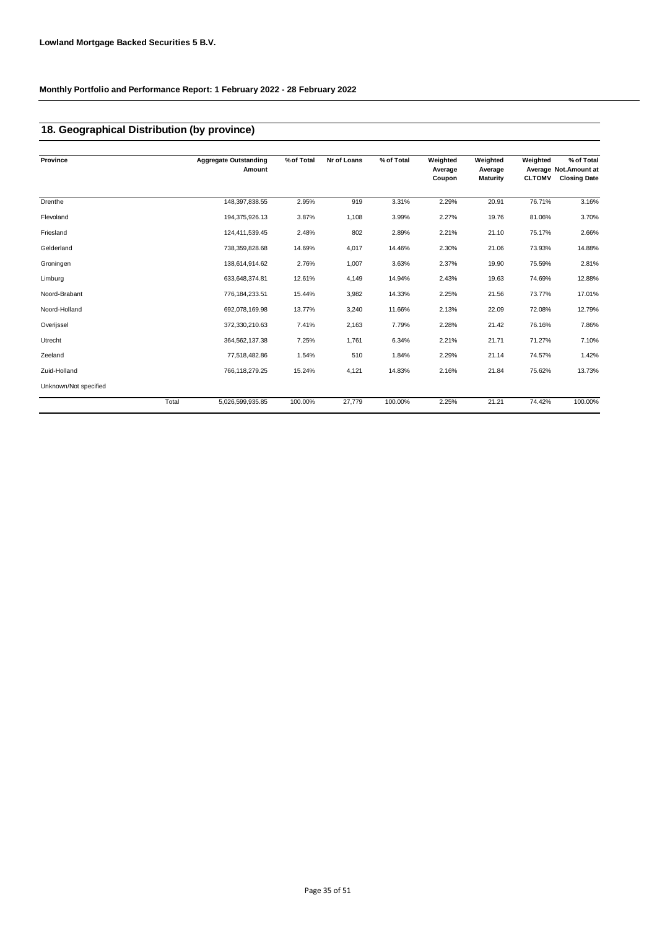### **18. Geographical Distribution (by province)**

| Province              |       | <b>Aggregate Outstanding</b><br>Amount | % of Total | Nr of Loans | % of Total | Weighted<br>Average | Weighted<br>Average | Weighted      | % of Total<br>Average Not.Amount at |
|-----------------------|-------|----------------------------------------|------------|-------------|------------|---------------------|---------------------|---------------|-------------------------------------|
|                       |       |                                        |            |             |            | Coupon              | <b>Maturity</b>     | <b>CLTOMV</b> | <b>Closing Date</b>                 |
| Drenthe               |       | 148,397,838.55                         | 2.95%      | 919         | 3.31%      | 2.29%               | 20.91               | 76.71%        | 3.16%                               |
| Flevoland             |       | 194,375,926.13                         | 3.87%      | 1,108       | 3.99%      | 2.27%               | 19.76               | 81.06%        | 3.70%                               |
| Friesland             |       | 124,411,539.45                         | 2.48%      | 802         | 2.89%      | 2.21%               | 21.10               | 75.17%        | 2.66%                               |
| Gelderland            |       | 738,359,828.68                         | 14.69%     | 4,017       | 14.46%     | 2.30%               | 21.06               | 73.93%        | 14.88%                              |
| Groningen             |       | 138,614,914.62                         | 2.76%      | 1,007       | 3.63%      | 2.37%               | 19.90               | 75.59%        | 2.81%                               |
| Limburg               |       | 633,648,374.81                         | 12.61%     | 4,149       | 14.94%     | 2.43%               | 19.63               | 74.69%        | 12.88%                              |
| Noord-Brabant         |       | 776, 184, 233.51                       | 15.44%     | 3,982       | 14.33%     | 2.25%               | 21.56               | 73.77%        | 17.01%                              |
| Noord-Holland         |       | 692,078,169.98                         | 13.77%     | 3,240       | 11.66%     | 2.13%               | 22.09               | 72.08%        | 12.79%                              |
| Overijssel            |       | 372,330,210.63                         | 7.41%      | 2,163       | 7.79%      | 2.28%               | 21.42               | 76.16%        | 7.86%                               |
| Utrecht               |       | 364,562,137.38                         | 7.25%      | 1,761       | 6.34%      | 2.21%               | 21.71               | 71.27%        | 7.10%                               |
| Zeeland               |       | 77,518,482.86                          | 1.54%      | 510         | 1.84%      | 2.29%               | 21.14               | 74.57%        | 1.42%                               |
| Zuid-Holland          |       | 766,118,279.25                         | 15.24%     | 4,121       | 14.83%     | 2.16%               | 21.84               | 75.62%        | 13.73%                              |
| Unknown/Not specified |       |                                        |            |             |            |                     |                     |               |                                     |
|                       | Total | 5,026,599,935.85                       | 100.00%    | 27,779      | 100.00%    | 2.25%               | 21.21               | 74.42%        | 100.00%                             |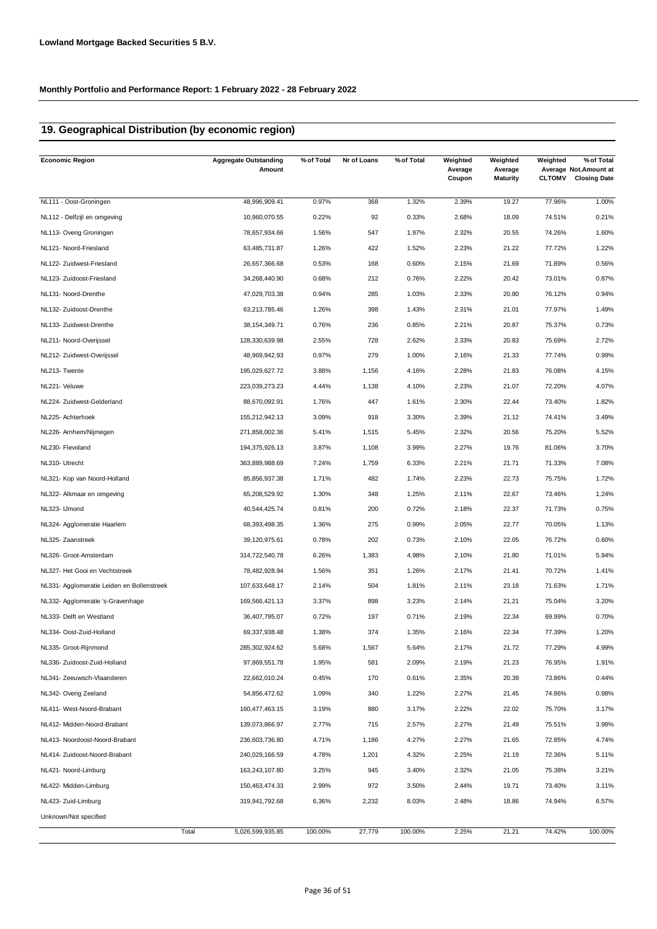### **19. Geographical Distribution (by economic region)**

| <b>Economic Region</b>                     | <b>Aggregate Outstanding</b><br>Amount | % of Total | Nr of Loans | % of Total | Weighted<br>Average<br>Coupon | Weighted<br>Average<br><b>Maturity</b> | Weighted<br><b>CLTOMV</b> | % of Total<br>Average Not. Amount at<br><b>Closing Date</b> |
|--------------------------------------------|----------------------------------------|------------|-------------|------------|-------------------------------|----------------------------------------|---------------------------|-------------------------------------------------------------|
| NL111 - Oost-Groningen                     | 48,996,909.41                          | 0.97%      | 368         | 1.32%      | 2.39%                         | 19.27                                  | 77.96%                    | 1.00%                                                       |
| NL112 - Delfzijl en omgeving               | 10,960,070.55                          | 0.22%      | 92          | 0.33%      | 2.68%                         | 18.09                                  | 74.51%                    | 0.21%                                                       |
| NL113- Overig Groningen                    | 78,657,934.66                          | 1.56%      | 547         | 1.97%      | 2.32%                         | 20.55                                  | 74.26%                    | 1.60%                                                       |
| NL121- Noord-Friesland                     | 63,485,731.87                          | 1.26%      | 422         | 1.52%      | 2.23%                         | 21.22                                  | 77.72%                    | 1.22%                                                       |
| NL122- Zuidwest-Friesland                  | 26,657,366.68                          | 0.53%      | 168         | 0.60%      | 2.15%                         | 21.69                                  | 71.89%                    | 0.56%                                                       |
| NL123- Zuidoost-Friesland                  | 34,268,440.90                          | 0.68%      | 212         | 0.76%      | 2.22%                         | 20.42                                  | 73.01%                    | 0.87%                                                       |
| NL131- Noord-Drenthe                       | 47,029,703.38                          | 0.94%      | 285         | 1.03%      | 2.33%                         | 20.80                                  | 76.12%                    | 0.94%                                                       |
| NL132- Zuidoost-Drenthe                    | 63,213,785.46                          | 1.26%      | 398         | 1.43%      | 2.31%                         | 21.01                                  | 77.97%                    | 1.49%                                                       |
| NL133- Zuidwest-Drenthe                    | 38, 154, 349. 71                       | 0.76%      | 236         | 0.85%      | 2.21%                         | 20.87                                  | 75.37%                    | 0.73%                                                       |
| NL211- Noord-Overijssel                    | 128,330,639.98                         | 2.55%      | 728         | 2.62%      | 2.33%                         | 20.83                                  | 75.69%                    | 2.72%                                                       |
| NL212- Zuidwest-Overijssel                 | 48,969,942.93                          | 0.97%      | 279         | 1.00%      | 2.16%                         | 21.33                                  | 77.74%                    | 0.99%                                                       |
| NL213- Twente                              | 195,029,627.72                         | 3.88%      | 1,156       | 4.16%      | 2.28%                         | 21.83                                  | 76.08%                    | 4.15%                                                       |
| NL221- Veluwe                              | 223,039,273.23                         | 4.44%      | 1,138       | 4.10%      | 2.23%                         | 21.07                                  | 72.20%                    | 4.07%                                                       |
| NL224- Zuidwest-Gelderland                 | 88,670,092.91                          | 1.76%      | 447         | 1.61%      | 2.30%                         | 22.44                                  | 73.40%                    | 1.82%                                                       |
| NL225- Achterhoek                          | 155,212,942.13                         | 3.09%      | 918         | 3.30%      | 2.39%                         | 21.12                                  | 74.41%                    | 3.49%                                                       |
| NL226- Arnhem/Nijmegen                     | 271,858,002.36                         | 5.41%      | 1,515       | 5.45%      | 2.32%                         | 20.56                                  | 75.20%                    | 5.52%                                                       |
| NL230- Flevoland                           | 194,375,926.13                         | 3.87%      | 1,108       | 3.99%      | 2.27%                         | 19.76                                  | 81.06%                    | 3.70%                                                       |
| NL310- Utrecht                             | 363,889,988.69                         | 7.24%      | 1,759       | 6.33%      | 2.21%                         | 21.71                                  | 71.33%                    | 7.08%                                                       |
| NL321- Kop van Noord-Holland               | 85,856,937.38                          | 1.71%      | 482         | 1.74%      | 2.23%                         | 22.73                                  | 75.75%                    | 1.72%                                                       |
| NL322- Alkmaar en omgeving                 | 65,208,529.92                          | 1.30%      | 348         | 1.25%      | 2.11%                         | 22.67                                  | 73.46%                    | 1.24%                                                       |
| NL323- IJmond                              | 40,544,425.74                          | 0.81%      | 200         | 0.72%      | 2.18%                         | 22.37                                  | 71.73%                    | 0.75%                                                       |
| NL324- Agglomeratie Haarlem                | 68,393,498.35                          | 1.36%      | 275         | 0.99%      | 2.05%                         | 22.77                                  | 70.05%                    | 1.13%                                                       |
| NL325- Zaanstreek                          | 39,120,975.61                          | 0.78%      | 202         | 0.73%      | 2.10%                         | 22.05                                  | 76.72%                    | 0.60%                                                       |
| NL326- Groot-Amsterdam                     | 314,722,540.78                         | 6.26%      | 1,383       | 4.98%      | 2.10%                         | 21.80                                  | 71.01%                    | 5.94%                                                       |
| NL327- Het Gooi en Vechtstreek             | 78,482,928.94                          | 1.56%      | 351         | 1.26%      | 2.17%                         | 21.41                                  | 70.72%                    | 1.41%                                                       |
| NL331- Agglomeratie Leiden en Bollenstreek | 107,633,648.17                         | 2.14%      | 504         | 1.81%      | 2.11%                         | 23.18                                  | 71.63%                    | 1.71%                                                       |
| NL332- Agglomeratie 's-Gravenhage          | 169,566,421.13                         | 3.37%      | 898         | 3.23%      | 2.14%                         | 21.21                                  | 75.04%                    | 3.20%                                                       |
| NL333- Delft en Westland                   | 36,407,795.07                          | 0.72%      | 197         | 0.71%      | 2.19%                         | 22.34                                  | 69.99%                    | 0.70%                                                       |
| NL334- Oost-Zuid-Holland                   | 69,337,938.48                          | 1.38%      | 374         | 1.35%      | 2.16%                         | 22.34                                  | 77.39%                    | 1.20%                                                       |
| NL335- Groot-Rijnmond                      | 285,302,924.62                         | 5.68%      | 1,567       | 5.64%      | 2.17%                         | 21.72                                  | 77.29%                    | 4.99%                                                       |
| NL336- Zuidoost-Zuid-Holland               | 97,869,551.78                          | 1.95%      | 581         | 2.09%      | 2.19%                         | 21.23                                  | 76.95%                    | 1.91%                                                       |
| NL341- Zeeuwsch-Vlaanderen                 | 22,662,010.24                          | 0.45%      | 170         | 0.61%      | 2.35%                         | 20.39                                  | 73.86%                    | 0.44%                                                       |
| NL342- Overig Zeeland                      | 54,856,472.62                          | 1.09%      | 340         | 1.22%      | 2.27%                         | 21.45                                  | 74.86%                    | 0.98%                                                       |
| NL411- West-Noord-Brabant                  | 160,477,463.15                         | 3.19%      | 880         | 3.17%      | 2.22%                         | 22.02                                  | 75.70%                    | 3.17%                                                       |
| NL412- Midden-Noord-Brabant                | 139,073,866.97                         | 2.77%      | 715         | 2.57%      | 2.27%                         | 21.49                                  | 75.51%                    | 3.98%                                                       |
| NL413- Noordoost-Noord-Brabant             | 236,603,736.80                         | 4.71%      | 1,186       | 4.27%      | 2.27%                         | 21.65                                  | 72.85%                    | 4.74%                                                       |
| NL414- Zuidoost-Noord-Brabant              | 240,029,166.59                         | 4.78%      | 1,201       | 4.32%      | 2.25%                         | 21.19                                  | 72.36%                    | 5.11%                                                       |
| NL421- Noord-Limburg                       | 163,243,107.80                         | 3.25%      | 945         | 3.40%      | 2.32%                         | 21.05                                  | 75.38%                    | 3.21%                                                       |
| NL422- Midden-Limburg                      | 150,463,474.33                         | 2.99%      | 972         | 3.50%      | 2.44%                         | 19.71                                  | 73.40%                    | 3.11%                                                       |
| NL423- Zuid-Limburg                        | 319,941,792.68                         | 6.36%      | 2,232       | 8.03%      | 2.48%                         | 18.86                                  | 74.94%                    | 6.57%                                                       |
| Unknown/Not specified                      |                                        |            |             |            |                               |                                        |                           |                                                             |
|                                            | Total<br>5,026,599,935.85              | 100.00%    | 27,779      | 100.00%    | 2.25%                         | 21.21                                  | 74.42%                    | 100.00%                                                     |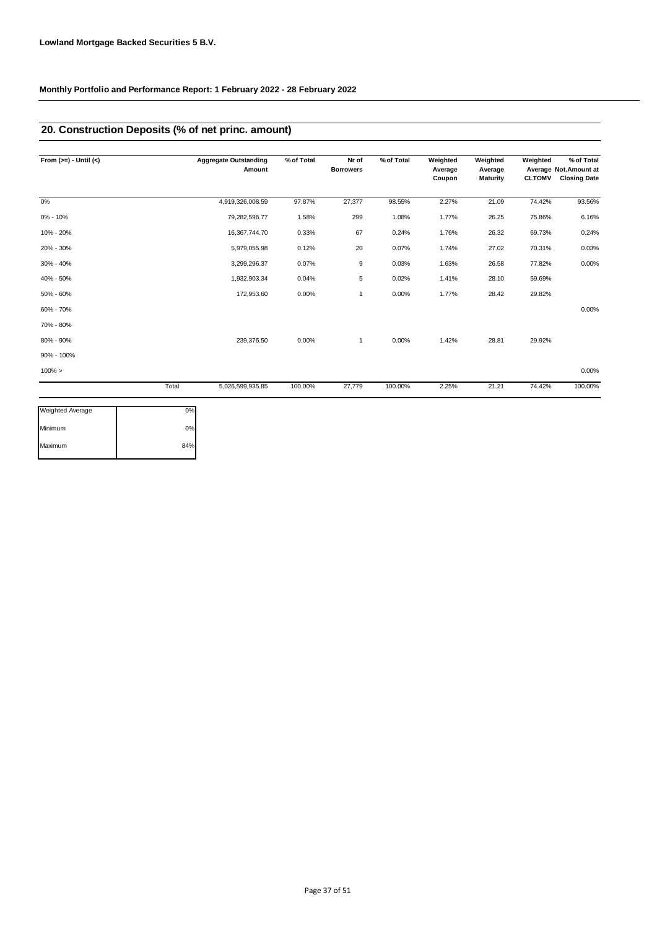### **20. Construction Deposits (% of net princ. amount)**

| From $(>=) -$ Until $(<)$ |       | <b>Aggregate Outstanding</b><br>Amount | % of Total | Nr of<br><b>Borrowers</b> | % of Total | Weighted<br>Average<br>Coupon | Weighted<br>Average<br><b>Maturity</b> | Weighted<br><b>CLTOMV</b> | % of Total<br>Average Not. Amount at<br><b>Closing Date</b> |
|---------------------------|-------|----------------------------------------|------------|---------------------------|------------|-------------------------------|----------------------------------------|---------------------------|-------------------------------------------------------------|
| $0\%$                     |       | 4,919,326,008.59                       | 97.87%     | 27,377                    | 98.55%     | 2.27%                         | 21.09                                  | 74.42%                    | 93.56%                                                      |
| $0\% - 10\%$              |       | 79,282,596.77                          | 1.58%      | 299                       | 1.08%      | 1.77%                         | 26.25                                  | 75.86%                    | 6.16%                                                       |
| 10% - 20%                 |       | 16,367,744.70                          | 0.33%      | 67                        | 0.24%      | 1.76%                         | 26.32                                  | 69.73%                    | 0.24%                                                       |
| 20% - 30%                 |       | 5,979,055.98                           | 0.12%      | 20                        | 0.07%      | 1.74%                         | 27.02                                  | 70.31%                    | 0.03%                                                       |
| 30% - 40%                 |       | 3,299,296.37                           | 0.07%      | 9                         | 0.03%      | 1.63%                         | 26.58                                  | 77.82%                    | 0.00%                                                       |
| 40% - 50%                 |       | 1,932,903.34                           | 0.04%      | 5                         | 0.02%      | 1.41%                         | 28.10                                  | 59.69%                    |                                                             |
| 50% - 60%                 |       | 172,953.60                             | 0.00%      | $\mathbf{1}$              | 0.00%      | 1.77%                         | 28.42                                  | 29.82%                    |                                                             |
| 60% - 70%                 |       |                                        |            |                           |            |                               |                                        |                           | 0.00%                                                       |
| 70% - 80%                 |       |                                        |            |                           |            |                               |                                        |                           |                                                             |
| 80% - 90%                 |       | 239,376.50                             | 0.00%      | 1                         | 0.00%      | 1.42%                         | 28.81                                  | 29.92%                    |                                                             |
| 90% - 100%                |       |                                        |            |                           |            |                               |                                        |                           |                                                             |
| $100\% >$                 |       |                                        |            |                           |            |                               |                                        |                           | 0.00%                                                       |
|                           | Total | 5,026,599,935.85                       | 100.00%    | 27,779                    | 100.00%    | 2.25%                         | 21.21                                  | 74.42%                    | 100.00%                                                     |

| 0%  |
|-----|
| 84% |
|     |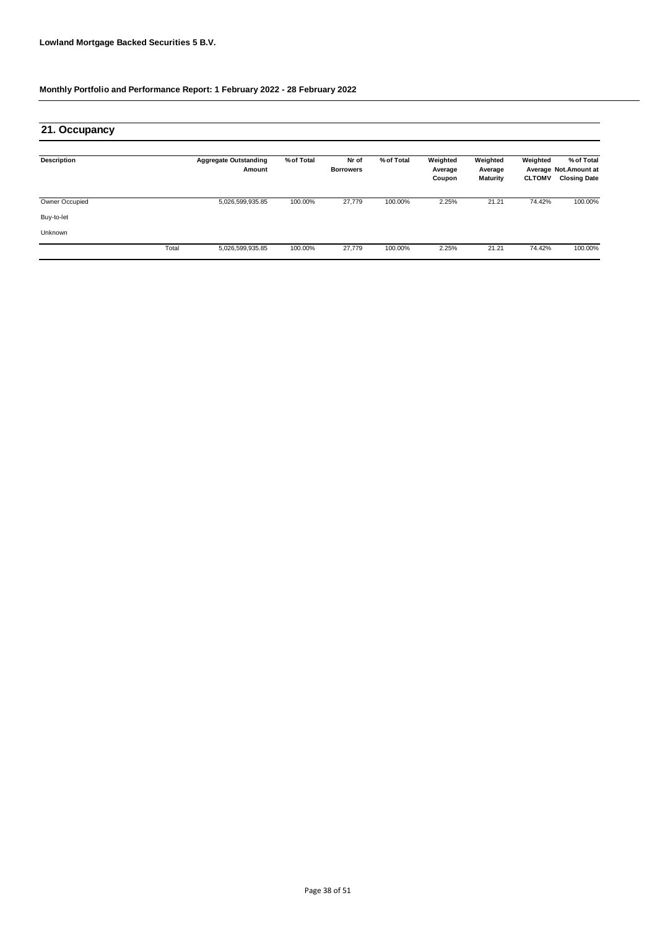| 21. Occupancy      |       |                                        |            |                           |            |                               |                                 |                           |                                                             |
|--------------------|-------|----------------------------------------|------------|---------------------------|------------|-------------------------------|---------------------------------|---------------------------|-------------------------------------------------------------|
| <b>Description</b> |       | <b>Aggregate Outstanding</b><br>Amount | % of Total | Nr of<br><b>Borrowers</b> | % of Total | Weighted<br>Average<br>Coupon | Weighted<br>Average<br>Maturity | Weighted<br><b>CLTOMV</b> | % of Total<br>Average Not. Amount at<br><b>Closing Date</b> |
| Owner Occupied     |       | 5,026,599,935.85                       | 100.00%    | 27,779                    | 100.00%    | 2.25%                         | 21.21                           | 74.42%                    | 100.00%                                                     |
| Buy-to-let         |       |                                        |            |                           |            |                               |                                 |                           |                                                             |
| Unknown            |       |                                        |            |                           |            |                               |                                 |                           |                                                             |
|                    | Total | 5,026,599,935.85                       | 100.00%    | 27,779                    | 100.00%    | 2.25%                         | 21.21                           | 74.42%                    | 100.00%                                                     |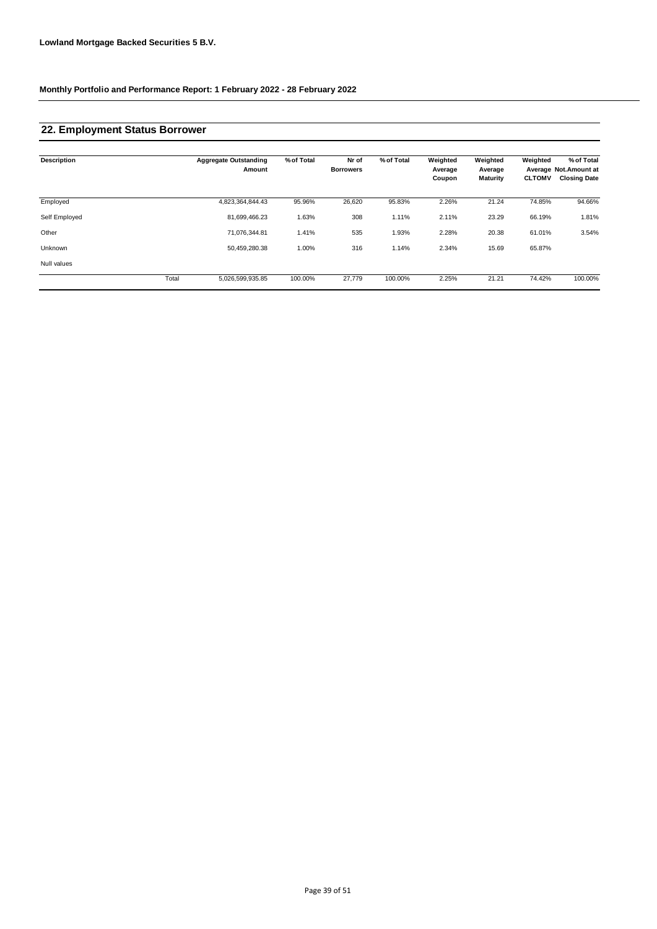# **22. Employment Status Borrower**

| <b>Description</b> |       | <b>Aggregate Outstanding</b><br>Amount | % of Total | Nr of<br><b>Borrowers</b> | % of Total | Weighted<br>Average<br>Coupon | Weighted<br>Average<br><b>Maturity</b> | Weighted<br><b>CLTOMV</b> | % of Total<br>Average Not.Amount at<br><b>Closing Date</b> |
|--------------------|-------|----------------------------------------|------------|---------------------------|------------|-------------------------------|----------------------------------------|---------------------------|------------------------------------------------------------|
| Employed           |       | 4,823,364,844.43                       | 95.96%     | 26,620                    | 95.83%     | 2.26%                         | 21.24                                  | 74.85%                    | 94.66%                                                     |
| Self Employed      |       | 81,699,466.23                          | 1.63%      | 308                       | 1.11%      | 2.11%                         | 23.29                                  | 66.19%                    | 1.81%                                                      |
| Other              |       | 71,076,344.81                          | 1.41%      | 535                       | 1.93%      | 2.28%                         | 20.38                                  | 61.01%                    | 3.54%                                                      |
| Unknown            |       | 50,459,280.38                          | 1.00%      | 316                       | 1.14%      | 2.34%                         | 15.69                                  | 65.87%                    |                                                            |
| Null values        |       |                                        |            |                           |            |                               |                                        |                           |                                                            |
|                    | Total | 5,026,599,935.85                       | 100.00%    | 27,779                    | 100.00%    | 2.25%                         | 21.21                                  | 74.42%                    | 100.00%                                                    |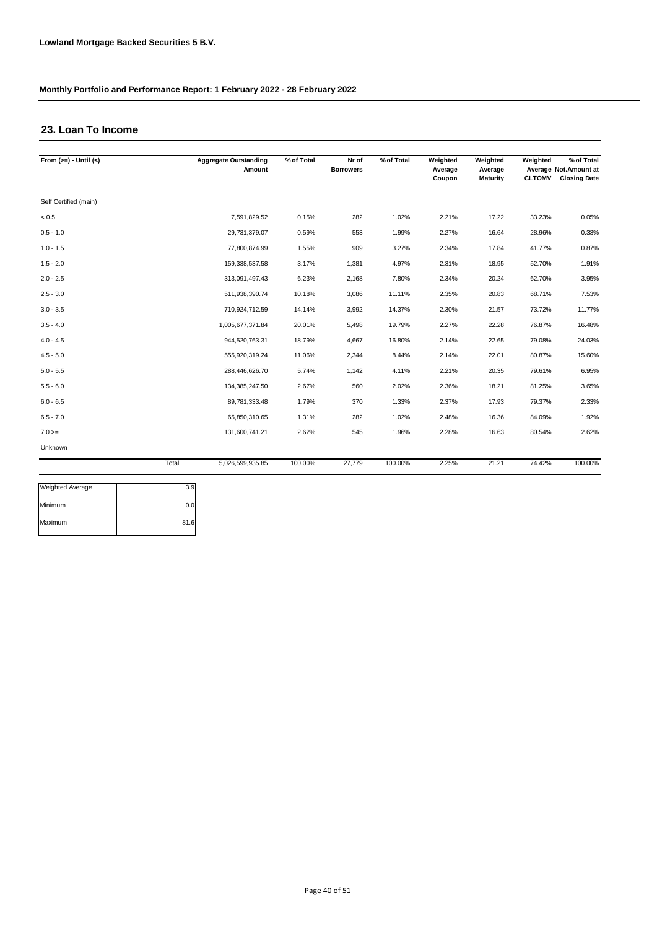# **23. Loan To Income**

| From $(>=) -$ Until $(<)$ |       | <b>Aggregate Outstanding</b><br>Amount | % of Total | Nr of<br><b>Borrowers</b> | % of Total | Weighted<br>Average<br>Coupon | Weighted<br>Average<br>Maturity | Weighted<br><b>CLTOMV</b> | % of Total<br>Average Not. Amount at<br><b>Closing Date</b> |
|---------------------------|-------|----------------------------------------|------------|---------------------------|------------|-------------------------------|---------------------------------|---------------------------|-------------------------------------------------------------|
|                           |       |                                        |            |                           |            |                               |                                 |                           |                                                             |
| Self Certified (main)     |       |                                        |            |                           |            |                               |                                 |                           |                                                             |
| < 0.5                     |       | 7,591,829.52                           | 0.15%      | 282                       | 1.02%      | 2.21%                         | 17.22                           | 33.23%                    | 0.05%                                                       |
| $0.5 - 1.0$               |       | 29,731,379.07                          | 0.59%      | 553                       | 1.99%      | 2.27%                         | 16.64                           | 28.96%                    | 0.33%                                                       |
| $1.0 - 1.5$               |       | 77,800,874.99                          | 1.55%      | 909                       | 3.27%      | 2.34%                         | 17.84                           | 41.77%                    | 0.87%                                                       |
| $1.5 - 2.0$               |       | 159,338,537.58                         | 3.17%      | 1,381                     | 4.97%      | 2.31%                         | 18.95                           | 52.70%                    | 1.91%                                                       |
| $2.0 - 2.5$               |       | 313,091,497.43                         | 6.23%      | 2,168                     | 7.80%      | 2.34%                         | 20.24                           | 62.70%                    | 3.95%                                                       |
| $2.5 - 3.0$               |       | 511,938,390.74                         | 10.18%     | 3,086                     | 11.11%     | 2.35%                         | 20.83                           | 68.71%                    | 7.53%                                                       |
| $3.0 - 3.5$               |       | 710,924,712.59                         | 14.14%     | 3,992                     | 14.37%     | 2.30%                         | 21.57                           | 73.72%                    | 11.77%                                                      |
| $3.5 - 4.0$               |       | 1,005,677,371.84                       | 20.01%     | 5,498                     | 19.79%     | 2.27%                         | 22.28                           | 76.87%                    | 16.48%                                                      |
| $4.0 - 4.5$               |       | 944,520,763.31                         | 18.79%     | 4,667                     | 16.80%     | 2.14%                         | 22.65                           | 79.08%                    | 24.03%                                                      |
| $4.5 - 5.0$               |       | 555,920,319.24                         | 11.06%     | 2,344                     | 8.44%      | 2.14%                         | 22.01                           | 80.87%                    | 15.60%                                                      |
| $5.0 - 5.5$               |       | 288,446,626.70                         | 5.74%      | 1,142                     | 4.11%      | 2.21%                         | 20.35                           | 79.61%                    | 6.95%                                                       |
| $5.5 - 6.0$               |       | 134,385,247.50                         | 2.67%      | 560                       | 2.02%      | 2.36%                         | 18.21                           | 81.25%                    | 3.65%                                                       |
| $6.0 - 6.5$               |       | 89,781,333.48                          | 1.79%      | 370                       | 1.33%      | 2.37%                         | 17.93                           | 79.37%                    | 2.33%                                                       |
| $6.5 - 7.0$               |       | 65,850,310.65                          | 1.31%      | 282                       | 1.02%      | 2.48%                         | 16.36                           | 84.09%                    | 1.92%                                                       |
| $7.0 =$                   |       | 131,600,741.21                         | 2.62%      | 545                       | 1.96%      | 2.28%                         | 16.63                           | 80.54%                    | 2.62%                                                       |
| Unknown                   |       |                                        |            |                           |            |                               |                                 |                           |                                                             |
|                           | Total | 5,026,599,935.85                       | 100.00%    | 27.779                    | 100.00%    | 2.25%                         | 21.21                           | 74.42%                    | 100.00%                                                     |

| Weighted Average | 3.9  |
|------------------|------|
| Minimum          | 0.0  |
| Maximum          | 81.6 |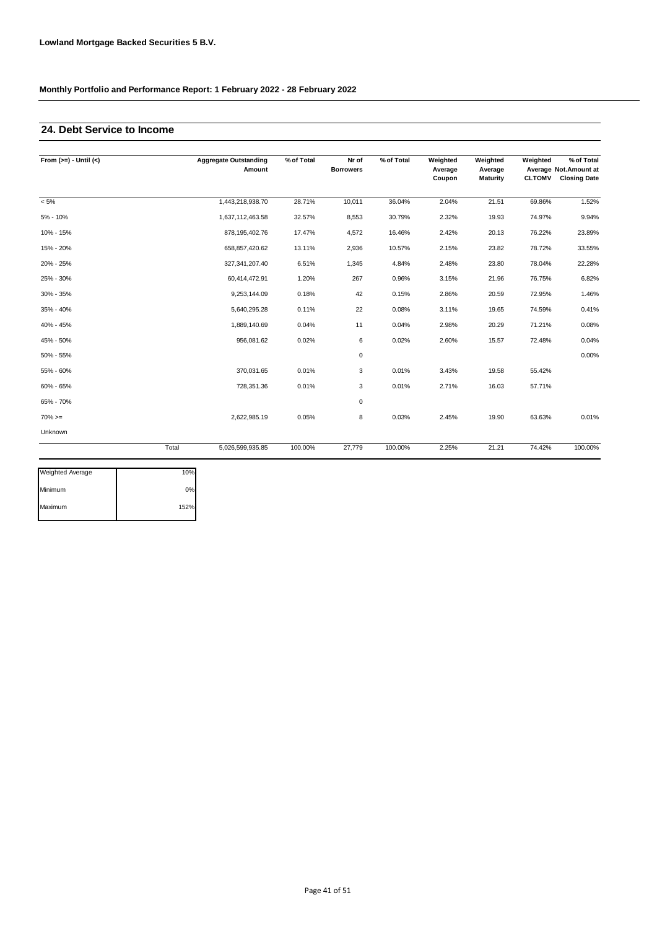# **24. Debt Service to Income**

| From $(>=) -$ Until $(<)$ |       | <b>Aggregate Outstanding</b><br>Amount | % of Total | Nr of<br><b>Borrowers</b> | % of Total | Weighted<br>Average<br>Coupon | Weighted<br>Average<br><b>Maturity</b> | Weighted<br><b>CLTOMV</b> | % of Total<br>Average Not.Amount at<br><b>Closing Date</b> |
|---------------------------|-------|----------------------------------------|------------|---------------------------|------------|-------------------------------|----------------------------------------|---------------------------|------------------------------------------------------------|
| $< 5\%$                   |       | 1,443,218,938.70                       | 28.71%     | 10,011                    | 36.04%     | 2.04%                         | 21.51                                  | 69.86%                    | 1.52%                                                      |
| 5% - 10%                  |       | 1,637,112,463.58                       | 32.57%     | 8,553                     | 30.79%     | 2.32%                         | 19.93                                  | 74.97%                    | 9.94%                                                      |
| 10% - 15%                 |       | 878, 195, 402. 76                      | 17.47%     | 4,572                     | 16.46%     | 2.42%                         | 20.13                                  | 76.22%                    | 23.89%                                                     |
| 15% - 20%                 |       | 658,857,420.62                         | 13.11%     | 2,936                     | 10.57%     | 2.15%                         | 23.82                                  | 78.72%                    | 33.55%                                                     |
| 20% - 25%                 |       | 327, 341, 207.40                       | 6.51%      | 1,345                     | 4.84%      | 2.48%                         | 23.80                                  | 78.04%                    | 22.28%                                                     |
| 25% - 30%                 |       | 60,414,472.91                          | 1.20%      | 267                       | 0.96%      | 3.15%                         | 21.96                                  | 76.75%                    | 6.82%                                                      |
| 30% - 35%                 |       | 9,253,144.09                           | 0.18%      | 42                        | 0.15%      | 2.86%                         | 20.59                                  | 72.95%                    | 1.46%                                                      |
| 35% - 40%                 |       | 5,640,295.28                           | 0.11%      | 22                        | 0.08%      | 3.11%                         | 19.65                                  | 74.59%                    | 0.41%                                                      |
| 40% - 45%                 |       | 1,889,140.69                           | 0.04%      | 11                        | 0.04%      | 2.98%                         | 20.29                                  | 71.21%                    | 0.08%                                                      |
| 45% - 50%                 |       | 956,081.62                             | 0.02%      | 6                         | 0.02%      | 2.60%                         | 15.57                                  | 72.48%                    | 0.04%                                                      |
| 50% - 55%                 |       |                                        |            | $\mathbf 0$               |            |                               |                                        |                           | 0.00%                                                      |
| 55% - 60%                 |       | 370,031.65                             | 0.01%      | 3                         | 0.01%      | 3.43%                         | 19.58                                  | 55.42%                    |                                                            |
| 60% - 65%                 |       | 728,351.36                             | 0.01%      | 3                         | 0.01%      | 2.71%                         | 16.03                                  | 57.71%                    |                                                            |
| 65% - 70%                 |       |                                        |            | $\mathbf 0$               |            |                               |                                        |                           |                                                            |
| $70\%>=$                  |       | 2,622,985.19                           | 0.05%      | 8                         | 0.03%      | 2.45%                         | 19.90                                  | 63.63%                    | 0.01%                                                      |
| Unknown                   |       |                                        |            |                           |            |                               |                                        |                           |                                                            |
|                           | Total | 5,026,599,935.85                       | 100.00%    | 27,779                    | 100.00%    | 2.25%                         | 21.21                                  | 74.42%                    | 100.00%                                                    |

| Weighted Average | 10%  |
|------------------|------|
| Minimum          | 0%   |
| Maximum          | 152% |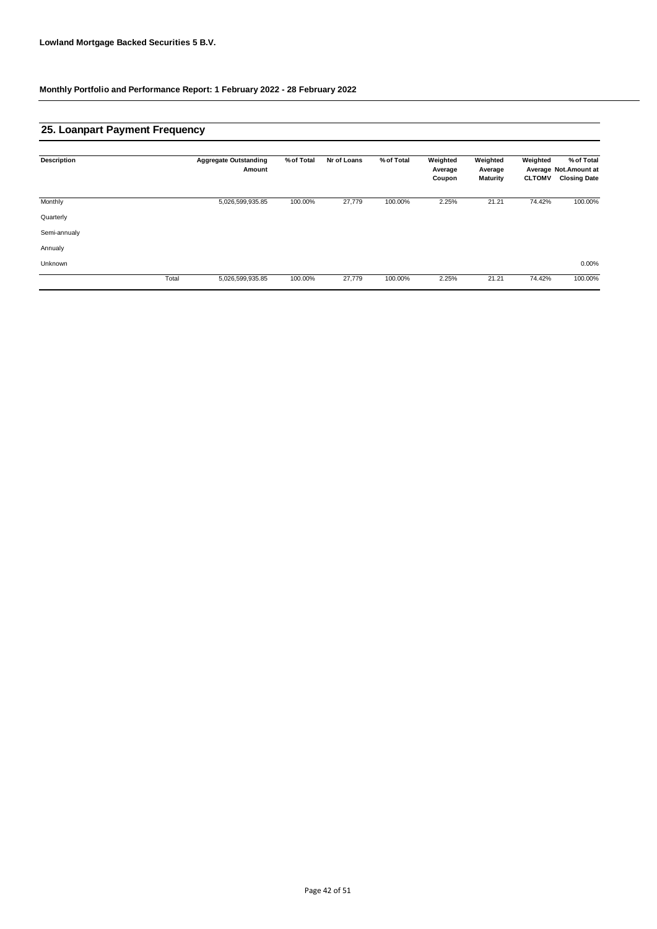# **25. Loanpart Payment Frequency**

| <b>Description</b> |       | <b>Aggregate Outstanding</b> | % of Total | Nr of Loans | % of Total | Weighted          | Weighted                   | Weighted      | % of Total                                   |
|--------------------|-------|------------------------------|------------|-------------|------------|-------------------|----------------------------|---------------|----------------------------------------------|
|                    |       | Amount                       |            |             |            | Average<br>Coupon | Average<br><b>Maturity</b> | <b>CLTOMV</b> | Average Not.Amount at<br><b>Closing Date</b> |
| Monthly            |       | 5,026,599,935.85             | 100.00%    | 27,779      | 100.00%    | 2.25%             | 21.21                      | 74.42%        | 100.00%                                      |
| Quarterly          |       |                              |            |             |            |                   |                            |               |                                              |
| Semi-annualy       |       |                              |            |             |            |                   |                            |               |                                              |
| Annualy            |       |                              |            |             |            |                   |                            |               |                                              |
| Unknown            |       |                              |            |             |            |                   |                            |               | 0.00%                                        |
|                    | Total | 5,026,599,935.85             | 100.00%    | 27,779      | 100.00%    | 2.25%             | 21.21                      | 74.42%        | 100.00%                                      |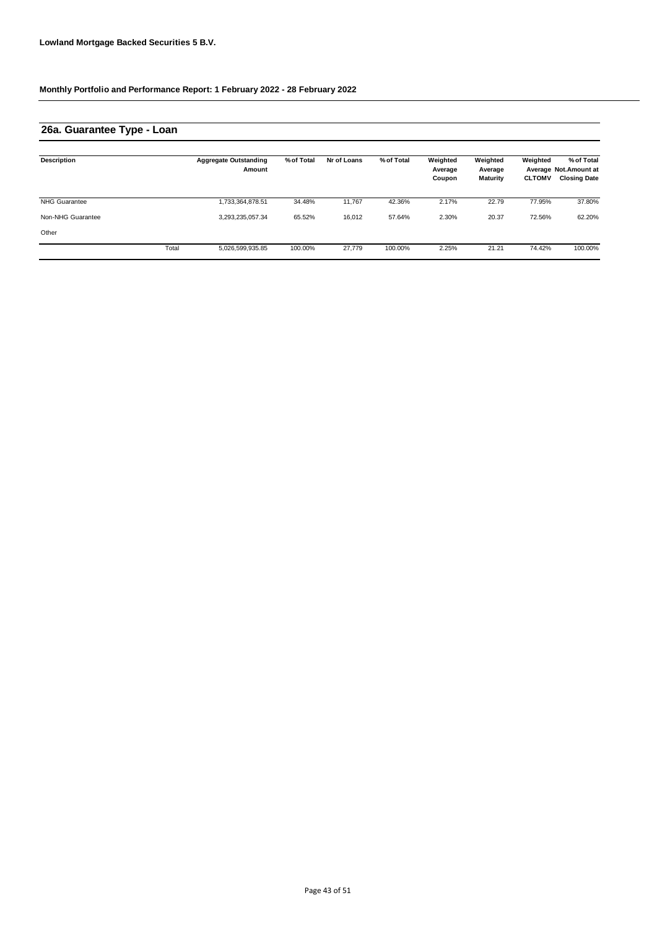### **26a. Guarantee Type - Loan**

| <b>Description</b>   |       | <b>Aggregate Outstanding</b><br>Amount | % of Total | Nr of Loans | % of Total | Weighted<br>Average<br>Coupon | Weighted<br>Average<br>Maturity | Weighted<br><b>CLTOMV</b> | % of Total<br>Average Not. Amount at<br><b>Closing Date</b> |
|----------------------|-------|----------------------------------------|------------|-------------|------------|-------------------------------|---------------------------------|---------------------------|-------------------------------------------------------------|
| <b>NHG Guarantee</b> |       | ,733,364,878.51                        | 34.48%     | 11.767      | 42.36%     | 2.17%                         | 22.79                           | 77.95%                    | 37.80%                                                      |
| Non-NHG Guarantee    |       | 3,293,235,057.34                       | 65.52%     | 16,012      | 57.64%     | 2.30%                         | 20.37                           | 72.56%                    | 62.20%                                                      |
| Other                |       |                                        |            |             |            |                               |                                 |                           |                                                             |
|                      | Total | 5,026,599,935.85                       | 100.00%    | 27.779      | 100.00%    | 2.25%                         | 21.21                           | 74.42%                    | 100.00%                                                     |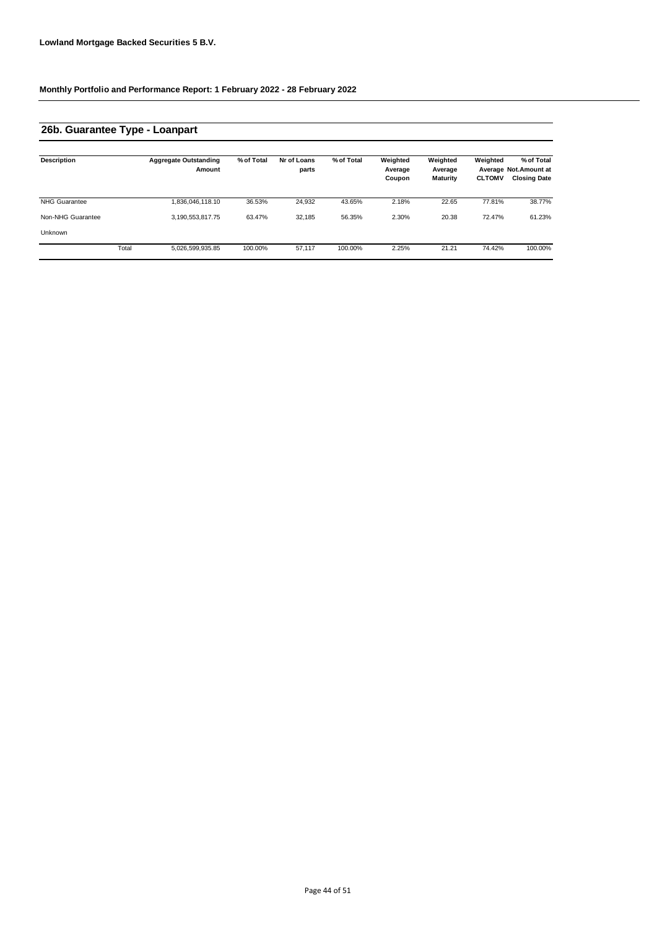### **26b. Guarantee Type - Loanpart**

| <b>Description</b>   |       | <b>Aggregate Outstanding</b><br>Amount | % of Total | Nr of Loans<br>parts | % of Total | Weighted<br>Average<br>Coupon | Weighted<br>Average<br><b>Maturity</b> | Weighted<br><b>CLTOMV</b> | % of Total<br>Average Not. Amount at<br><b>Closing Date</b> |
|----------------------|-------|----------------------------------------|------------|----------------------|------------|-------------------------------|----------------------------------------|---------------------------|-------------------------------------------------------------|
| <b>NHG Guarantee</b> |       | 1,836,046,118.10                       | 36.53%     | 24,932               | 43.65%     | 2.18%                         | 22.65                                  | 77.81%                    | 38.77%                                                      |
| Non-NHG Guarantee    |       | 3,190,553,817.75                       | 63.47%     | 32.185               | 56.35%     | 2.30%                         | 20.38                                  | 72.47%                    | 61.23%                                                      |
| Unknown              |       |                                        |            |                      |            |                               |                                        |                           |                                                             |
|                      | Total | 5,026,599,935.85                       | 100.00%    | 57.117               | 100.00%    | 2.25%                         | 21.21                                  | 74.42%                    | 100.00%                                                     |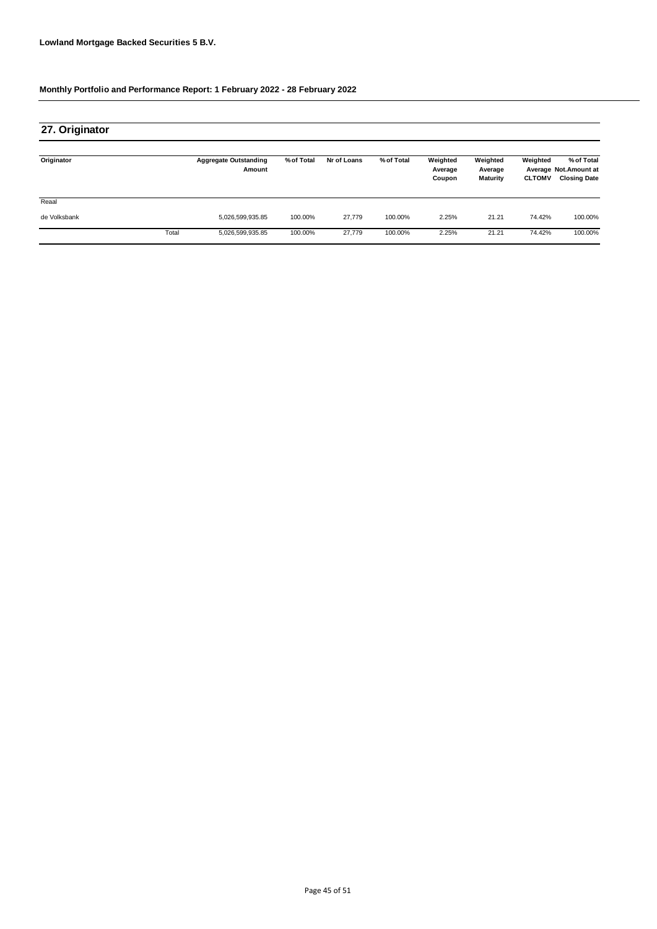| 27. Originator |       |                                        |            |             |            |                               |                                 |                           |                                                             |
|----------------|-------|----------------------------------------|------------|-------------|------------|-------------------------------|---------------------------------|---------------------------|-------------------------------------------------------------|
| Originator     |       | <b>Aggregate Outstanding</b><br>Amount | % of Total | Nr of Loans | % of Total | Weighted<br>Average<br>Coupon | Weighted<br>Average<br>Maturity | Weighted<br><b>CLTOMV</b> | % of Total<br>Average Not. Amount at<br><b>Closing Date</b> |
| Reaal          |       |                                        |            |             |            |                               |                                 |                           |                                                             |
| de Volksbank   |       | 5,026,599,935.85                       | 100.00%    | 27.779      | 100.00%    | 2.25%                         | 21.21                           | 74.42%                    | 100.00%                                                     |
|                | Total | 5,026,599,935.85                       | 100.00%    | 27,779      | 100.00%    | 2.25%                         | 21.21                           | 74.42%                    | 100.00%                                                     |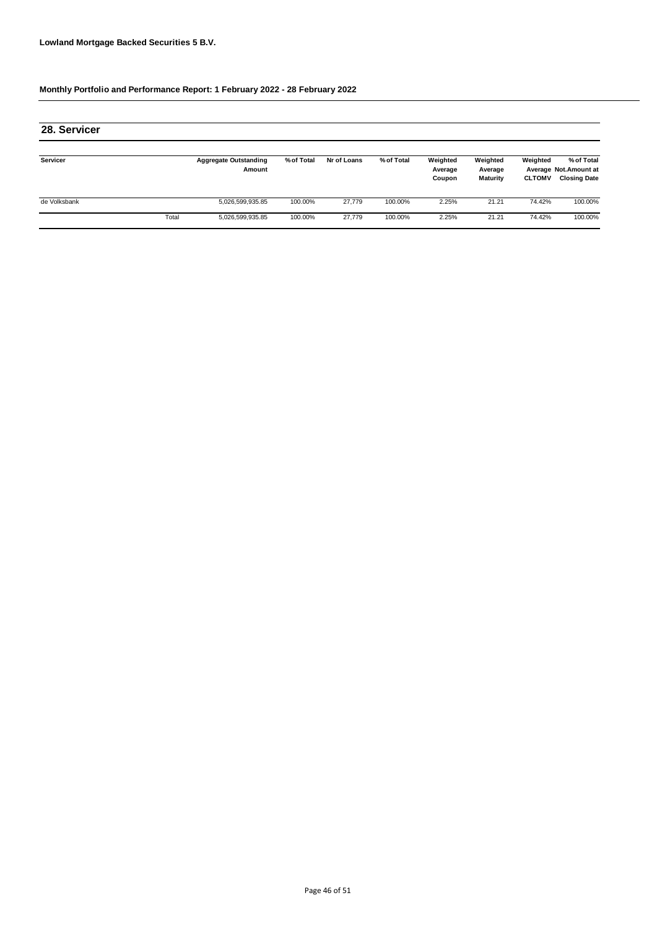| 28. Servicer |       |                                        |            |             |            |                               |                                 |                           |                                                             |
|--------------|-------|----------------------------------------|------------|-------------|------------|-------------------------------|---------------------------------|---------------------------|-------------------------------------------------------------|
| Servicer     |       | <b>Aggregate Outstanding</b><br>Amount | % of Total | Nr of Loans | % of Total | Weighted<br>Average<br>Coupon | Weighted<br>Average<br>Maturity | Weighted<br><b>CLTOMV</b> | % of Total<br>Average Not. Amount at<br><b>Closing Date</b> |
| de Volksbank |       | 5,026,599,935.85                       | 100.00%    | 27.779      | 100.00%    | 2.25%                         | 21.21                           | 74.42%                    | 100.00%                                                     |
|              | Total | 5,026,599,935.85                       | 100.00%    | 27.779      | 100.00%    | 2.25%                         | 21.21                           | 74.42%                    | 100.00%                                                     |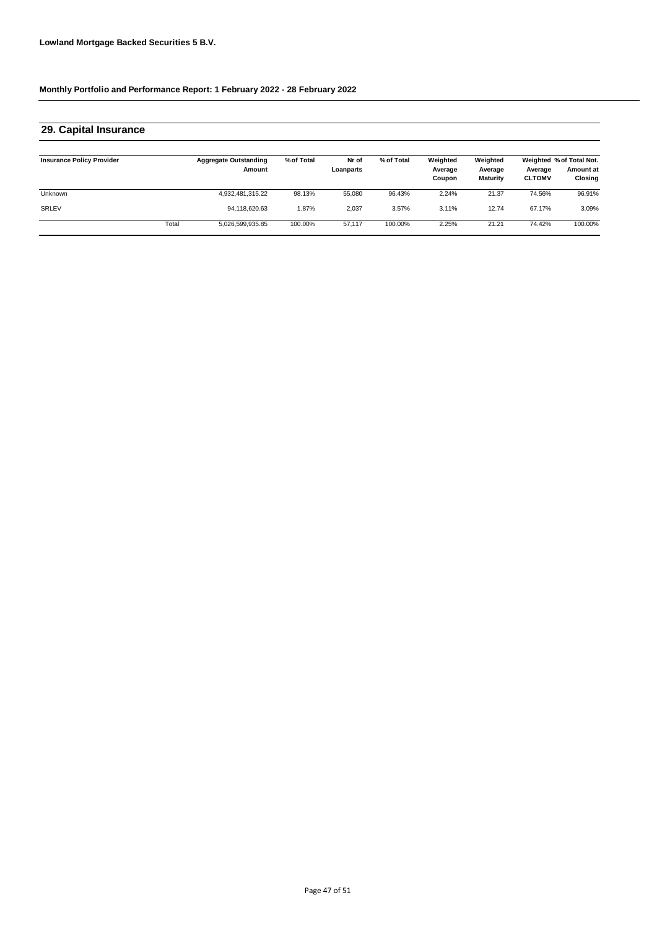| 29. Capital Insurance            |       |                                        |            |                    |            |                               |                                        |                          |                                                  |
|----------------------------------|-------|----------------------------------------|------------|--------------------|------------|-------------------------------|----------------------------------------|--------------------------|--------------------------------------------------|
| <b>Insurance Policy Provider</b> |       | <b>Aggregate Outstanding</b><br>Amount | % of Total | Nr of<br>Loanparts | % of Total | Weighted<br>Average<br>Coupon | Weighted<br>Average<br><b>Maturity</b> | Average<br><b>CLTOMV</b> | Weighted % of Total Not.<br>Amount at<br>Closing |
| <b>Unknown</b>                   |       | 4,932,481,315.22                       | 98.13%     | 55.080             | 96.43%     | 2.24%                         | 21.37                                  | 74.56%                   | 96.91%                                           |
| SRLEV                            |       | 94.118.620.63                          | 1.87%      | 2.037              | 3.57%      | 3.11%                         | 12.74                                  | 67.17%                   | 3.09%                                            |
|                                  | Total | 5,026,599,935.85                       | 100.00%    | 57,117             | 100.00%    | 2.25%                         | 21.21                                  | 74.42%                   | 100.00%                                          |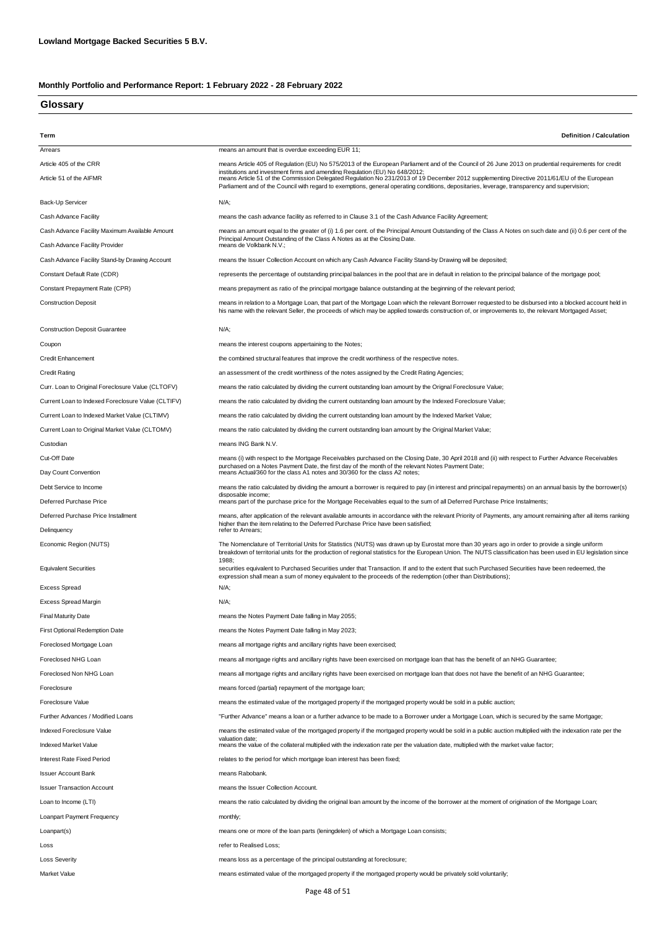### **Glossary**

| Term                                               | <b>Definition / Calculation</b>                                                                                                                                                                                                                                                                                                                                           |
|----------------------------------------------------|---------------------------------------------------------------------------------------------------------------------------------------------------------------------------------------------------------------------------------------------------------------------------------------------------------------------------------------------------------------------------|
| Arrears                                            | means an amount that is overdue exceeding EUR 11;                                                                                                                                                                                                                                                                                                                         |
| Article 405 of the CRR                             | means Article 405 of Regulation (EU) No 575/2013 of the European Parliament and of the Council of 26 June 2013 on prudential requirements for credit                                                                                                                                                                                                                      |
| Article 51 of the AIFMR                            | institutions and investment firms and amending Regulation (EU) No 648/2012:<br>means Article 51 of the Commission Delegated Regulation No 231/2013 of 19 December 2012 supplementing Directive 2011/61/EU of the European<br>Parliament and of the Council with regard to exemptions, general operating conditions, depositaries, leverage, transparency and supervision; |
| Back-Up Servicer                                   | N/A;                                                                                                                                                                                                                                                                                                                                                                      |
| Cash Advance Facility                              | means the cash advance facility as referred to in Clause 3.1 of the Cash Advance Facility Agreement;                                                                                                                                                                                                                                                                      |
| Cash Advance Facility Maximum Available Amount     | means an amount equal to the greater of (i) 1.6 per cent. of the Principal Amount Outstanding of the Class A Notes on such date and (ii) 0.6 per cent of the<br>Principal Amount Outstanding of the Class A Notes as at the Closing Date.                                                                                                                                 |
| Cash Advance Facility Provider                     | means de Volkbank N.V.;                                                                                                                                                                                                                                                                                                                                                   |
| Cash Advance Facility Stand-by Drawing Account     | means the Issuer Collection Account on which any Cash Advance Facility Stand-by Drawing will be deposited;                                                                                                                                                                                                                                                                |
| Constant Default Rate (CDR)                        | represents the percentage of outstanding principal balances in the pool that are in default in relation to the principal balance of the mortgage pool;                                                                                                                                                                                                                    |
| Constant Prepayment Rate (CPR)                     | means prepayment as ratio of the principal mortgage balance outstanding at the beginning of the relevant period;                                                                                                                                                                                                                                                          |
| <b>Construction Deposit</b>                        | means in relation to a Mortgage Loan, that part of the Mortgage Loan which the relevant Borrower requested to be disbursed into a blocked account held in<br>his name with the relevant Seller, the proceeds of which may be applied towards construction of, or improvements to, the relevant Mortgaged Asset;                                                           |
| <b>Construction Deposit Guarantee</b>              | $N/A$ ;                                                                                                                                                                                                                                                                                                                                                                   |
| Coupon                                             | means the interest coupons appertaining to the Notes;                                                                                                                                                                                                                                                                                                                     |
| <b>Credit Enhancement</b>                          | the combined structural features that improve the credit worthiness of the respective notes.                                                                                                                                                                                                                                                                              |
| <b>Credit Rating</b>                               | an assessment of the credit worthiness of the notes assigned by the Credit Rating Agencies;                                                                                                                                                                                                                                                                               |
| Curr. Loan to Original Foreclosure Value (CLTOFV)  | means the ratio calculated by dividing the current outstanding loan amount by the Orignal Foreclosure Value;                                                                                                                                                                                                                                                              |
| Current Loan to Indexed Foreclosure Value (CLTIFV) | means the ratio calculated by dividing the current outstanding loan amount by the Indexed Foreclosure Value;                                                                                                                                                                                                                                                              |
| Current Loan to Indexed Market Value (CLTIMV)      | means the ratio calculated by dividing the current outstanding loan amount by the Indexed Market Value;                                                                                                                                                                                                                                                                   |
| Current Loan to Original Market Value (CLTOMV)     | means the ratio calculated by dividing the current outstanding loan amount by the Original Market Value;                                                                                                                                                                                                                                                                  |
| Custodian                                          | means ING Bank N.V.                                                                                                                                                                                                                                                                                                                                                       |
| Cut-Off Date                                       | means (i) with respect to the Mortgage Receivables purchased on the Closing Date, 30 April 2018 and (ii) with respect to Further Advance Receivables<br>purchased on a Notes Payment Date, the first day of the month of the relevant Notes Payment Date;                                                                                                                 |
| Day Count Convention                               | means Actual/360 for the class A1 notes and 30/360 for the class A2 notes;                                                                                                                                                                                                                                                                                                |
| Debt Service to Income                             | means the ratio calculated by dividing the amount a borrower is required to pay (in interest and principal repayments) on an annual basis by the borrower(s)<br>disposable income;                                                                                                                                                                                        |
| Deferred Purchase Price                            | means part of the purchase price for the Mortgage Receivables equal to the sum of all Deferred Purchase Price Instalments;                                                                                                                                                                                                                                                |
| Deferred Purchase Price Installment<br>Delinquency | means, after application of the relevant available amounts in accordance with the relevant Priority of Payments, any amount remaining after all items ranking<br>higher than the item relating to the Deferred Purchase Price have been satisfied:<br>refer to Arrears;                                                                                                   |
| Economic Region (NUTS)                             | The Nomenclature of Territorial Units for Statistics (NUTS) was drawn up by Eurostat more than 30 years ago in order to provide a single uniform<br>breakdown of territorial units for the production of regional statistics for the European Union. The NUTS classification has been used in EU legislation since                                                        |
| <b>Equivalent Securities</b>                       | 1988;<br>securities equivalent to Purchased Securities under that Transaction. If and to the extent that such Purchased Securities have been redeemed, the<br>expression shall mean a sum of money equivalent to the proceeds of the redemption (other than Distributions);                                                                                               |
| <b>Excess Spread</b>                               | N/A;                                                                                                                                                                                                                                                                                                                                                                      |
| <b>Excess Spread Margin</b>                        | N/A;                                                                                                                                                                                                                                                                                                                                                                      |
| <b>Final Maturity Date</b>                         | means the Notes Payment Date falling in May 2055;                                                                                                                                                                                                                                                                                                                         |
| First Optional Redemption Date                     | means the Notes Payment Date falling in May 2023;                                                                                                                                                                                                                                                                                                                         |
| Foreclosed Mortgage Loan                           | means all mortgage rights and ancillary rights have been exercised;                                                                                                                                                                                                                                                                                                       |
| Foreclosed NHG Loan                                | means all mortgage rights and ancillary rights have been exercised on mortgage loan that has the benefit of an NHG Guarantee;                                                                                                                                                                                                                                             |
| Foreclosed Non NHG Loan                            | means all mortgage rights and ancillary rights have been exercised on mortgage loan that does not have the benefit of an NHG Guarantee;                                                                                                                                                                                                                                   |
| Foreclosure                                        | means forced (partial) repayment of the mortgage loan;                                                                                                                                                                                                                                                                                                                    |
| Foreclosure Value                                  | means the estimated value of the mortgaged property if the mortgaged property would be sold in a public auction;                                                                                                                                                                                                                                                          |
| Further Advances / Modified Loans                  | "Further Advance" means a loan or a further advance to be made to a Borrower under a Mortgage Loan, which is secured by the same Mortgage;                                                                                                                                                                                                                                |
| Indexed Foreclosure Value                          | means the estimated value of the mortgaged property if the mortgaged property would be sold in a public auction multiplied with the indexation rate per the                                                                                                                                                                                                               |
| Indexed Market Value                               | valuation date:<br>means the value of the collateral multiplied with the indexation rate per the valuation date, multiplied with the market value factor;                                                                                                                                                                                                                 |
| Interest Rate Fixed Period                         | relates to the period for which mortgage loan interest has been fixed;                                                                                                                                                                                                                                                                                                    |
| <b>Issuer Account Bank</b>                         | means Rabobank.                                                                                                                                                                                                                                                                                                                                                           |
| <b>Issuer Transaction Account</b>                  | means the Issuer Collection Account.                                                                                                                                                                                                                                                                                                                                      |
| Loan to Income (LTI)                               | means the ratio calculated by dividing the original loan amount by the income of the borrower at the moment of origination of the Mortgage Loan;                                                                                                                                                                                                                          |
| Loanpart Payment Frequency                         | monthly;                                                                                                                                                                                                                                                                                                                                                                  |
| Loanpart(s)                                        | means one or more of the loan parts (leningdelen) of which a Mortgage Loan consists;                                                                                                                                                                                                                                                                                      |
| Loss                                               | refer to Realised Loss;                                                                                                                                                                                                                                                                                                                                                   |
| <b>Loss Severity</b>                               | means loss as a percentage of the principal outstanding at foreclosure;                                                                                                                                                                                                                                                                                                   |
| Market Value                                       | means estimated value of the mortgaged property if the mortgaged property would be privately sold voluntarily;                                                                                                                                                                                                                                                            |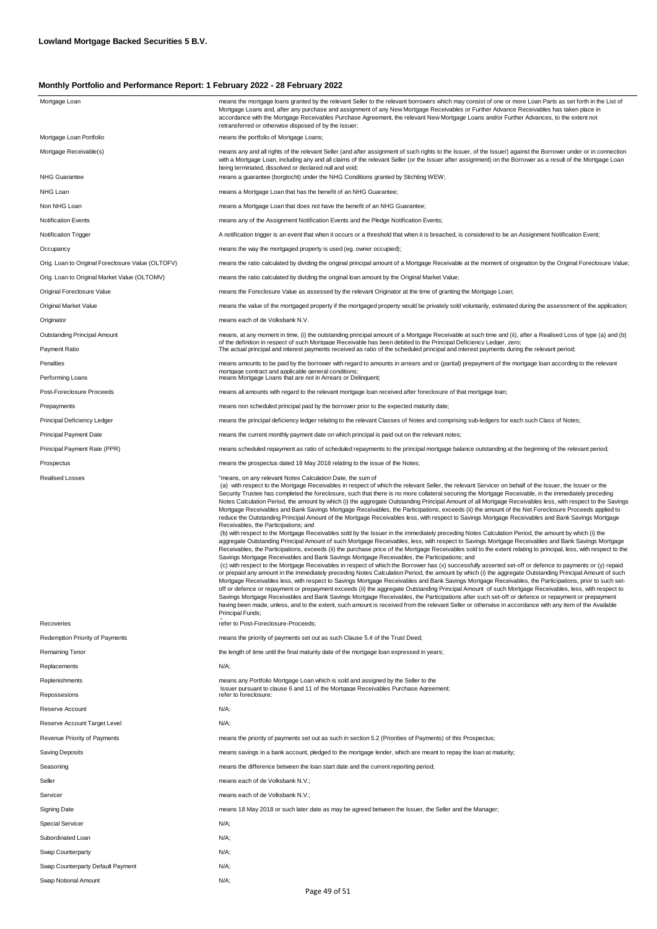| Mortgage Loan                                     | means the mortgage loans granted by the relevant Seller to the relevant borrowers which may consist of one or more Loan Parts as set forth in the List of<br>Mortgage Loans and, after any purchase and assignment of any New Mortgage Receivables or Further Advance Receivables has taken place in<br>accordance with the Mortgage Receivables Purchase Agreement, the relevant New Mortgage Loans and/or Further Advances, to the extent not<br>retransferred or otherwise disposed of by the Issuer;                                                                                                                                                                                                                                                                                                                                                                                                                                                                                                                                                                                                                                                                                                                                                                                                                                                                                                                                                                                                                                                                                                                                                                                                                                                                                                                                                                                                                                                                                                                                                                                                                                                                                                                                                                                                                                                                                                                                              |
|---------------------------------------------------|-------------------------------------------------------------------------------------------------------------------------------------------------------------------------------------------------------------------------------------------------------------------------------------------------------------------------------------------------------------------------------------------------------------------------------------------------------------------------------------------------------------------------------------------------------------------------------------------------------------------------------------------------------------------------------------------------------------------------------------------------------------------------------------------------------------------------------------------------------------------------------------------------------------------------------------------------------------------------------------------------------------------------------------------------------------------------------------------------------------------------------------------------------------------------------------------------------------------------------------------------------------------------------------------------------------------------------------------------------------------------------------------------------------------------------------------------------------------------------------------------------------------------------------------------------------------------------------------------------------------------------------------------------------------------------------------------------------------------------------------------------------------------------------------------------------------------------------------------------------------------------------------------------------------------------------------------------------------------------------------------------------------------------------------------------------------------------------------------------------------------------------------------------------------------------------------------------------------------------------------------------------------------------------------------------------------------------------------------------------------------------------------------------------------------------------------------------|
| Mortgage Loan Portfolio                           | means the portfolio of Mortgage Loans;                                                                                                                                                                                                                                                                                                                                                                                                                                                                                                                                                                                                                                                                                                                                                                                                                                                                                                                                                                                                                                                                                                                                                                                                                                                                                                                                                                                                                                                                                                                                                                                                                                                                                                                                                                                                                                                                                                                                                                                                                                                                                                                                                                                                                                                                                                                                                                                                                |
| Mortgage Receivable(s)                            | means any and all rights of the relevant Seller (and after assignment of such rights to the Issuer, of the Issuer) against the Borrower under or in connection<br>with a Mortgage Loan, including any and all claims of the relevant Seller (or the Issuer after assignment) on the Borrower as a result of the Mortgage Loan<br>being terminated, dissolved or declared null and void;                                                                                                                                                                                                                                                                                                                                                                                                                                                                                                                                                                                                                                                                                                                                                                                                                                                                                                                                                                                                                                                                                                                                                                                                                                                                                                                                                                                                                                                                                                                                                                                                                                                                                                                                                                                                                                                                                                                                                                                                                                                               |
| <b>NHG Guarantee</b>                              | means a guarantee (borgtocht) under the NHG Conditions granted by Stichting WEW;                                                                                                                                                                                                                                                                                                                                                                                                                                                                                                                                                                                                                                                                                                                                                                                                                                                                                                                                                                                                                                                                                                                                                                                                                                                                                                                                                                                                                                                                                                                                                                                                                                                                                                                                                                                                                                                                                                                                                                                                                                                                                                                                                                                                                                                                                                                                                                      |
| NHG Loan                                          | means a Mortgage Loan that has the benefit of an NHG Guarantee;                                                                                                                                                                                                                                                                                                                                                                                                                                                                                                                                                                                                                                                                                                                                                                                                                                                                                                                                                                                                                                                                                                                                                                                                                                                                                                                                                                                                                                                                                                                                                                                                                                                                                                                                                                                                                                                                                                                                                                                                                                                                                                                                                                                                                                                                                                                                                                                       |
| Non NHG Loan                                      | means a Mortgage Loan that does not have the benefit of an NHG Guarantee;                                                                                                                                                                                                                                                                                                                                                                                                                                                                                                                                                                                                                                                                                                                                                                                                                                                                                                                                                                                                                                                                                                                                                                                                                                                                                                                                                                                                                                                                                                                                                                                                                                                                                                                                                                                                                                                                                                                                                                                                                                                                                                                                                                                                                                                                                                                                                                             |
| <b>Notification Events</b>                        | means any of the Assignment Notification Events and the Pledge Notification Events;                                                                                                                                                                                                                                                                                                                                                                                                                                                                                                                                                                                                                                                                                                                                                                                                                                                                                                                                                                                                                                                                                                                                                                                                                                                                                                                                                                                                                                                                                                                                                                                                                                                                                                                                                                                                                                                                                                                                                                                                                                                                                                                                                                                                                                                                                                                                                                   |
| Notification Trigger                              | A notification trigger is an event that when it occurs or a threshold that when it is breached, is considered to be an Assignment Notification Event;                                                                                                                                                                                                                                                                                                                                                                                                                                                                                                                                                                                                                                                                                                                                                                                                                                                                                                                                                                                                                                                                                                                                                                                                                                                                                                                                                                                                                                                                                                                                                                                                                                                                                                                                                                                                                                                                                                                                                                                                                                                                                                                                                                                                                                                                                                 |
| Occupancy                                         | means the way the mortgaged property is used (eg. owner occupied);                                                                                                                                                                                                                                                                                                                                                                                                                                                                                                                                                                                                                                                                                                                                                                                                                                                                                                                                                                                                                                                                                                                                                                                                                                                                                                                                                                                                                                                                                                                                                                                                                                                                                                                                                                                                                                                                                                                                                                                                                                                                                                                                                                                                                                                                                                                                                                                    |
| Orig. Loan to Original Foreclosure Value (OLTOFV) | means the ratio calculated by dividing the original principal amount of a Mortgage Receivable at the moment of origination by the Original Foreclosure Value;                                                                                                                                                                                                                                                                                                                                                                                                                                                                                                                                                                                                                                                                                                                                                                                                                                                                                                                                                                                                                                                                                                                                                                                                                                                                                                                                                                                                                                                                                                                                                                                                                                                                                                                                                                                                                                                                                                                                                                                                                                                                                                                                                                                                                                                                                         |
| Orig. Loan to Original Market Value (OLTOMV)      | means the ratio calculated by dividing the original loan amount by the Original Market Value;                                                                                                                                                                                                                                                                                                                                                                                                                                                                                                                                                                                                                                                                                                                                                                                                                                                                                                                                                                                                                                                                                                                                                                                                                                                                                                                                                                                                                                                                                                                                                                                                                                                                                                                                                                                                                                                                                                                                                                                                                                                                                                                                                                                                                                                                                                                                                         |
| Original Foreclosure Value                        | means the Foreclosure Value as assessed by the relevant Originator at the time of granting the Mortgage Loan;                                                                                                                                                                                                                                                                                                                                                                                                                                                                                                                                                                                                                                                                                                                                                                                                                                                                                                                                                                                                                                                                                                                                                                                                                                                                                                                                                                                                                                                                                                                                                                                                                                                                                                                                                                                                                                                                                                                                                                                                                                                                                                                                                                                                                                                                                                                                         |
| Original Market Value                             | means the value of the mortgaged property if the mortgaged property would be privately sold voluntarily, estimated during the assessment of the application;                                                                                                                                                                                                                                                                                                                                                                                                                                                                                                                                                                                                                                                                                                                                                                                                                                                                                                                                                                                                                                                                                                                                                                                                                                                                                                                                                                                                                                                                                                                                                                                                                                                                                                                                                                                                                                                                                                                                                                                                                                                                                                                                                                                                                                                                                          |
| Originator                                        | means each of de Volksbank N.V.                                                                                                                                                                                                                                                                                                                                                                                                                                                                                                                                                                                                                                                                                                                                                                                                                                                                                                                                                                                                                                                                                                                                                                                                                                                                                                                                                                                                                                                                                                                                                                                                                                                                                                                                                                                                                                                                                                                                                                                                                                                                                                                                                                                                                                                                                                                                                                                                                       |
| <b>Outstanding Principal Amount</b>               | means, at any moment in time, (i) the outstanding principal amount of a Mortgage Receivable at such time and (ii), after a Realised Loss of type (a) and (b)                                                                                                                                                                                                                                                                                                                                                                                                                                                                                                                                                                                                                                                                                                                                                                                                                                                                                                                                                                                                                                                                                                                                                                                                                                                                                                                                                                                                                                                                                                                                                                                                                                                                                                                                                                                                                                                                                                                                                                                                                                                                                                                                                                                                                                                                                          |
| Payment Ratio                                     | of the definition in respect of such Mortgage Receivable has been debited to the Principal Deficiency Ledger, zero;<br>The actual principal and interest payments received as ratio of the scheduled principal and interest payments during the relevant period;                                                                                                                                                                                                                                                                                                                                                                                                                                                                                                                                                                                                                                                                                                                                                                                                                                                                                                                                                                                                                                                                                                                                                                                                                                                                                                                                                                                                                                                                                                                                                                                                                                                                                                                                                                                                                                                                                                                                                                                                                                                                                                                                                                                      |
| Penalties                                         | means amounts to be paid by the borrower with regard to amounts in arrears and or (partial) prepayment of the mortgage loan according to the relevant                                                                                                                                                                                                                                                                                                                                                                                                                                                                                                                                                                                                                                                                                                                                                                                                                                                                                                                                                                                                                                                                                                                                                                                                                                                                                                                                                                                                                                                                                                                                                                                                                                                                                                                                                                                                                                                                                                                                                                                                                                                                                                                                                                                                                                                                                                 |
| Performing Loans                                  | mortgage contract and applicable general conditions;<br>means Mortgage Loans that are not in Arrears or Delinquent;                                                                                                                                                                                                                                                                                                                                                                                                                                                                                                                                                                                                                                                                                                                                                                                                                                                                                                                                                                                                                                                                                                                                                                                                                                                                                                                                                                                                                                                                                                                                                                                                                                                                                                                                                                                                                                                                                                                                                                                                                                                                                                                                                                                                                                                                                                                                   |
| Post-Foreclosure Proceeds                         | means all amounts with regard to the relevant mortgage loan received after foreclosure of that mortgage loan;                                                                                                                                                                                                                                                                                                                                                                                                                                                                                                                                                                                                                                                                                                                                                                                                                                                                                                                                                                                                                                                                                                                                                                                                                                                                                                                                                                                                                                                                                                                                                                                                                                                                                                                                                                                                                                                                                                                                                                                                                                                                                                                                                                                                                                                                                                                                         |
| Prepayments                                       | means non scheduled principal paid by the borrower prior to the expected maturity date;                                                                                                                                                                                                                                                                                                                                                                                                                                                                                                                                                                                                                                                                                                                                                                                                                                                                                                                                                                                                                                                                                                                                                                                                                                                                                                                                                                                                                                                                                                                                                                                                                                                                                                                                                                                                                                                                                                                                                                                                                                                                                                                                                                                                                                                                                                                                                               |
| Principal Deficiency Ledger                       | means the principal deficiency ledger relating to the relevant Classes of Notes and comprising sub-ledgers for each such Class of Notes;                                                                                                                                                                                                                                                                                                                                                                                                                                                                                                                                                                                                                                                                                                                                                                                                                                                                                                                                                                                                                                                                                                                                                                                                                                                                                                                                                                                                                                                                                                                                                                                                                                                                                                                                                                                                                                                                                                                                                                                                                                                                                                                                                                                                                                                                                                              |
| <b>Principal Payment Date</b>                     | means the current monthly payment date on which principal is paid out on the relevant notes;                                                                                                                                                                                                                                                                                                                                                                                                                                                                                                                                                                                                                                                                                                                                                                                                                                                                                                                                                                                                                                                                                                                                                                                                                                                                                                                                                                                                                                                                                                                                                                                                                                                                                                                                                                                                                                                                                                                                                                                                                                                                                                                                                                                                                                                                                                                                                          |
| Principal Payment Rate (PPR)                      | means scheduled repayment as ratio of scheduled repayments to the principal mortgage balance outstanding at the beginning of the relevant period;                                                                                                                                                                                                                                                                                                                                                                                                                                                                                                                                                                                                                                                                                                                                                                                                                                                                                                                                                                                                                                                                                                                                                                                                                                                                                                                                                                                                                                                                                                                                                                                                                                                                                                                                                                                                                                                                                                                                                                                                                                                                                                                                                                                                                                                                                                     |
| Prospectus                                        | means the prospectus dated 18 May 2018 relating to the issue of the Notes;                                                                                                                                                                                                                                                                                                                                                                                                                                                                                                                                                                                                                                                                                                                                                                                                                                                                                                                                                                                                                                                                                                                                                                                                                                                                                                                                                                                                                                                                                                                                                                                                                                                                                                                                                                                                                                                                                                                                                                                                                                                                                                                                                                                                                                                                                                                                                                            |
| <b>Realised Losses</b>                            | "means, on any relevant Notes Calculation Date, the sum of<br>(a) with respect to the Mortgage Receivables in respect of which the relevant Seller, the relevant Servicer on behalf of the Issuer, the Issuer or the<br>Security Trustee has completed the foreclosure, such that there is no more collateral securing the Mortgage Receivable, in the immediately preceding<br>Notes Calculation Period, the amount by which (i) the aggregate Outstanding Principal Amount of all Mortgage Receivables less, with respect to the Savings<br>Mortgage Receivables and Bank Savings Mortgage Receivables, the Participations, exceeds (ii) the amount of the Net Foreclosure Proceeds applied to<br>reduce the Outstanding Principal Amount of the Mortgage Receivables less, with respect to Savings Mortgage Receivables and Bank Savings Mortgage<br>Receivables, the Participations; and<br>(b) with respect to the Mortgage Receivables sold by the Issuer in the immediately preceding Notes Calculation Period, the amount by which (i) the<br>aggregate Outstanding Principal Amount of such Mortgage Receivables, less, with respect to Savings Mortgage Receivables and Bank Savings Mortgage<br>Receivables, the Participations, exceeds (ii) the purchase price of the Mortgage Receivables sold to the extent relating to principal, less, with respect to the<br>Savings Mortgage Receivables and Bank Savings Mortgage Receivables, the Participations; and<br>(c) with respect to the Mortgage Receivables in respect of which the Borrower has (x) successfully asserted set-off or defence to payments or (y) repaid<br>or prepaid any amount in the immediately preceding Notes Calculation Period, the amount by which (i) the aggregate Outstanding Principal Amount of such<br>Mortgage Receivables less, with respect to Savings Mortgage Receivables and Bank Savings Mortgage Receivables, the Participations, prior to such set-<br>off or defence or repayment or prepayment exceeds (ii) the aggregate Outstanding Principal Amount of such Mortgage Receivables, less, with respect to<br>Savings Mortgage Receivables and Bank Savings Mortgage Receivables, the Participations after such set-off or defence or repayment or prepayment<br>having been made, unless, and to the extent, such amount is received from the relevant Seller or otherwise in accordance with any item of the Available<br>Principal Funds; |
| Recoveries                                        | refer to Post-Foreclosure-Proceeds;                                                                                                                                                                                                                                                                                                                                                                                                                                                                                                                                                                                                                                                                                                                                                                                                                                                                                                                                                                                                                                                                                                                                                                                                                                                                                                                                                                                                                                                                                                                                                                                                                                                                                                                                                                                                                                                                                                                                                                                                                                                                                                                                                                                                                                                                                                                                                                                                                   |
| Redemption Priority of Payments                   | means the priority of payments set out as such Clause 5.4 of the Trust Deed;                                                                                                                                                                                                                                                                                                                                                                                                                                                                                                                                                                                                                                                                                                                                                                                                                                                                                                                                                                                                                                                                                                                                                                                                                                                                                                                                                                                                                                                                                                                                                                                                                                                                                                                                                                                                                                                                                                                                                                                                                                                                                                                                                                                                                                                                                                                                                                          |
| Remaining Tenor                                   | the length of time until the final maturity date of the mortgage loan expressed in years;                                                                                                                                                                                                                                                                                                                                                                                                                                                                                                                                                                                                                                                                                                                                                                                                                                                                                                                                                                                                                                                                                                                                                                                                                                                                                                                                                                                                                                                                                                                                                                                                                                                                                                                                                                                                                                                                                                                                                                                                                                                                                                                                                                                                                                                                                                                                                             |
| Replacements                                      | N/A;                                                                                                                                                                                                                                                                                                                                                                                                                                                                                                                                                                                                                                                                                                                                                                                                                                                                                                                                                                                                                                                                                                                                                                                                                                                                                                                                                                                                                                                                                                                                                                                                                                                                                                                                                                                                                                                                                                                                                                                                                                                                                                                                                                                                                                                                                                                                                                                                                                                  |
| Replenishments                                    | means any Portfolio Mortgage Loan which is sold and assigned by the Seller to the<br>Issuer pursuant to clause 6 and 11 of the Mortgage Receivables Purchase Agreement;                                                                                                                                                                                                                                                                                                                                                                                                                                                                                                                                                                                                                                                                                                                                                                                                                                                                                                                                                                                                                                                                                                                                                                                                                                                                                                                                                                                                                                                                                                                                                                                                                                                                                                                                                                                                                                                                                                                                                                                                                                                                                                                                                                                                                                                                               |
| Repossesions                                      | refer to foreclosure;                                                                                                                                                                                                                                                                                                                                                                                                                                                                                                                                                                                                                                                                                                                                                                                                                                                                                                                                                                                                                                                                                                                                                                                                                                                                                                                                                                                                                                                                                                                                                                                                                                                                                                                                                                                                                                                                                                                                                                                                                                                                                                                                                                                                                                                                                                                                                                                                                                 |
| Reserve Account                                   | N/A;                                                                                                                                                                                                                                                                                                                                                                                                                                                                                                                                                                                                                                                                                                                                                                                                                                                                                                                                                                                                                                                                                                                                                                                                                                                                                                                                                                                                                                                                                                                                                                                                                                                                                                                                                                                                                                                                                                                                                                                                                                                                                                                                                                                                                                                                                                                                                                                                                                                  |
| Reserve Account Target Level                      | N/A;                                                                                                                                                                                                                                                                                                                                                                                                                                                                                                                                                                                                                                                                                                                                                                                                                                                                                                                                                                                                                                                                                                                                                                                                                                                                                                                                                                                                                                                                                                                                                                                                                                                                                                                                                                                                                                                                                                                                                                                                                                                                                                                                                                                                                                                                                                                                                                                                                                                  |
| Revenue Priority of Payments                      | means the priority of payments set out as such in section 5.2 (Priorities of Payments) of this Prospectus;                                                                                                                                                                                                                                                                                                                                                                                                                                                                                                                                                                                                                                                                                                                                                                                                                                                                                                                                                                                                                                                                                                                                                                                                                                                                                                                                                                                                                                                                                                                                                                                                                                                                                                                                                                                                                                                                                                                                                                                                                                                                                                                                                                                                                                                                                                                                            |
| Saving Deposits                                   | means savings in a bank account, pledged to the mortgage lender, which are meant to repay the loan at maturity;                                                                                                                                                                                                                                                                                                                                                                                                                                                                                                                                                                                                                                                                                                                                                                                                                                                                                                                                                                                                                                                                                                                                                                                                                                                                                                                                                                                                                                                                                                                                                                                                                                                                                                                                                                                                                                                                                                                                                                                                                                                                                                                                                                                                                                                                                                                                       |
| Seasoning                                         | means the difference between the loan start date and the current reporting period;                                                                                                                                                                                                                                                                                                                                                                                                                                                                                                                                                                                                                                                                                                                                                                                                                                                                                                                                                                                                                                                                                                                                                                                                                                                                                                                                                                                                                                                                                                                                                                                                                                                                                                                                                                                                                                                                                                                                                                                                                                                                                                                                                                                                                                                                                                                                                                    |
| Seller                                            | means each of de Volksbank N.V.;                                                                                                                                                                                                                                                                                                                                                                                                                                                                                                                                                                                                                                                                                                                                                                                                                                                                                                                                                                                                                                                                                                                                                                                                                                                                                                                                                                                                                                                                                                                                                                                                                                                                                                                                                                                                                                                                                                                                                                                                                                                                                                                                                                                                                                                                                                                                                                                                                      |
| Servicer                                          | means each of de Volksbank N.V.;                                                                                                                                                                                                                                                                                                                                                                                                                                                                                                                                                                                                                                                                                                                                                                                                                                                                                                                                                                                                                                                                                                                                                                                                                                                                                                                                                                                                                                                                                                                                                                                                                                                                                                                                                                                                                                                                                                                                                                                                                                                                                                                                                                                                                                                                                                                                                                                                                      |
| <b>Signing Date</b>                               | means 18 May 2018 or such later date as may be agreed between the Issuer, the Seller and the Manager;                                                                                                                                                                                                                                                                                                                                                                                                                                                                                                                                                                                                                                                                                                                                                                                                                                                                                                                                                                                                                                                                                                                                                                                                                                                                                                                                                                                                                                                                                                                                                                                                                                                                                                                                                                                                                                                                                                                                                                                                                                                                                                                                                                                                                                                                                                                                                 |
| <b>Special Servicer</b>                           | N/A;                                                                                                                                                                                                                                                                                                                                                                                                                                                                                                                                                                                                                                                                                                                                                                                                                                                                                                                                                                                                                                                                                                                                                                                                                                                                                                                                                                                                                                                                                                                                                                                                                                                                                                                                                                                                                                                                                                                                                                                                                                                                                                                                                                                                                                                                                                                                                                                                                                                  |
| Subordinated Loan                                 | N/A;                                                                                                                                                                                                                                                                                                                                                                                                                                                                                                                                                                                                                                                                                                                                                                                                                                                                                                                                                                                                                                                                                                                                                                                                                                                                                                                                                                                                                                                                                                                                                                                                                                                                                                                                                                                                                                                                                                                                                                                                                                                                                                                                                                                                                                                                                                                                                                                                                                                  |
| Swap Counterparty                                 | N/A;                                                                                                                                                                                                                                                                                                                                                                                                                                                                                                                                                                                                                                                                                                                                                                                                                                                                                                                                                                                                                                                                                                                                                                                                                                                                                                                                                                                                                                                                                                                                                                                                                                                                                                                                                                                                                                                                                                                                                                                                                                                                                                                                                                                                                                                                                                                                                                                                                                                  |
| Swap Counterparty Default Payment                 | N/A;                                                                                                                                                                                                                                                                                                                                                                                                                                                                                                                                                                                                                                                                                                                                                                                                                                                                                                                                                                                                                                                                                                                                                                                                                                                                                                                                                                                                                                                                                                                                                                                                                                                                                                                                                                                                                                                                                                                                                                                                                                                                                                                                                                                                                                                                                                                                                                                                                                                  |
| Swap Notional Amount                              | N/A;                                                                                                                                                                                                                                                                                                                                                                                                                                                                                                                                                                                                                                                                                                                                                                                                                                                                                                                                                                                                                                                                                                                                                                                                                                                                                                                                                                                                                                                                                                                                                                                                                                                                                                                                                                                                                                                                                                                                                                                                                                                                                                                                                                                                                                                                                                                                                                                                                                                  |

4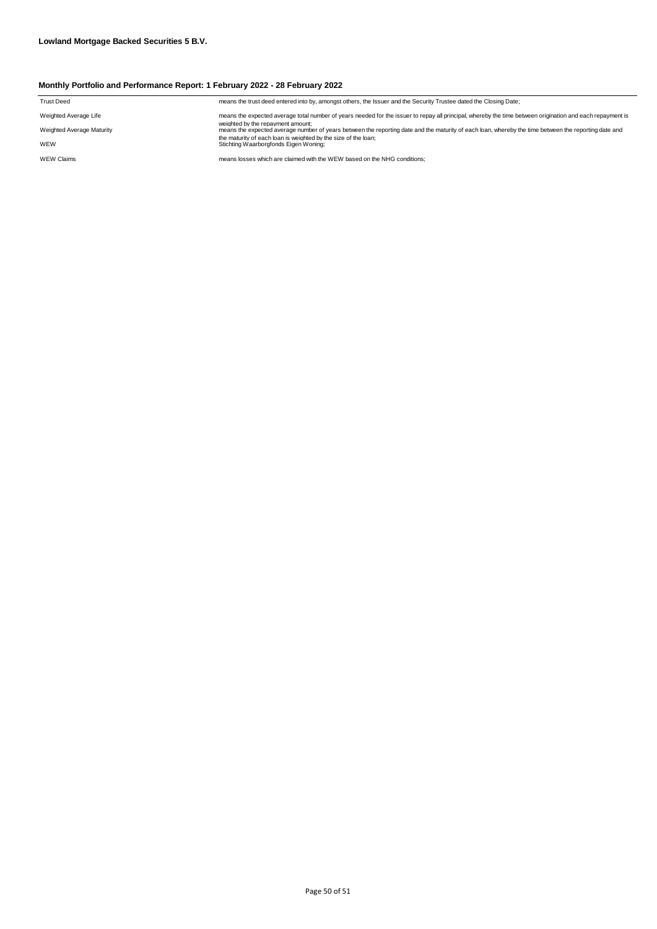| <b>Trust Deed</b>         | means the trust deed entered into by, amongst others, the Issuer and the Security Trustee dated the Closing Date;                                                                         |
|---------------------------|-------------------------------------------------------------------------------------------------------------------------------------------------------------------------------------------|
| Weighted Average Life     | means the expected average total number of years needed for the issuer to repay all principal, whereby the time between origination and each repayment is                                 |
| Weighted Average Maturity | weighted by the repayment amount:<br>means the expected average number of years between the reporting date and the maturity of each loan, whereby the time between the reporting date and |
| WEW                       | the maturity of each loan is weighted by the size of the loan:<br>Stichting Waarborgfonds Eigen Woning;                                                                                   |
| <b>WEW Claims</b>         | means losses which are claimed with the WEW based on the NHG conditions:                                                                                                                  |
|                           |                                                                                                                                                                                           |